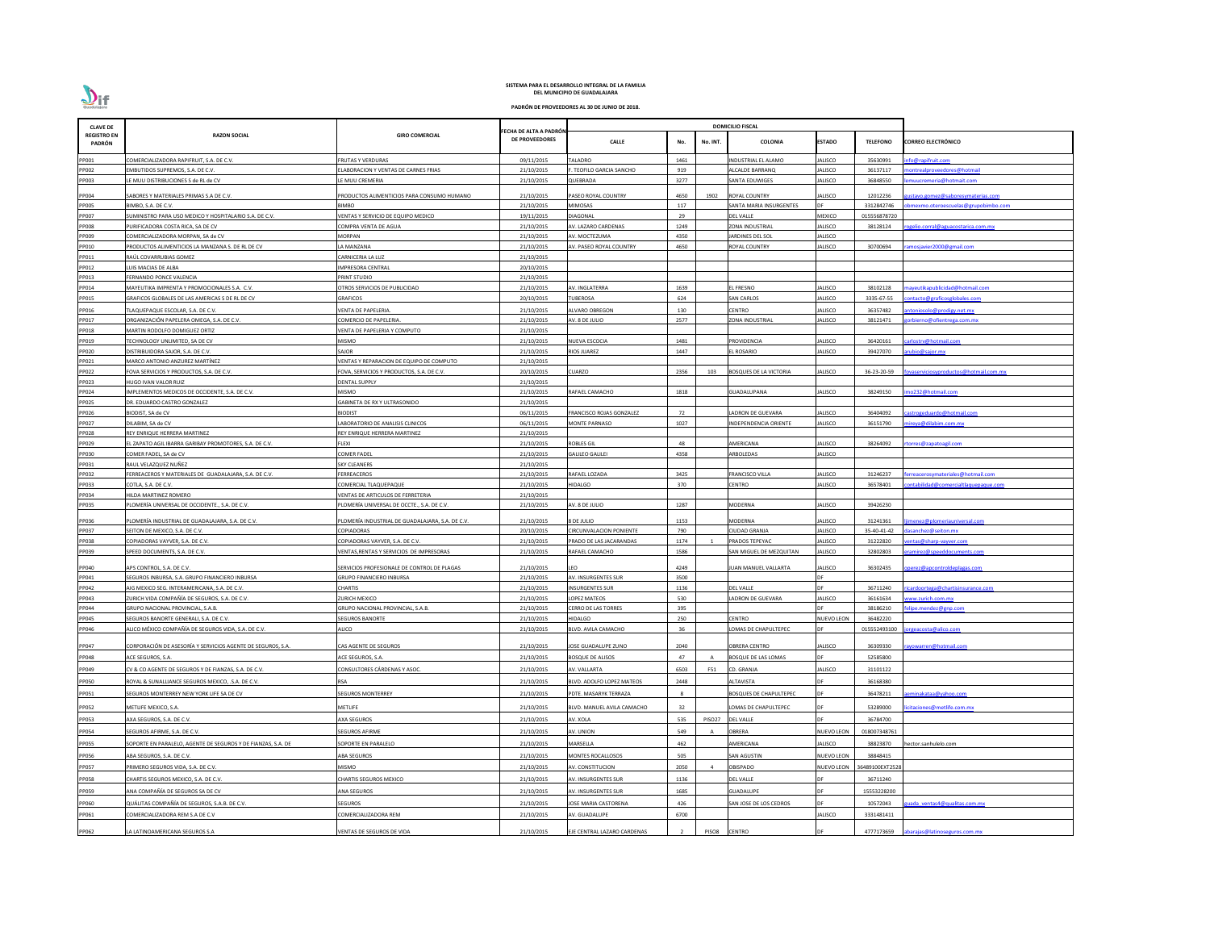| ECHA DE ALTA A PADRÓN<br><b>REGISTRO EN</b><br><b>RAZON SOCIAL</b><br><b>GIRO COMERCIAL</b><br>DE PROVEEDORES<br><b>CALLE</b><br>No.<br><b>COLONIA</b><br><b>ESTADO</b><br><b>TELEFONO</b><br><b>CORREO ELECTRÓNICO</b><br>No. INT.<br>PADRÓN<br><b>TALADRO</b><br>1461<br>JALISCO<br>fo@rapifruit.com<br>PP001<br>COMERCIALIZADORA RAPIFRUIT, S.A. DE C.V.<br><b>FRUTAS Y VERDURAS</b><br>09/11/2015<br>INDUSTRIAL EL ALAMO<br>35630991<br>919<br>PP002<br>EMBUTIDOS SUPREMOS, S.A. DE C.V.<br>LABORACION Y VENTAS DE CARNES FRIAS<br>21/10/2015<br>. TEOFILO GARCIA SANCHO<br><b>ILCALDE BARRANQ</b><br>JALISCO<br>36137117<br>ontrealproveedores@hotmail<br>E MUU DISTRIBUCIONES S de RL de CV<br>21/10/2015<br>QUEBRADA<br>3277<br>SANTA EDUWIGES<br>JALISCO<br>36848550<br>PP003<br>E MUU CREMERIA<br>muucremeria@hotmait.com<br>21/10/2015<br>PP004<br>SABORES Y MATERIALES PRIMAS S.A DE C.V.<br>PRODUCTOS ALIMENTICIOS PARA CONSUMO HUMANO<br>PASEO ROYAL COUNTRY<br>4650<br>1902<br><b>ROYAL COUNTRY</b><br>JALISCO<br>12012236<br><u>istavo.gomez@saboresymaterias.com</u><br>117<br>SANTA MARIA INSURGENTES<br><b>PP005</b><br>BIMBO, S.A. DE C.V.<br>BIMBO<br>21/10/2015<br>MIMOSAS<br>3312842746<br>bmexmo.oteroescuelas@grupobimbo.com<br>29<br>PP007<br><b>MEXICO</b><br>SUMINISTRO PARA USO MEDICO Y HOSPITALARIO S.A. DE C.V.<br>19/11/2015<br><b>DIAGONAL</b><br>DEL VALLE<br>015556878720<br>VENTAS Y SERVICIO DE EQUIPO MEDICO<br>PP008<br>21/10/2015<br>1249<br>ZONA INDUSTRIAL<br><b>JALISCO</b><br>PURIFICADORA COSTA RICA, SA DE CV<br>COMPRA VENTA DE AGUA<br>AV. LAZARO CARDENAS<br>38128124<br>ogelio.corral@aguacostarica.com.mx<br>4350<br>JALISCO<br>PP009<br>COMERCIALIZADORA MORPAN, SA de CV<br>MORPAN<br>21/10/2015<br>ARDINES DEL SOL<br>AV. MOCTEZUMA<br>PP010<br>21/10/2015<br>4650<br>ALISCO<br>RODUCTOS ALIMENTICIOS LA MANZANA S. DE RL DE CV<br>A MANZANA<br>AV. PASEO ROYAL COUNTRY<br><b>ROYAL COUNTRY</b><br>30700694<br>mosjavier2000@gmail.com<br>PP011<br>21/10/2015<br>RAÚL COVARRUBIAS GOMEZ<br>CARNICERIA LA LUZ<br>20/10/2015<br>PP012<br>UIS MACIAS DE ALBA<br>IMPRESORA CENTRAL<br>PP013<br>FERNANDO PONCE VALENCIA<br>PRINT STUDIO<br>21/10/2015<br>PP014<br>MAYEUTIKA IMPRENTA Y PROMOCIONALES S.A. C.V.<br>21/10/2015<br>1639<br>EL FRESNO<br><b>JALISCO</b><br>38102128<br>ayeutikapublicidad@hotmail.com<br>OTROS SERVICIOS DE PUBLICIDAD<br>AV. INGLATERRA<br>PP015<br>20/10/2015<br>624<br><b>SAN CARLOS</b><br><b>JALISCO</b><br>3335-67-55<br>GRAFICOS GLOBALES DE LAS AMERICAS S DE RL DE CV<br>GRAFICOS<br><b>TUBEROSA</b><br>ontacto@graficosglobales.com<br>21/10/2015<br>CENTRO<br>JALISCO<br>PP016<br>TLAQUEPAQUE ESCOLAR, S.A. DE C.V.<br>VENTA DE PAPELERIA.<br>ALVARO OBREGON<br>130<br>36357482<br>itoniosolo@prodigy.net.mx<br>PP017<br>21/10/2015<br>2577<br>JALISCO<br>ORGANIZACIÓN PAPELERA OMEGA, S.A. DE C.V.<br>COMERCIO DE PAPELERIA.<br>AV. 8 DE JULIO<br>ZONA INDUSTRIAL<br>38121471<br>orbierno@ofientrega.com.mx<br>PP018<br>MARTIN RODOLFO DOMIGUEZ ORTIZ<br>VENTA DE PAPELERIA Y COMPUTO<br>21/10/2015<br>PP019<br>MISMO<br>21/10/2015<br><b>NUEVA ESCOCIA</b><br>1481<br><b>PROVIDENCIA</b><br><b>JALISCO</b><br>36420161<br>carlostrv@hotmail.com<br>TECHNOLOGY UNLIMITED, SA DE CV<br>PP020<br>SAJOR<br>21/10/2015<br>RIOS JUAREZ<br>1447<br>EL ROSARIO<br>JALISCO<br>39427070<br>DISTRIBUIDORA SAJOR, S.A. DE C.V.<br>ubio@sajor.mx<br>MARCO ANTONIO ANZUREZ MARTÍNEZ<br>PP021<br>VENTAS Y REPARACION DE EQUIPO DE COMPUTO<br>21/10/2015<br>PP022<br>FOVA, SERVICIOS Y PRODUCTOS, S.A. DE C.V.<br>20/10/2015<br><b>CUARZO</b><br>2356<br>JALISCO<br>36-23-20-59<br>FOVA SERVICIOS Y PRODUCTOS, S.A. DE C.V.<br>103<br><b>BOSQUES DE LA VICTORIA</b><br>vaserviciosyproductos@hotmail.com.mx<br>21/10/2015<br>PP023<br>HUGO IVAN VALOR RUIZ<br>DENTAL SUPPLY<br>1818<br>JALISCO<br>PP024<br>IMPLEMENTOS MEDICOS DE OCCIDENTE, S.A. DE C.V.<br>MISMO<br>21/10/2015<br>RAFAEL CAMACHO<br>GUADALUPANA<br>38249150<br>no232@hotmail.com<br>PP025<br>GABINETA DE RX Y ULTRASONIDO<br>21/10/2015<br>DR. EDUARDO CASTRO GONZALEZ<br>72<br>PP026<br>06/11/2015<br><b>JALISCO</b><br>astrogeduardo@hotmail.com<br><b>BIODIST</b><br>FRANCISCO ROJAS GONZALEZ<br>ADRON DE GUEVARA<br>36404092<br>BIODIST, SA de CV<br>1027<br>PP027<br>06/11/2015<br>JALISCO<br>DILABIM, SA de CV<br>ABORATORIO DE ANALISIS CLINICOS<br><b>MONTE PARNASO</b><br>NDEPENDENCIA ORIENTE<br>36151790<br><u>ireya@dilabim.com.mx</u><br>PP028<br>REY ENRIQUE HERRERA MARTINEZ<br>21/10/2015<br>REY ENRIQUE HERRERA MARTINEZ<br>48<br>PP029<br>EL ZAPATO AGIL IBARRA GARIBAY PROMOTORES, S.A. DE C.V.<br>FLEXI<br>21/10/2015<br><b>ROBLES GIL</b><br><b>\MERICANA</b><br>JALISCO<br>38264092<br><u>orres@zapatoagil.com</u><br>PP030<br>COMER FADEL<br>21/10/2015<br>4358<br>ARBOLEDAS<br><b>JALISCO</b><br>COMER FADEL, SA de CV<br><b>GALILEO GALILEI</b><br>RAUL VELAZQUEZ NUÑEZ<br><b>SKY CLEANERS</b><br>21/10/2015<br>PP031<br>FERREACEROS<br>21/10/2015<br><b>JALISCO</b><br>PP032<br>FERREACEROS Y MATERIALES DE GUADALAJARA, S.A. DE C.V.<br>RAFAEL LOZADA<br>3425<br>FRANCISCO VILLA<br>31246237<br><u>rreacerosymateriales@hotmail.com</u><br>370<br>PP033<br>COMERCIAL TLAQUEPAQUE<br>21/10/2015<br><b>HIDALGO</b><br>CENTRO<br><b>JALISCO</b><br>COTLA, S.A. DE C.V.<br>36578401<br>ntabilidad@comercialtlaquepaque.com<br>PP034<br>VENTAS DE ARTICULOS DE FERRETERIA<br>HILDA MARTINEZ ROMERO<br>21/10/2015<br>PP035<br>PLOMERÍA UNIVERSAL DE OCCIDENTE., S.A. DE C.V.<br>1287<br><b>AODERNA</b><br><b>JALISCO</b><br>LOMERÍA UNIVERSAL DE OCCTE., S.A. DE C.V.<br>21/10/2015<br>AV. 8 DE JULIO<br>39426230<br>PP036<br>PLOMERÍA INDUSTRIAL DE GUADALAJARA, S.A. DE C.V.<br>8 DE JULIO<br><b>MODERNA</b><br><b>JALISCO</b><br>PLOMERÍA INDUSTRIAL DE GUADALAJARA. S.A. DE C.V.<br>21/10/2015<br>1153<br>31241361<br>nenez@plomeriauniversal.com<br>COPIADORAS<br>20/10/2015<br><b>CIRCUNVALACION PONIENTE</b><br>790<br>CIUDAD GRANJA<br><b>JALISCO</b><br>35-40-41-42<br>sanchez@seiton.mx<br>PP037<br>SEITON DE MEXICO, S.A. DE C.V.<br>COPIADORAS VAYVER, S.A. DE C.V.<br>PRADO DE LAS JACARANDAS<br>1174<br>PRADOS TEPEYAC<br><b>JALISCO</b><br>31222820<br>PP038<br>COPIADORAS VAYVER, S.A. DE C.V.<br>21/10/2015<br>ntas@sharp-vayver.com<br>1586<br>SAN MIGUEL DE MEZQUITAN<br><b>JALISCO</b><br>amirez@speeddocuments.com<br>PP039<br>SPEED DOCUMENTS, S.A. DE C.V.<br>VENTAS, RENTAS Y SERVICIOS DE IMPRESORAS<br>21/10/2015<br>RAFAEL CAMACHO<br>32802803<br>PP040<br><b>UAN MANUEL VALLARTA</b><br><b>JALISCO</b><br>APS CONTROL, S.A. DE C.V.<br>SERVICIOS PROFESIONALE DE CONTROL DE PLAGAS<br>21/10/2015<br>LEO<br>4249<br>36302435<br>perez@apcontroldeplagas.com<br>SEGUROS INBURSA, S.A. GRUPO FINANCIERO INBURSA<br>AV. INSURGENTES SUR<br>3500<br>PP041<br>GRUPO FINANCIERO INBURSA<br>21/10/2015<br>PP042<br><b>CHARTIS</b><br><b>INSURGENTES SUR</b><br>1136<br><b>DEL VALLE</b><br>AIG MEXICO SEG. INTERAMERICANA, S.A. DE C.V.<br>21/10/2015<br>36711240<br>cardoortega@chartisinsurance.com<br>ZURICH VIDA COMPAÑÍA DE SEGUROS, S.A. DE C.V.<br>LOPEZ MATEOS<br>530<br>36161634<br>PP043<br>ZURICH MEXICO<br>21/10/2015<br>LADRON DE GUEVARA<br><b>JALISCO</b><br>ww.zurich.com.mx<br>GRUPO NACIONAL PROVINCIAL, S.A.B.<br>395<br>38186210<br>PP044<br>GRUPO NACIONAL PROVINCIAL, S.A.B.<br>21/10/2015<br><b>CERRO DE LAS TORRES</b><br>lipe.mendez@gnp.com<br>250<br>CENTRO<br>36482220<br>SEGUROS BANORTE GENERALI, S.A. DE C.V.<br><b>SEGUROS BANORTE</b><br>21/10/2015<br><b>HIDALGO</b><br>PP045<br><b>NUEVO LEON</b><br>36<br>ALICO MÉXICO COMPAÑÍA DE SEGUROS VIDA, S.A. DE C.V.<br>ALICO<br>21/10/2015<br>BLVD. AVILA CAMACHO<br>LOMAS DE CHAPULTEPEC<br>015552493100<br>geacosta@alico.com<br>PP046<br>CORPORACIÓN DE ASESORÍA Y SERVICIOS AGENTE DE SEGUROS, S.A.<br>2040<br>OBRERA CENTRO<br>JALISCO<br>PP047<br>CAS AGENTE DE SEGUROS<br>21/10/2015<br>JOSE GUADALUPE ZUNO<br>36309330<br>yowarren@hotmail.com<br>21/10/2015<br>47<br>52585800<br>PP048<br>ACE SEGUROS, S.A.<br>ACE SEGUROS, S.A.<br><b>BOSQUE DE ALISOS</b><br><b>BOSQUE DE LAS LOMAS</b><br><b>DF</b><br>CONSULTORES CÁRDENAS Y ASOC.<br>21/10/2015<br>AV. VALLARTA<br>6503<br>CD. GRANJA<br>JALISCO<br>PP049<br>CV & CO AGENTE DE SEGUROS Y DE FIANZAS, S.A. DE C.V.<br>31101122<br>F51<br>PP050<br>ROYAL & SUNALLIANCE SEGUROS MEXICO, .S.A. DE C.V.<br>RSA<br>21/10/2015<br>BLVD. ADOLFO LOPEZ MATEOS<br>2448<br>ALTAVISTA<br>36168380<br>DE<br>PP051<br>SEGUROS MONTERREY NEW YORK LIFE SA DE CV<br><b>SEGUROS MONTERREY</b><br>21/10/2015<br>PDTE. MASARYK TERRAZA<br><b>BOSQUES DE CHAPULTEPEC</b><br>36478211<br>minakataa@yahoo.com<br>32<br>PP052<br>METLIFE MEXICO, S.A.<br><b>METLIFE</b><br>21/10/2015<br>BLVD. MANUEL AVILA CAMACHO<br>LOMAS DE CHAPULTEPEC<br>53289000<br>citaciones@metlife.com.mx<br>DF<br>21/10/2015<br>AV. XOLA<br>DF<br>36784700<br>PP053<br>AXA SEGUROS, S.A. DE C.V.<br>AXA SEGUROS<br>535<br>PISO27 DEL VALLE<br>549<br>OBRERA<br>PP054<br>SEGUROS AFIRME, S.A. DE C.V.<br>SEGUROS AFIRME<br>21/10/2015<br>AV. UNION<br><b>NUEVO LEON</b><br>018007348761<br><b>JALISCO</b><br>SOPORTE EN PARALELO<br>21/10/2015<br>MARSELLA<br>462<br><b>MERICANA</b><br>38823870<br>ector.sanhulelo.com<br>PP055<br>SOPORTE EN PARALELO, AGENTE DE SEGUROS Y DE FIANZAS, S.A. DE<br>PP056<br>ABA SEGUROS<br>21/10/2015<br><b>MONTES ROCALLOSOS</b><br>505<br>SAN AGUSTIN<br><b>NUEVO LEON</b><br>38848415<br>ABA SEGUROS, S.A. DE C.V.<br>MISMO<br><b>OBISPADO</b><br>PP057<br>PRIMERO SEGUROS VIDA, S.A. DE C.V.<br>21/10/2015<br>AV. CONSTITUCION<br>2050<br>NUEVO LEON<br>36489100EXT2528<br>$\Delta$<br>PP058<br>CHARTIS SEGUROS MEXICO, S.A. DE C.V.<br>CHARTIS SEGUROS MEXICO<br>21/10/2015<br>AV. INSURGENTES SUR<br><b>DEL VALLE</b><br>36711240<br>1136<br>PP059<br>ANA COMPAÑÍA DE SEGUROS SA DE CV<br>21/10/2015<br>AV. INSURGENTES SUR<br>1685<br>GUADALUPE<br>15553228200<br>ANA SEGUROS<br>DE<br>426<br>QUÁLITAS COMPAÑÍA DE SEGUROS, S.A.B. DE C.V.<br>SEGUROS<br>21/10/2015<br><b>JOSE MARIA CASTORENA</b><br>SAN JOSE DE LOS CEDROS<br>10572043<br>ada ventas4@qualitas.com.mx<br>PP060<br>COMERCIALIZADORA REM<br>ALISCO<br>3331481411<br>PP061<br>COMERCIALIZADORA REM S.A DE C.V<br>21/10/2015<br>AV. GUADALUPE<br>6700<br><b>ENTRO</b><br>PP062<br>LA LATINOAMERICANA SEGUROS S.A<br>VENTAS DE SEGUROS DE VIDA<br>21/10/2015<br>EJE CENTRAL LAZARO CARDENAS<br>PISO8<br>4777173659<br>abarajas@latinoseguros.com.mx | <b>CLAVE DE</b> |  |  |  | <b>DOMICILIO FISCAL</b> |  |  |
|-----------------------------------------------------------------------------------------------------------------------------------------------------------------------------------------------------------------------------------------------------------------------------------------------------------------------------------------------------------------------------------------------------------------------------------------------------------------------------------------------------------------------------------------------------------------------------------------------------------------------------------------------------------------------------------------------------------------------------------------------------------------------------------------------------------------------------------------------------------------------------------------------------------------------------------------------------------------------------------------------------------------------------------------------------------------------------------------------------------------------------------------------------------------------------------------------------------------------------------------------------------------------------------------------------------------------------------------------------------------------------------------------------------------------------------------------------------------------------------------------------------------------------------------------------------------------------------------------------------------------------------------------------------------------------------------------------------------------------------------------------------------------------------------------------------------------------------------------------------------------------------------------------------------------------------------------------------------------------------------------------------------------------------------------------------------------------------------------------------------------------------------------------------------------------------------------------------------------------------------------------------------------------------------------------------------------------------------------------------------------------------------------------------------------------------------------------------------------------------------------------------------------------------------------------------------------------------------------------------------------------------------------------------------------------------------------------------------------------------------------------------------------------------------------------------------------------------------------------------------------------------------------------------------------------------------------------------------------------------------------------------------------------------------------------------------------------------------------------------------------------------------------------------------------------------------------------------------------------------------------------------------------------------------------------------------------------------------------------------------------------------------------------------------------------------------------------------------------------------------------------------------------------------------------------------------------------------------------------------------------------------------------------------------------------------------------------------------------------------------------------------------------------------------------------------------------------------------------------------------------------------------------------------------------------------------------------------------------------------------------------------------------------------------------------------------------------------------------------------------------------------------------------------------------------------------------------------------------------------------------------------------------------------------------------------------------------------------------------------------------------------------------------------------------------------------------------------------------------------------------------------------------------------------------------------------------------------------------------------------------------------------------------------------------------------------------------------------------------------------------------------------------------------------------------------------------------------------------------------------------------------------------------------------------------------------------------------------------------------------------------------------------------------------------------------------------------------------------------------------------------------------------------------------------------------------------------------------------------------------------------------------------------------------------------------------------------------------------------------------------------------------------------------------------------------------------------------------------------------------------------------------------------------------------------------------------------------------------------------------------------------------------------------------------------------------------------------------------------------------------------------------------------------------------------------------------------------------------------------------------------------------------------------------------------------------------------------------------------------------------------------------------------------------------------------------------------------------------------------------------------------------------------------------------------------------------------------------------------------------------------------------------------------------------------------------------------------------------------------------------------------------------------------------------------------------------------------------------------------------------------------------------------------------------------------------------------------------------------------------------------------------------------------------------------------------------------------------------------------------------------------------------------------------------------------------------------------------------------------------------------------------------------------------------------------------------------------------------------------------------------------------------------------------------------------------------------------------------------------------------------------------------------------------------------------------------------------------------------------------------------------------------------------------------------------------------------------------------------------------------------------------------------------------------------------------------------------------------------------------------------------------------------------------------------------------------------------------------------------------------------------------------------------------------------------------------------------------------------------------------------------------------------------------------------------------------------------------------------------------------------------------------------------------------------------------------------------------------------------------------------------------------------------------------------------------------------------------------------------------------------------------------------------------------------------------------------------------------------------------------------------------------------------------------------------------------------------------------------------------------------------------------------------------------------------------------------------------------------------------------------------------------------------------------------------------------------------------------------------------------------------------------------------------------------------------------------------------------------------------------------------------------------------------------------------------------------------------------------------------------------------------------------------------------------------------------------------------------------------------------------------------------------------------------------------------------------------------------------------------------------------------------------------------------------------------------------------------------------------------------------------------------------------------------------------------------------------------------------------------------------------------------------------------------------------------------------------------------------------------------------------------------------------------------------------------------------------------------------------------------------------------------------------------------------------------------------------------------------------------------------------------------------------------------------------------------------------------------------------------------------------------------------------------------------------------------------------------------------------------------------------------------------------------------------------------------------------------------------------------------------------------------------------------------------------------------------------------------------------------------------------------------------------------------------------------------------------------------------------------------------------------------------------------------------------------------------------------------------------------------------------------------------------------------|-----------------|--|--|--|-------------------------|--|--|
|                                                                                                                                                                                                                                                                                                                                                                                                                                                                                                                                                                                                                                                                                                                                                                                                                                                                                                                                                                                                                                                                                                                                                                                                                                                                                                                                                                                                                                                                                                                                                                                                                                                                                                                                                                                                                                                                                                                                                                                                                                                                                                                                                                                                                                                                                                                                                                                                                                                                                                                                                                                                                                                                                                                                                                                                                                                                                                                                                                                                                                                                                                                                                                                                                                                                                                                                                                                                                                                                                                                                                                                                                                                                                                                                                                                                                                                                                                                                                                                                                                                                                                                                                                                                                                                                                                                                                                                                                                                                                                                                                                                                                                                                                                                                                                                                                                                                                                                                                                                                                                                                                                                                                                                                                                                                                                                                                                                                                                                                                                                                                                                                                                                                                                                                                                                                                                                                                                                                                                                                                                                                                                                                                                                                                                                                                                                                                                                                                                                                                                                                                                                                                                                                                                                                                                                                                                                                                                                                                                                                                                                                                                                                                                                                                                                                                                                                                                                                                                                                                                                                                                                                                                                                                                                                                                                                                                                                                                                                                                                                                                                                                                                                                                                                                                                                                                                                                                                                                                                                                                                                                                                                                                                                                                                                                                                                                                                                                                                                                                                                                                                                                                                                                                                                                                                                                                                                                                                                                                                                                                                                                                                                                                                                                                                                                                                                                                                                                                                                                                                                                                                                                                                                                                                                                                                                                                                                                                                                                                                                                                                                               |                 |  |  |  |                         |  |  |
|                                                                                                                                                                                                                                                                                                                                                                                                                                                                                                                                                                                                                                                                                                                                                                                                                                                                                                                                                                                                                                                                                                                                                                                                                                                                                                                                                                                                                                                                                                                                                                                                                                                                                                                                                                                                                                                                                                                                                                                                                                                                                                                                                                                                                                                                                                                                                                                                                                                                                                                                                                                                                                                                                                                                                                                                                                                                                                                                                                                                                                                                                                                                                                                                                                                                                                                                                                                                                                                                                                                                                                                                                                                                                                                                                                                                                                                                                                                                                                                                                                                                                                                                                                                                                                                                                                                                                                                                                                                                                                                                                                                                                                                                                                                                                                                                                                                                                                                                                                                                                                                                                                                                                                                                                                                                                                                                                                                                                                                                                                                                                                                                                                                                                                                                                                                                                                                                                                                                                                                                                                                                                                                                                                                                                                                                                                                                                                                                                                                                                                                                                                                                                                                                                                                                                                                                                                                                                                                                                                                                                                                                                                                                                                                                                                                                                                                                                                                                                                                                                                                                                                                                                                                                                                                                                                                                                                                                                                                                                                                                                                                                                                                                                                                                                                                                                                                                                                                                                                                                                                                                                                                                                                                                                                                                                                                                                                                                                                                                                                                                                                                                                                                                                                                                                                                                                                                                                                                                                                                                                                                                                                                                                                                                                                                                                                                                                                                                                                                                                                                                                                                                                                                                                                                                                                                                                                                                                                                                                                                                                                                                               |                 |  |  |  |                         |  |  |
|                                                                                                                                                                                                                                                                                                                                                                                                                                                                                                                                                                                                                                                                                                                                                                                                                                                                                                                                                                                                                                                                                                                                                                                                                                                                                                                                                                                                                                                                                                                                                                                                                                                                                                                                                                                                                                                                                                                                                                                                                                                                                                                                                                                                                                                                                                                                                                                                                                                                                                                                                                                                                                                                                                                                                                                                                                                                                                                                                                                                                                                                                                                                                                                                                                                                                                                                                                                                                                                                                                                                                                                                                                                                                                                                                                                                                                                                                                                                                                                                                                                                                                                                                                                                                                                                                                                                                                                                                                                                                                                                                                                                                                                                                                                                                                                                                                                                                                                                                                                                                                                                                                                                                                                                                                                                                                                                                                                                                                                                                                                                                                                                                                                                                                                                                                                                                                                                                                                                                                                                                                                                                                                                                                                                                                                                                                                                                                                                                                                                                                                                                                                                                                                                                                                                                                                                                                                                                                                                                                                                                                                                                                                                                                                                                                                                                                                                                                                                                                                                                                                                                                                                                                                                                                                                                                                                                                                                                                                                                                                                                                                                                                                                                                                                                                                                                                                                                                                                                                                                                                                                                                                                                                                                                                                                                                                                                                                                                                                                                                                                                                                                                                                                                                                                                                                                                                                                                                                                                                                                                                                                                                                                                                                                                                                                                                                                                                                                                                                                                                                                                                                                                                                                                                                                                                                                                                                                                                                                                                                                                                                                               |                 |  |  |  |                         |  |  |
|                                                                                                                                                                                                                                                                                                                                                                                                                                                                                                                                                                                                                                                                                                                                                                                                                                                                                                                                                                                                                                                                                                                                                                                                                                                                                                                                                                                                                                                                                                                                                                                                                                                                                                                                                                                                                                                                                                                                                                                                                                                                                                                                                                                                                                                                                                                                                                                                                                                                                                                                                                                                                                                                                                                                                                                                                                                                                                                                                                                                                                                                                                                                                                                                                                                                                                                                                                                                                                                                                                                                                                                                                                                                                                                                                                                                                                                                                                                                                                                                                                                                                                                                                                                                                                                                                                                                                                                                                                                                                                                                                                                                                                                                                                                                                                                                                                                                                                                                                                                                                                                                                                                                                                                                                                                                                                                                                                                                                                                                                                                                                                                                                                                                                                                                                                                                                                                                                                                                                                                                                                                                                                                                                                                                                                                                                                                                                                                                                                                                                                                                                                                                                                                                                                                                                                                                                                                                                                                                                                                                                                                                                                                                                                                                                                                                                                                                                                                                                                                                                                                                                                                                                                                                                                                                                                                                                                                                                                                                                                                                                                                                                                                                                                                                                                                                                                                                                                                                                                                                                                                                                                                                                                                                                                                                                                                                                                                                                                                                                                                                                                                                                                                                                                                                                                                                                                                                                                                                                                                                                                                                                                                                                                                                                                                                                                                                                                                                                                                                                                                                                                                                                                                                                                                                                                                                                                                                                                                                                                                                                                                                               |                 |  |  |  |                         |  |  |
|                                                                                                                                                                                                                                                                                                                                                                                                                                                                                                                                                                                                                                                                                                                                                                                                                                                                                                                                                                                                                                                                                                                                                                                                                                                                                                                                                                                                                                                                                                                                                                                                                                                                                                                                                                                                                                                                                                                                                                                                                                                                                                                                                                                                                                                                                                                                                                                                                                                                                                                                                                                                                                                                                                                                                                                                                                                                                                                                                                                                                                                                                                                                                                                                                                                                                                                                                                                                                                                                                                                                                                                                                                                                                                                                                                                                                                                                                                                                                                                                                                                                                                                                                                                                                                                                                                                                                                                                                                                                                                                                                                                                                                                                                                                                                                                                                                                                                                                                                                                                                                                                                                                                                                                                                                                                                                                                                                                                                                                                                                                                                                                                                                                                                                                                                                                                                                                                                                                                                                                                                                                                                                                                                                                                                                                                                                                                                                                                                                                                                                                                                                                                                                                                                                                                                                                                                                                                                                                                                                                                                                                                                                                                                                                                                                                                                                                                                                                                                                                                                                                                                                                                                                                                                                                                                                                                                                                                                                                                                                                                                                                                                                                                                                                                                                                                                                                                                                                                                                                                                                                                                                                                                                                                                                                                                                                                                                                                                                                                                                                                                                                                                                                                                                                                                                                                                                                                                                                                                                                                                                                                                                                                                                                                                                                                                                                                                                                                                                                                                                                                                                                                                                                                                                                                                                                                                                                                                                                                                                                                                                                                               |                 |  |  |  |                         |  |  |
|                                                                                                                                                                                                                                                                                                                                                                                                                                                                                                                                                                                                                                                                                                                                                                                                                                                                                                                                                                                                                                                                                                                                                                                                                                                                                                                                                                                                                                                                                                                                                                                                                                                                                                                                                                                                                                                                                                                                                                                                                                                                                                                                                                                                                                                                                                                                                                                                                                                                                                                                                                                                                                                                                                                                                                                                                                                                                                                                                                                                                                                                                                                                                                                                                                                                                                                                                                                                                                                                                                                                                                                                                                                                                                                                                                                                                                                                                                                                                                                                                                                                                                                                                                                                                                                                                                                                                                                                                                                                                                                                                                                                                                                                                                                                                                                                                                                                                                                                                                                                                                                                                                                                                                                                                                                                                                                                                                                                                                                                                                                                                                                                                                                                                                                                                                                                                                                                                                                                                                                                                                                                                                                                                                                                                                                                                                                                                                                                                                                                                                                                                                                                                                                                                                                                                                                                                                                                                                                                                                                                                                                                                                                                                                                                                                                                                                                                                                                                                                                                                                                                                                                                                                                                                                                                                                                                                                                                                                                                                                                                                                                                                                                                                                                                                                                                                                                                                                                                                                                                                                                                                                                                                                                                                                                                                                                                                                                                                                                                                                                                                                                                                                                                                                                                                                                                                                                                                                                                                                                                                                                                                                                                                                                                                                                                                                                                                                                                                                                                                                                                                                                                                                                                                                                                                                                                                                                                                                                                                                                                                                                                               |                 |  |  |  |                         |  |  |
|                                                                                                                                                                                                                                                                                                                                                                                                                                                                                                                                                                                                                                                                                                                                                                                                                                                                                                                                                                                                                                                                                                                                                                                                                                                                                                                                                                                                                                                                                                                                                                                                                                                                                                                                                                                                                                                                                                                                                                                                                                                                                                                                                                                                                                                                                                                                                                                                                                                                                                                                                                                                                                                                                                                                                                                                                                                                                                                                                                                                                                                                                                                                                                                                                                                                                                                                                                                                                                                                                                                                                                                                                                                                                                                                                                                                                                                                                                                                                                                                                                                                                                                                                                                                                                                                                                                                                                                                                                                                                                                                                                                                                                                                                                                                                                                                                                                                                                                                                                                                                                                                                                                                                                                                                                                                                                                                                                                                                                                                                                                                                                                                                                                                                                                                                                                                                                                                                                                                                                                                                                                                                                                                                                                                                                                                                                                                                                                                                                                                                                                                                                                                                                                                                                                                                                                                                                                                                                                                                                                                                                                                                                                                                                                                                                                                                                                                                                                                                                                                                                                                                                                                                                                                                                                                                                                                                                                                                                                                                                                                                                                                                                                                                                                                                                                                                                                                                                                                                                                                                                                                                                                                                                                                                                                                                                                                                                                                                                                                                                                                                                                                                                                                                                                                                                                                                                                                                                                                                                                                                                                                                                                                                                                                                                                                                                                                                                                                                                                                                                                                                                                                                                                                                                                                                                                                                                                                                                                                                                                                                                                                               |                 |  |  |  |                         |  |  |
|                                                                                                                                                                                                                                                                                                                                                                                                                                                                                                                                                                                                                                                                                                                                                                                                                                                                                                                                                                                                                                                                                                                                                                                                                                                                                                                                                                                                                                                                                                                                                                                                                                                                                                                                                                                                                                                                                                                                                                                                                                                                                                                                                                                                                                                                                                                                                                                                                                                                                                                                                                                                                                                                                                                                                                                                                                                                                                                                                                                                                                                                                                                                                                                                                                                                                                                                                                                                                                                                                                                                                                                                                                                                                                                                                                                                                                                                                                                                                                                                                                                                                                                                                                                                                                                                                                                                                                                                                                                                                                                                                                                                                                                                                                                                                                                                                                                                                                                                                                                                                                                                                                                                                                                                                                                                                                                                                                                                                                                                                                                                                                                                                                                                                                                                                                                                                                                                                                                                                                                                                                                                                                                                                                                                                                                                                                                                                                                                                                                                                                                                                                                                                                                                                                                                                                                                                                                                                                                                                                                                                                                                                                                                                                                                                                                                                                                                                                                                                                                                                                                                                                                                                                                                                                                                                                                                                                                                                                                                                                                                                                                                                                                                                                                                                                                                                                                                                                                                                                                                                                                                                                                                                                                                                                                                                                                                                                                                                                                                                                                                                                                                                                                                                                                                                                                                                                                                                                                                                                                                                                                                                                                                                                                                                                                                                                                                                                                                                                                                                                                                                                                                                                                                                                                                                                                                                                                                                                                                                                                                                                                                               |                 |  |  |  |                         |  |  |
|                                                                                                                                                                                                                                                                                                                                                                                                                                                                                                                                                                                                                                                                                                                                                                                                                                                                                                                                                                                                                                                                                                                                                                                                                                                                                                                                                                                                                                                                                                                                                                                                                                                                                                                                                                                                                                                                                                                                                                                                                                                                                                                                                                                                                                                                                                                                                                                                                                                                                                                                                                                                                                                                                                                                                                                                                                                                                                                                                                                                                                                                                                                                                                                                                                                                                                                                                                                                                                                                                                                                                                                                                                                                                                                                                                                                                                                                                                                                                                                                                                                                                                                                                                                                                                                                                                                                                                                                                                                                                                                                                                                                                                                                                                                                                                                                                                                                                                                                                                                                                                                                                                                                                                                                                                                                                                                                                                                                                                                                                                                                                                                                                                                                                                                                                                                                                                                                                                                                                                                                                                                                                                                                                                                                                                                                                                                                                                                                                                                                                                                                                                                                                                                                                                                                                                                                                                                                                                                                                                                                                                                                                                                                                                                                                                                                                                                                                                                                                                                                                                                                                                                                                                                                                                                                                                                                                                                                                                                                                                                                                                                                                                                                                                                                                                                                                                                                                                                                                                                                                                                                                                                                                                                                                                                                                                                                                                                                                                                                                                                                                                                                                                                                                                                                                                                                                                                                                                                                                                                                                                                                                                                                                                                                                                                                                                                                                                                                                                                                                                                                                                                                                                                                                                                                                                                                                                                                                                                                                                                                                                                                               |                 |  |  |  |                         |  |  |
|                                                                                                                                                                                                                                                                                                                                                                                                                                                                                                                                                                                                                                                                                                                                                                                                                                                                                                                                                                                                                                                                                                                                                                                                                                                                                                                                                                                                                                                                                                                                                                                                                                                                                                                                                                                                                                                                                                                                                                                                                                                                                                                                                                                                                                                                                                                                                                                                                                                                                                                                                                                                                                                                                                                                                                                                                                                                                                                                                                                                                                                                                                                                                                                                                                                                                                                                                                                                                                                                                                                                                                                                                                                                                                                                                                                                                                                                                                                                                                                                                                                                                                                                                                                                                                                                                                                                                                                                                                                                                                                                                                                                                                                                                                                                                                                                                                                                                                                                                                                                                                                                                                                                                                                                                                                                                                                                                                                                                                                                                                                                                                                                                                                                                                                                                                                                                                                                                                                                                                                                                                                                                                                                                                                                                                                                                                                                                                                                                                                                                                                                                                                                                                                                                                                                                                                                                                                                                                                                                                                                                                                                                                                                                                                                                                                                                                                                                                                                                                                                                                                                                                                                                                                                                                                                                                                                                                                                                                                                                                                                                                                                                                                                                                                                                                                                                                                                                                                                                                                                                                                                                                                                                                                                                                                                                                                                                                                                                                                                                                                                                                                                                                                                                                                                                                                                                                                                                                                                                                                                                                                                                                                                                                                                                                                                                                                                                                                                                                                                                                                                                                                                                                                                                                                                                                                                                                                                                                                                                                                                                                                                               |                 |  |  |  |                         |  |  |
|                                                                                                                                                                                                                                                                                                                                                                                                                                                                                                                                                                                                                                                                                                                                                                                                                                                                                                                                                                                                                                                                                                                                                                                                                                                                                                                                                                                                                                                                                                                                                                                                                                                                                                                                                                                                                                                                                                                                                                                                                                                                                                                                                                                                                                                                                                                                                                                                                                                                                                                                                                                                                                                                                                                                                                                                                                                                                                                                                                                                                                                                                                                                                                                                                                                                                                                                                                                                                                                                                                                                                                                                                                                                                                                                                                                                                                                                                                                                                                                                                                                                                                                                                                                                                                                                                                                                                                                                                                                                                                                                                                                                                                                                                                                                                                                                                                                                                                                                                                                                                                                                                                                                                                                                                                                                                                                                                                                                                                                                                                                                                                                                                                                                                                                                                                                                                                                                                                                                                                                                                                                                                                                                                                                                                                                                                                                                                                                                                                                                                                                                                                                                                                                                                                                                                                                                                                                                                                                                                                                                                                                                                                                                                                                                                                                                                                                                                                                                                                                                                                                                                                                                                                                                                                                                                                                                                                                                                                                                                                                                                                                                                                                                                                                                                                                                                                                                                                                                                                                                                                                                                                                                                                                                                                                                                                                                                                                                                                                                                                                                                                                                                                                                                                                                                                                                                                                                                                                                                                                                                                                                                                                                                                                                                                                                                                                                                                                                                                                                                                                                                                                                                                                                                                                                                                                                                                                                                                                                                                                                                                                                               |                 |  |  |  |                         |  |  |
|                                                                                                                                                                                                                                                                                                                                                                                                                                                                                                                                                                                                                                                                                                                                                                                                                                                                                                                                                                                                                                                                                                                                                                                                                                                                                                                                                                                                                                                                                                                                                                                                                                                                                                                                                                                                                                                                                                                                                                                                                                                                                                                                                                                                                                                                                                                                                                                                                                                                                                                                                                                                                                                                                                                                                                                                                                                                                                                                                                                                                                                                                                                                                                                                                                                                                                                                                                                                                                                                                                                                                                                                                                                                                                                                                                                                                                                                                                                                                                                                                                                                                                                                                                                                                                                                                                                                                                                                                                                                                                                                                                                                                                                                                                                                                                                                                                                                                                                                                                                                                                                                                                                                                                                                                                                                                                                                                                                                                                                                                                                                                                                                                                                                                                                                                                                                                                                                                                                                                                                                                                                                                                                                                                                                                                                                                                                                                                                                                                                                                                                                                                                                                                                                                                                                                                                                                                                                                                                                                                                                                                                                                                                                                                                                                                                                                                                                                                                                                                                                                                                                                                                                                                                                                                                                                                                                                                                                                                                                                                                                                                                                                                                                                                                                                                                                                                                                                                                                                                                                                                                                                                                                                                                                                                                                                                                                                                                                                                                                                                                                                                                                                                                                                                                                                                                                                                                                                                                                                                                                                                                                                                                                                                                                                                                                                                                                                                                                                                                                                                                                                                                                                                                                                                                                                                                                                                                                                                                                                                                                                                                                               |                 |  |  |  |                         |  |  |
|                                                                                                                                                                                                                                                                                                                                                                                                                                                                                                                                                                                                                                                                                                                                                                                                                                                                                                                                                                                                                                                                                                                                                                                                                                                                                                                                                                                                                                                                                                                                                                                                                                                                                                                                                                                                                                                                                                                                                                                                                                                                                                                                                                                                                                                                                                                                                                                                                                                                                                                                                                                                                                                                                                                                                                                                                                                                                                                                                                                                                                                                                                                                                                                                                                                                                                                                                                                                                                                                                                                                                                                                                                                                                                                                                                                                                                                                                                                                                                                                                                                                                                                                                                                                                                                                                                                                                                                                                                                                                                                                                                                                                                                                                                                                                                                                                                                                                                                                                                                                                                                                                                                                                                                                                                                                                                                                                                                                                                                                                                                                                                                                                                                                                                                                                                                                                                                                                                                                                                                                                                                                                                                                                                                                                                                                                                                                                                                                                                                                                                                                                                                                                                                                                                                                                                                                                                                                                                                                                                                                                                                                                                                                                                                                                                                                                                                                                                                                                                                                                                                                                                                                                                                                                                                                                                                                                                                                                                                                                                                                                                                                                                                                                                                                                                                                                                                                                                                                                                                                                                                                                                                                                                                                                                                                                                                                                                                                                                                                                                                                                                                                                                                                                                                                                                                                                                                                                                                                                                                                                                                                                                                                                                                                                                                                                                                                                                                                                                                                                                                                                                                                                                                                                                                                                                                                                                                                                                                                                                                                                                                                               |                 |  |  |  |                         |  |  |
|                                                                                                                                                                                                                                                                                                                                                                                                                                                                                                                                                                                                                                                                                                                                                                                                                                                                                                                                                                                                                                                                                                                                                                                                                                                                                                                                                                                                                                                                                                                                                                                                                                                                                                                                                                                                                                                                                                                                                                                                                                                                                                                                                                                                                                                                                                                                                                                                                                                                                                                                                                                                                                                                                                                                                                                                                                                                                                                                                                                                                                                                                                                                                                                                                                                                                                                                                                                                                                                                                                                                                                                                                                                                                                                                                                                                                                                                                                                                                                                                                                                                                                                                                                                                                                                                                                                                                                                                                                                                                                                                                                                                                                                                                                                                                                                                                                                                                                                                                                                                                                                                                                                                                                                                                                                                                                                                                                                                                                                                                                                                                                                                                                                                                                                                                                                                                                                                                                                                                                                                                                                                                                                                                                                                                                                                                                                                                                                                                                                                                                                                                                                                                                                                                                                                                                                                                                                                                                                                                                                                                                                                                                                                                                                                                                                                                                                                                                                                                                                                                                                                                                                                                                                                                                                                                                                                                                                                                                                                                                                                                                                                                                                                                                                                                                                                                                                                                                                                                                                                                                                                                                                                                                                                                                                                                                                                                                                                                                                                                                                                                                                                                                                                                                                                                                                                                                                                                                                                                                                                                                                                                                                                                                                                                                                                                                                                                                                                                                                                                                                                                                                                                                                                                                                                                                                                                                                                                                                                                                                                                                                                               |                 |  |  |  |                         |  |  |
|                                                                                                                                                                                                                                                                                                                                                                                                                                                                                                                                                                                                                                                                                                                                                                                                                                                                                                                                                                                                                                                                                                                                                                                                                                                                                                                                                                                                                                                                                                                                                                                                                                                                                                                                                                                                                                                                                                                                                                                                                                                                                                                                                                                                                                                                                                                                                                                                                                                                                                                                                                                                                                                                                                                                                                                                                                                                                                                                                                                                                                                                                                                                                                                                                                                                                                                                                                                                                                                                                                                                                                                                                                                                                                                                                                                                                                                                                                                                                                                                                                                                                                                                                                                                                                                                                                                                                                                                                                                                                                                                                                                                                                                                                                                                                                                                                                                                                                                                                                                                                                                                                                                                                                                                                                                                                                                                                                                                                                                                                                                                                                                                                                                                                                                                                                                                                                                                                                                                                                                                                                                                                                                                                                                                                                                                                                                                                                                                                                                                                                                                                                                                                                                                                                                                                                                                                                                                                                                                                                                                                                                                                                                                                                                                                                                                                                                                                                                                                                                                                                                                                                                                                                                                                                                                                                                                                                                                                                                                                                                                                                                                                                                                                                                                                                                                                                                                                                                                                                                                                                                                                                                                                                                                                                                                                                                                                                                                                                                                                                                                                                                                                                                                                                                                                                                                                                                                                                                                                                                                                                                                                                                                                                                                                                                                                                                                                                                                                                                                                                                                                                                                                                                                                                                                                                                                                                                                                                                                                                                                                                                                               |                 |  |  |  |                         |  |  |
|                                                                                                                                                                                                                                                                                                                                                                                                                                                                                                                                                                                                                                                                                                                                                                                                                                                                                                                                                                                                                                                                                                                                                                                                                                                                                                                                                                                                                                                                                                                                                                                                                                                                                                                                                                                                                                                                                                                                                                                                                                                                                                                                                                                                                                                                                                                                                                                                                                                                                                                                                                                                                                                                                                                                                                                                                                                                                                                                                                                                                                                                                                                                                                                                                                                                                                                                                                                                                                                                                                                                                                                                                                                                                                                                                                                                                                                                                                                                                                                                                                                                                                                                                                                                                                                                                                                                                                                                                                                                                                                                                                                                                                                                                                                                                                                                                                                                                                                                                                                                                                                                                                                                                                                                                                                                                                                                                                                                                                                                                                                                                                                                                                                                                                                                                                                                                                                                                                                                                                                                                                                                                                                                                                                                                                                                                                                                                                                                                                                                                                                                                                                                                                                                                                                                                                                                                                                                                                                                                                                                                                                                                                                                                                                                                                                                                                                                                                                                                                                                                                                                                                                                                                                                                                                                                                                                                                                                                                                                                                                                                                                                                                                                                                                                                                                                                                                                                                                                                                                                                                                                                                                                                                                                                                                                                                                                                                                                                                                                                                                                                                                                                                                                                                                                                                                                                                                                                                                                                                                                                                                                                                                                                                                                                                                                                                                                                                                                                                                                                                                                                                                                                                                                                                                                                                                                                                                                                                                                                                                                                                                                               |                 |  |  |  |                         |  |  |
|                                                                                                                                                                                                                                                                                                                                                                                                                                                                                                                                                                                                                                                                                                                                                                                                                                                                                                                                                                                                                                                                                                                                                                                                                                                                                                                                                                                                                                                                                                                                                                                                                                                                                                                                                                                                                                                                                                                                                                                                                                                                                                                                                                                                                                                                                                                                                                                                                                                                                                                                                                                                                                                                                                                                                                                                                                                                                                                                                                                                                                                                                                                                                                                                                                                                                                                                                                                                                                                                                                                                                                                                                                                                                                                                                                                                                                                                                                                                                                                                                                                                                                                                                                                                                                                                                                                                                                                                                                                                                                                                                                                                                                                                                                                                                                                                                                                                                                                                                                                                                                                                                                                                                                                                                                                                                                                                                                                                                                                                                                                                                                                                                                                                                                                                                                                                                                                                                                                                                                                                                                                                                                                                                                                                                                                                                                                                                                                                                                                                                                                                                                                                                                                                                                                                                                                                                                                                                                                                                                                                                                                                                                                                                                                                                                                                                                                                                                                                                                                                                                                                                                                                                                                                                                                                                                                                                                                                                                                                                                                                                                                                                                                                                                                                                                                                                                                                                                                                                                                                                                                                                                                                                                                                                                                                                                                                                                                                                                                                                                                                                                                                                                                                                                                                                                                                                                                                                                                                                                                                                                                                                                                                                                                                                                                                                                                                                                                                                                                                                                                                                                                                                                                                                                                                                                                                                                                                                                                                                                                                                                                                               |                 |  |  |  |                         |  |  |
|                                                                                                                                                                                                                                                                                                                                                                                                                                                                                                                                                                                                                                                                                                                                                                                                                                                                                                                                                                                                                                                                                                                                                                                                                                                                                                                                                                                                                                                                                                                                                                                                                                                                                                                                                                                                                                                                                                                                                                                                                                                                                                                                                                                                                                                                                                                                                                                                                                                                                                                                                                                                                                                                                                                                                                                                                                                                                                                                                                                                                                                                                                                                                                                                                                                                                                                                                                                                                                                                                                                                                                                                                                                                                                                                                                                                                                                                                                                                                                                                                                                                                                                                                                                                                                                                                                                                                                                                                                                                                                                                                                                                                                                                                                                                                                                                                                                                                                                                                                                                                                                                                                                                                                                                                                                                                                                                                                                                                                                                                                                                                                                                                                                                                                                                                                                                                                                                                                                                                                                                                                                                                                                                                                                                                                                                                                                                                                                                                                                                                                                                                                                                                                                                                                                                                                                                                                                                                                                                                                                                                                                                                                                                                                                                                                                                                                                                                                                                                                                                                                                                                                                                                                                                                                                                                                                                                                                                                                                                                                                                                                                                                                                                                                                                                                                                                                                                                                                                                                                                                                                                                                                                                                                                                                                                                                                                                                                                                                                                                                                                                                                                                                                                                                                                                                                                                                                                                                                                                                                                                                                                                                                                                                                                                                                                                                                                                                                                                                                                                                                                                                                                                                                                                                                                                                                                                                                                                                                                                                                                                                                                               |                 |  |  |  |                         |  |  |
|                                                                                                                                                                                                                                                                                                                                                                                                                                                                                                                                                                                                                                                                                                                                                                                                                                                                                                                                                                                                                                                                                                                                                                                                                                                                                                                                                                                                                                                                                                                                                                                                                                                                                                                                                                                                                                                                                                                                                                                                                                                                                                                                                                                                                                                                                                                                                                                                                                                                                                                                                                                                                                                                                                                                                                                                                                                                                                                                                                                                                                                                                                                                                                                                                                                                                                                                                                                                                                                                                                                                                                                                                                                                                                                                                                                                                                                                                                                                                                                                                                                                                                                                                                                                                                                                                                                                                                                                                                                                                                                                                                                                                                                                                                                                                                                                                                                                                                                                                                                                                                                                                                                                                                                                                                                                                                                                                                                                                                                                                                                                                                                                                                                                                                                                                                                                                                                                                                                                                                                                                                                                                                                                                                                                                                                                                                                                                                                                                                                                                                                                                                                                                                                                                                                                                                                                                                                                                                                                                                                                                                                                                                                                                                                                                                                                                                                                                                                                                                                                                                                                                                                                                                                                                                                                                                                                                                                                                                                                                                                                                                                                                                                                                                                                                                                                                                                                                                                                                                                                                                                                                                                                                                                                                                                                                                                                                                                                                                                                                                                                                                                                                                                                                                                                                                                                                                                                                                                                                                                                                                                                                                                                                                                                                                                                                                                                                                                                                                                                                                                                                                                                                                                                                                                                                                                                                                                                                                                                                                                                                                                                               |                 |  |  |  |                         |  |  |
|                                                                                                                                                                                                                                                                                                                                                                                                                                                                                                                                                                                                                                                                                                                                                                                                                                                                                                                                                                                                                                                                                                                                                                                                                                                                                                                                                                                                                                                                                                                                                                                                                                                                                                                                                                                                                                                                                                                                                                                                                                                                                                                                                                                                                                                                                                                                                                                                                                                                                                                                                                                                                                                                                                                                                                                                                                                                                                                                                                                                                                                                                                                                                                                                                                                                                                                                                                                                                                                                                                                                                                                                                                                                                                                                                                                                                                                                                                                                                                                                                                                                                                                                                                                                                                                                                                                                                                                                                                                                                                                                                                                                                                                                                                                                                                                                                                                                                                                                                                                                                                                                                                                                                                                                                                                                                                                                                                                                                                                                                                                                                                                                                                                                                                                                                                                                                                                                                                                                                                                                                                                                                                                                                                                                                                                                                                                                                                                                                                                                                                                                                                                                                                                                                                                                                                                                                                                                                                                                                                                                                                                                                                                                                                                                                                                                                                                                                                                                                                                                                                                                                                                                                                                                                                                                                                                                                                                                                                                                                                                                                                                                                                                                                                                                                                                                                                                                                                                                                                                                                                                                                                                                                                                                                                                                                                                                                                                                                                                                                                                                                                                                                                                                                                                                                                                                                                                                                                                                                                                                                                                                                                                                                                                                                                                                                                                                                                                                                                                                                                                                                                                                                                                                                                                                                                                                                                                                                                                                                                                                                                                                               |                 |  |  |  |                         |  |  |
|                                                                                                                                                                                                                                                                                                                                                                                                                                                                                                                                                                                                                                                                                                                                                                                                                                                                                                                                                                                                                                                                                                                                                                                                                                                                                                                                                                                                                                                                                                                                                                                                                                                                                                                                                                                                                                                                                                                                                                                                                                                                                                                                                                                                                                                                                                                                                                                                                                                                                                                                                                                                                                                                                                                                                                                                                                                                                                                                                                                                                                                                                                                                                                                                                                                                                                                                                                                                                                                                                                                                                                                                                                                                                                                                                                                                                                                                                                                                                                                                                                                                                                                                                                                                                                                                                                                                                                                                                                                                                                                                                                                                                                                                                                                                                                                                                                                                                                                                                                                                                                                                                                                                                                                                                                                                                                                                                                                                                                                                                                                                                                                                                                                                                                                                                                                                                                                                                                                                                                                                                                                                                                                                                                                                                                                                                                                                                                                                                                                                                                                                                                                                                                                                                                                                                                                                                                                                                                                                                                                                                                                                                                                                                                                                                                                                                                                                                                                                                                                                                                                                                                                                                                                                                                                                                                                                                                                                                                                                                                                                                                                                                                                                                                                                                                                                                                                                                                                                                                                                                                                                                                                                                                                                                                                                                                                                                                                                                                                                                                                                                                                                                                                                                                                                                                                                                                                                                                                                                                                                                                                                                                                                                                                                                                                                                                                                                                                                                                                                                                                                                                                                                                                                                                                                                                                                                                                                                                                                                                                                                                                                               |                 |  |  |  |                         |  |  |
|                                                                                                                                                                                                                                                                                                                                                                                                                                                                                                                                                                                                                                                                                                                                                                                                                                                                                                                                                                                                                                                                                                                                                                                                                                                                                                                                                                                                                                                                                                                                                                                                                                                                                                                                                                                                                                                                                                                                                                                                                                                                                                                                                                                                                                                                                                                                                                                                                                                                                                                                                                                                                                                                                                                                                                                                                                                                                                                                                                                                                                                                                                                                                                                                                                                                                                                                                                                                                                                                                                                                                                                                                                                                                                                                                                                                                                                                                                                                                                                                                                                                                                                                                                                                                                                                                                                                                                                                                                                                                                                                                                                                                                                                                                                                                                                                                                                                                                                                                                                                                                                                                                                                                                                                                                                                                                                                                                                                                                                                                                                                                                                                                                                                                                                                                                                                                                                                                                                                                                                                                                                                                                                                                                                                                                                                                                                                                                                                                                                                                                                                                                                                                                                                                                                                                                                                                                                                                                                                                                                                                                                                                                                                                                                                                                                                                                                                                                                                                                                                                                                                                                                                                                                                                                                                                                                                                                                                                                                                                                                                                                                                                                                                                                                                                                                                                                                                                                                                                                                                                                                                                                                                                                                                                                                                                                                                                                                                                                                                                                                                                                                                                                                                                                                                                                                                                                                                                                                                                                                                                                                                                                                                                                                                                                                                                                                                                                                                                                                                                                                                                                                                                                                                                                                                                                                                                                                                                                                                                                                                                                                                               |                 |  |  |  |                         |  |  |
|                                                                                                                                                                                                                                                                                                                                                                                                                                                                                                                                                                                                                                                                                                                                                                                                                                                                                                                                                                                                                                                                                                                                                                                                                                                                                                                                                                                                                                                                                                                                                                                                                                                                                                                                                                                                                                                                                                                                                                                                                                                                                                                                                                                                                                                                                                                                                                                                                                                                                                                                                                                                                                                                                                                                                                                                                                                                                                                                                                                                                                                                                                                                                                                                                                                                                                                                                                                                                                                                                                                                                                                                                                                                                                                                                                                                                                                                                                                                                                                                                                                                                                                                                                                                                                                                                                                                                                                                                                                                                                                                                                                                                                                                                                                                                                                                                                                                                                                                                                                                                                                                                                                                                                                                                                                                                                                                                                                                                                                                                                                                                                                                                                                                                                                                                                                                                                                                                                                                                                                                                                                                                                                                                                                                                                                                                                                                                                                                                                                                                                                                                                                                                                                                                                                                                                                                                                                                                                                                                                                                                                                                                                                                                                                                                                                                                                                                                                                                                                                                                                                                                                                                                                                                                                                                                                                                                                                                                                                                                                                                                                                                                                                                                                                                                                                                                                                                                                                                                                                                                                                                                                                                                                                                                                                                                                                                                                                                                                                                                                                                                                                                                                                                                                                                                                                                                                                                                                                                                                                                                                                                                                                                                                                                                                                                                                                                                                                                                                                                                                                                                                                                                                                                                                                                                                                                                                                                                                                                                                                                                                                                               |                 |  |  |  |                         |  |  |
|                                                                                                                                                                                                                                                                                                                                                                                                                                                                                                                                                                                                                                                                                                                                                                                                                                                                                                                                                                                                                                                                                                                                                                                                                                                                                                                                                                                                                                                                                                                                                                                                                                                                                                                                                                                                                                                                                                                                                                                                                                                                                                                                                                                                                                                                                                                                                                                                                                                                                                                                                                                                                                                                                                                                                                                                                                                                                                                                                                                                                                                                                                                                                                                                                                                                                                                                                                                                                                                                                                                                                                                                                                                                                                                                                                                                                                                                                                                                                                                                                                                                                                                                                                                                                                                                                                                                                                                                                                                                                                                                                                                                                                                                                                                                                                                                                                                                                                                                                                                                                                                                                                                                                                                                                                                                                                                                                                                                                                                                                                                                                                                                                                                                                                                                                                                                                                                                                                                                                                                                                                                                                                                                                                                                                                                                                                                                                                                                                                                                                                                                                                                                                                                                                                                                                                                                                                                                                                                                                                                                                                                                                                                                                                                                                                                                                                                                                                                                                                                                                                                                                                                                                                                                                                                                                                                                                                                                                                                                                                                                                                                                                                                                                                                                                                                                                                                                                                                                                                                                                                                                                                                                                                                                                                                                                                                                                                                                                                                                                                                                                                                                                                                                                                                                                                                                                                                                                                                                                                                                                                                                                                                                                                                                                                                                                                                                                                                                                                                                                                                                                                                                                                                                                                                                                                                                                                                                                                                                                                                                                                                                               |                 |  |  |  |                         |  |  |
|                                                                                                                                                                                                                                                                                                                                                                                                                                                                                                                                                                                                                                                                                                                                                                                                                                                                                                                                                                                                                                                                                                                                                                                                                                                                                                                                                                                                                                                                                                                                                                                                                                                                                                                                                                                                                                                                                                                                                                                                                                                                                                                                                                                                                                                                                                                                                                                                                                                                                                                                                                                                                                                                                                                                                                                                                                                                                                                                                                                                                                                                                                                                                                                                                                                                                                                                                                                                                                                                                                                                                                                                                                                                                                                                                                                                                                                                                                                                                                                                                                                                                                                                                                                                                                                                                                                                                                                                                                                                                                                                                                                                                                                                                                                                                                                                                                                                                                                                                                                                                                                                                                                                                                                                                                                                                                                                                                                                                                                                                                                                                                                                                                                                                                                                                                                                                                                                                                                                                                                                                                                                                                                                                                                                                                                                                                                                                                                                                                                                                                                                                                                                                                                                                                                                                                                                                                                                                                                                                                                                                                                                                                                                                                                                                                                                                                                                                                                                                                                                                                                                                                                                                                                                                                                                                                                                                                                                                                                                                                                                                                                                                                                                                                                                                                                                                                                                                                                                                                                                                                                                                                                                                                                                                                                                                                                                                                                                                                                                                                                                                                                                                                                                                                                                                                                                                                                                                                                                                                                                                                                                                                                                                                                                                                                                                                                                                                                                                                                                                                                                                                                                                                                                                                                                                                                                                                                                                                                                                                                                                                                                               |                 |  |  |  |                         |  |  |
|                                                                                                                                                                                                                                                                                                                                                                                                                                                                                                                                                                                                                                                                                                                                                                                                                                                                                                                                                                                                                                                                                                                                                                                                                                                                                                                                                                                                                                                                                                                                                                                                                                                                                                                                                                                                                                                                                                                                                                                                                                                                                                                                                                                                                                                                                                                                                                                                                                                                                                                                                                                                                                                                                                                                                                                                                                                                                                                                                                                                                                                                                                                                                                                                                                                                                                                                                                                                                                                                                                                                                                                                                                                                                                                                                                                                                                                                                                                                                                                                                                                                                                                                                                                                                                                                                                                                                                                                                                                                                                                                                                                                                                                                                                                                                                                                                                                                                                                                                                                                                                                                                                                                                                                                                                                                                                                                                                                                                                                                                                                                                                                                                                                                                                                                                                                                                                                                                                                                                                                                                                                                                                                                                                                                                                                                                                                                                                                                                                                                                                                                                                                                                                                                                                                                                                                                                                                                                                                                                                                                                                                                                                                                                                                                                                                                                                                                                                                                                                                                                                                                                                                                                                                                                                                                                                                                                                                                                                                                                                                                                                                                                                                                                                                                                                                                                                                                                                                                                                                                                                                                                                                                                                                                                                                                                                                                                                                                                                                                                                                                                                                                                                                                                                                                                                                                                                                                                                                                                                                                                                                                                                                                                                                                                                                                                                                                                                                                                                                                                                                                                                                                                                                                                                                                                                                                                                                                                                                                                                                                                                                                               |                 |  |  |  |                         |  |  |
|                                                                                                                                                                                                                                                                                                                                                                                                                                                                                                                                                                                                                                                                                                                                                                                                                                                                                                                                                                                                                                                                                                                                                                                                                                                                                                                                                                                                                                                                                                                                                                                                                                                                                                                                                                                                                                                                                                                                                                                                                                                                                                                                                                                                                                                                                                                                                                                                                                                                                                                                                                                                                                                                                                                                                                                                                                                                                                                                                                                                                                                                                                                                                                                                                                                                                                                                                                                                                                                                                                                                                                                                                                                                                                                                                                                                                                                                                                                                                                                                                                                                                                                                                                                                                                                                                                                                                                                                                                                                                                                                                                                                                                                                                                                                                                                                                                                                                                                                                                                                                                                                                                                                                                                                                                                                                                                                                                                                                                                                                                                                                                                                                                                                                                                                                                                                                                                                                                                                                                                                                                                                                                                                                                                                                                                                                                                                                                                                                                                                                                                                                                                                                                                                                                                                                                                                                                                                                                                                                                                                                                                                                                                                                                                                                                                                                                                                                                                                                                                                                                                                                                                                                                                                                                                                                                                                                                                                                                                                                                                                                                                                                                                                                                                                                                                                                                                                                                                                                                                                                                                                                                                                                                                                                                                                                                                                                                                                                                                                                                                                                                                                                                                                                                                                                                                                                                                                                                                                                                                                                                                                                                                                                                                                                                                                                                                                                                                                                                                                                                                                                                                                                                                                                                                                                                                                                                                                                                                                                                                                                                                                               |                 |  |  |  |                         |  |  |
|                                                                                                                                                                                                                                                                                                                                                                                                                                                                                                                                                                                                                                                                                                                                                                                                                                                                                                                                                                                                                                                                                                                                                                                                                                                                                                                                                                                                                                                                                                                                                                                                                                                                                                                                                                                                                                                                                                                                                                                                                                                                                                                                                                                                                                                                                                                                                                                                                                                                                                                                                                                                                                                                                                                                                                                                                                                                                                                                                                                                                                                                                                                                                                                                                                                                                                                                                                                                                                                                                                                                                                                                                                                                                                                                                                                                                                                                                                                                                                                                                                                                                                                                                                                                                                                                                                                                                                                                                                                                                                                                                                                                                                                                                                                                                                                                                                                                                                                                                                                                                                                                                                                                                                                                                                                                                                                                                                                                                                                                                                                                                                                                                                                                                                                                                                                                                                                                                                                                                                                                                                                                                                                                                                                                                                                                                                                                                                                                                                                                                                                                                                                                                                                                                                                                                                                                                                                                                                                                                                                                                                                                                                                                                                                                                                                                                                                                                                                                                                                                                                                                                                                                                                                                                                                                                                                                                                                                                                                                                                                                                                                                                                                                                                                                                                                                                                                                                                                                                                                                                                                                                                                                                                                                                                                                                                                                                                                                                                                                                                                                                                                                                                                                                                                                                                                                                                                                                                                                                                                                                                                                                                                                                                                                                                                                                                                                                                                                                                                                                                                                                                                                                                                                                                                                                                                                                                                                                                                                                                                                                                                                               |                 |  |  |  |                         |  |  |
|                                                                                                                                                                                                                                                                                                                                                                                                                                                                                                                                                                                                                                                                                                                                                                                                                                                                                                                                                                                                                                                                                                                                                                                                                                                                                                                                                                                                                                                                                                                                                                                                                                                                                                                                                                                                                                                                                                                                                                                                                                                                                                                                                                                                                                                                                                                                                                                                                                                                                                                                                                                                                                                                                                                                                                                                                                                                                                                                                                                                                                                                                                                                                                                                                                                                                                                                                                                                                                                                                                                                                                                                                                                                                                                                                                                                                                                                                                                                                                                                                                                                                                                                                                                                                                                                                                                                                                                                                                                                                                                                                                                                                                                                                                                                                                                                                                                                                                                                                                                                                                                                                                                                                                                                                                                                                                                                                                                                                                                                                                                                                                                                                                                                                                                                                                                                                                                                                                                                                                                                                                                                                                                                                                                                                                                                                                                                                                                                                                                                                                                                                                                                                                                                                                                                                                                                                                                                                                                                                                                                                                                                                                                                                                                                                                                                                                                                                                                                                                                                                                                                                                                                                                                                                                                                                                                                                                                                                                                                                                                                                                                                                                                                                                                                                                                                                                                                                                                                                                                                                                                                                                                                                                                                                                                                                                                                                                                                                                                                                                                                                                                                                                                                                                                                                                                                                                                                                                                                                                                                                                                                                                                                                                                                                                                                                                                                                                                                                                                                                                                                                                                                                                                                                                                                                                                                                                                                                                                                                                                                                                                                               |                 |  |  |  |                         |  |  |
|                                                                                                                                                                                                                                                                                                                                                                                                                                                                                                                                                                                                                                                                                                                                                                                                                                                                                                                                                                                                                                                                                                                                                                                                                                                                                                                                                                                                                                                                                                                                                                                                                                                                                                                                                                                                                                                                                                                                                                                                                                                                                                                                                                                                                                                                                                                                                                                                                                                                                                                                                                                                                                                                                                                                                                                                                                                                                                                                                                                                                                                                                                                                                                                                                                                                                                                                                                                                                                                                                                                                                                                                                                                                                                                                                                                                                                                                                                                                                                                                                                                                                                                                                                                                                                                                                                                                                                                                                                                                                                                                                                                                                                                                                                                                                                                                                                                                                                                                                                                                                                                                                                                                                                                                                                                                                                                                                                                                                                                                                                                                                                                                                                                                                                                                                                                                                                                                                                                                                                                                                                                                                                                                                                                                                                                                                                                                                                                                                                                                                                                                                                                                                                                                                                                                                                                                                                                                                                                                                                                                                                                                                                                                                                                                                                                                                                                                                                                                                                                                                                                                                                                                                                                                                                                                                                                                                                                                                                                                                                                                                                                                                                                                                                                                                                                                                                                                                                                                                                                                                                                                                                                                                                                                                                                                                                                                                                                                                                                                                                                                                                                                                                                                                                                                                                                                                                                                                                                                                                                                                                                                                                                                                                                                                                                                                                                                                                                                                                                                                                                                                                                                                                                                                                                                                                                                                                                                                                                                                                                                                                                                               |                 |  |  |  |                         |  |  |
|                                                                                                                                                                                                                                                                                                                                                                                                                                                                                                                                                                                                                                                                                                                                                                                                                                                                                                                                                                                                                                                                                                                                                                                                                                                                                                                                                                                                                                                                                                                                                                                                                                                                                                                                                                                                                                                                                                                                                                                                                                                                                                                                                                                                                                                                                                                                                                                                                                                                                                                                                                                                                                                                                                                                                                                                                                                                                                                                                                                                                                                                                                                                                                                                                                                                                                                                                                                                                                                                                                                                                                                                                                                                                                                                                                                                                                                                                                                                                                                                                                                                                                                                                                                                                                                                                                                                                                                                                                                                                                                                                                                                                                                                                                                                                                                                                                                                                                                                                                                                                                                                                                                                                                                                                                                                                                                                                                                                                                                                                                                                                                                                                                                                                                                                                                                                                                                                                                                                                                                                                                                                                                                                                                                                                                                                                                                                                                                                                                                                                                                                                                                                                                                                                                                                                                                                                                                                                                                                                                                                                                                                                                                                                                                                                                                                                                                                                                                                                                                                                                                                                                                                                                                                                                                                                                                                                                                                                                                                                                                                                                                                                                                                                                                                                                                                                                                                                                                                                                                                                                                                                                                                                                                                                                                                                                                                                                                                                                                                                                                                                                                                                                                                                                                                                                                                                                                                                                                                                                                                                                                                                                                                                                                                                                                                                                                                                                                                                                                                                                                                                                                                                                                                                                                                                                                                                                                                                                                                                                                                                                                                               |                 |  |  |  |                         |  |  |
|                                                                                                                                                                                                                                                                                                                                                                                                                                                                                                                                                                                                                                                                                                                                                                                                                                                                                                                                                                                                                                                                                                                                                                                                                                                                                                                                                                                                                                                                                                                                                                                                                                                                                                                                                                                                                                                                                                                                                                                                                                                                                                                                                                                                                                                                                                                                                                                                                                                                                                                                                                                                                                                                                                                                                                                                                                                                                                                                                                                                                                                                                                                                                                                                                                                                                                                                                                                                                                                                                                                                                                                                                                                                                                                                                                                                                                                                                                                                                                                                                                                                                                                                                                                                                                                                                                                                                                                                                                                                                                                                                                                                                                                                                                                                                                                                                                                                                                                                                                                                                                                                                                                                                                                                                                                                                                                                                                                                                                                                                                                                                                                                                                                                                                                                                                                                                                                                                                                                                                                                                                                                                                                                                                                                                                                                                                                                                                                                                                                                                                                                                                                                                                                                                                                                                                                                                                                                                                                                                                                                                                                                                                                                                                                                                                                                                                                                                                                                                                                                                                                                                                                                                                                                                                                                                                                                                                                                                                                                                                                                                                                                                                                                                                                                                                                                                                                                                                                                                                                                                                                                                                                                                                                                                                                                                                                                                                                                                                                                                                                                                                                                                                                                                                                                                                                                                                                                                                                                                                                                                                                                                                                                                                                                                                                                                                                                                                                                                                                                                                                                                                                                                                                                                                                                                                                                                                                                                                                                                                                                                                                                               |                 |  |  |  |                         |  |  |
|                                                                                                                                                                                                                                                                                                                                                                                                                                                                                                                                                                                                                                                                                                                                                                                                                                                                                                                                                                                                                                                                                                                                                                                                                                                                                                                                                                                                                                                                                                                                                                                                                                                                                                                                                                                                                                                                                                                                                                                                                                                                                                                                                                                                                                                                                                                                                                                                                                                                                                                                                                                                                                                                                                                                                                                                                                                                                                                                                                                                                                                                                                                                                                                                                                                                                                                                                                                                                                                                                                                                                                                                                                                                                                                                                                                                                                                                                                                                                                                                                                                                                                                                                                                                                                                                                                                                                                                                                                                                                                                                                                                                                                                                                                                                                                                                                                                                                                                                                                                                                                                                                                                                                                                                                                                                                                                                                                                                                                                                                                                                                                                                                                                                                                                                                                                                                                                                                                                                                                                                                                                                                                                                                                                                                                                                                                                                                                                                                                                                                                                                                                                                                                                                                                                                                                                                                                                                                                                                                                                                                                                                                                                                                                                                                                                                                                                                                                                                                                                                                                                                                                                                                                                                                                                                                                                                                                                                                                                                                                                                                                                                                                                                                                                                                                                                                                                                                                                                                                                                                                                                                                                                                                                                                                                                                                                                                                                                                                                                                                                                                                                                                                                                                                                                                                                                                                                                                                                                                                                                                                                                                                                                                                                                                                                                                                                                                                                                                                                                                                                                                                                                                                                                                                                                                                                                                                                                                                                                                                                                                                                                               |                 |  |  |  |                         |  |  |
|                                                                                                                                                                                                                                                                                                                                                                                                                                                                                                                                                                                                                                                                                                                                                                                                                                                                                                                                                                                                                                                                                                                                                                                                                                                                                                                                                                                                                                                                                                                                                                                                                                                                                                                                                                                                                                                                                                                                                                                                                                                                                                                                                                                                                                                                                                                                                                                                                                                                                                                                                                                                                                                                                                                                                                                                                                                                                                                                                                                                                                                                                                                                                                                                                                                                                                                                                                                                                                                                                                                                                                                                                                                                                                                                                                                                                                                                                                                                                                                                                                                                                                                                                                                                                                                                                                                                                                                                                                                                                                                                                                                                                                                                                                                                                                                                                                                                                                                                                                                                                                                                                                                                                                                                                                                                                                                                                                                                                                                                                                                                                                                                                                                                                                                                                                                                                                                                                                                                                                                                                                                                                                                                                                                                                                                                                                                                                                                                                                                                                                                                                                                                                                                                                                                                                                                                                                                                                                                                                                                                                                                                                                                                                                                                                                                                                                                                                                                                                                                                                                                                                                                                                                                                                                                                                                                                                                                                                                                                                                                                                                                                                                                                                                                                                                                                                                                                                                                                                                                                                                                                                                                                                                                                                                                                                                                                                                                                                                                                                                                                                                                                                                                                                                                                                                                                                                                                                                                                                                                                                                                                                                                                                                                                                                                                                                                                                                                                                                                                                                                                                                                                                                                                                                                                                                                                                                                                                                                                                                                                                                                                               |                 |  |  |  |                         |  |  |
|                                                                                                                                                                                                                                                                                                                                                                                                                                                                                                                                                                                                                                                                                                                                                                                                                                                                                                                                                                                                                                                                                                                                                                                                                                                                                                                                                                                                                                                                                                                                                                                                                                                                                                                                                                                                                                                                                                                                                                                                                                                                                                                                                                                                                                                                                                                                                                                                                                                                                                                                                                                                                                                                                                                                                                                                                                                                                                                                                                                                                                                                                                                                                                                                                                                                                                                                                                                                                                                                                                                                                                                                                                                                                                                                                                                                                                                                                                                                                                                                                                                                                                                                                                                                                                                                                                                                                                                                                                                                                                                                                                                                                                                                                                                                                                                                                                                                                                                                                                                                                                                                                                                                                                                                                                                                                                                                                                                                                                                                                                                                                                                                                                                                                                                                                                                                                                                                                                                                                                                                                                                                                                                                                                                                                                                                                                                                                                                                                                                                                                                                                                                                                                                                                                                                                                                                                                                                                                                                                                                                                                                                                                                                                                                                                                                                                                                                                                                                                                                                                                                                                                                                                                                                                                                                                                                                                                                                                                                                                                                                                                                                                                                                                                                                                                                                                                                                                                                                                                                                                                                                                                                                                                                                                                                                                                                                                                                                                                                                                                                                                                                                                                                                                                                                                                                                                                                                                                                                                                                                                                                                                                                                                                                                                                                                                                                                                                                                                                                                                                                                                                                                                                                                                                                                                                                                                                                                                                                                                                                                                                                                               |                 |  |  |  |                         |  |  |
|                                                                                                                                                                                                                                                                                                                                                                                                                                                                                                                                                                                                                                                                                                                                                                                                                                                                                                                                                                                                                                                                                                                                                                                                                                                                                                                                                                                                                                                                                                                                                                                                                                                                                                                                                                                                                                                                                                                                                                                                                                                                                                                                                                                                                                                                                                                                                                                                                                                                                                                                                                                                                                                                                                                                                                                                                                                                                                                                                                                                                                                                                                                                                                                                                                                                                                                                                                                                                                                                                                                                                                                                                                                                                                                                                                                                                                                                                                                                                                                                                                                                                                                                                                                                                                                                                                                                                                                                                                                                                                                                                                                                                                                                                                                                                                                                                                                                                                                                                                                                                                                                                                                                                                                                                                                                                                                                                                                                                                                                                                                                                                                                                                                                                                                                                                                                                                                                                                                                                                                                                                                                                                                                                                                                                                                                                                                                                                                                                                                                                                                                                                                                                                                                                                                                                                                                                                                                                                                                                                                                                                                                                                                                                                                                                                                                                                                                                                                                                                                                                                                                                                                                                                                                                                                                                                                                                                                                                                                                                                                                                                                                                                                                                                                                                                                                                                                                                                                                                                                                                                                                                                                                                                                                                                                                                                                                                                                                                                                                                                                                                                                                                                                                                                                                                                                                                                                                                                                                                                                                                                                                                                                                                                                                                                                                                                                                                                                                                                                                                                                                                                                                                                                                                                                                                                                                                                                                                                                                                                                                                                                                               |                 |  |  |  |                         |  |  |
|                                                                                                                                                                                                                                                                                                                                                                                                                                                                                                                                                                                                                                                                                                                                                                                                                                                                                                                                                                                                                                                                                                                                                                                                                                                                                                                                                                                                                                                                                                                                                                                                                                                                                                                                                                                                                                                                                                                                                                                                                                                                                                                                                                                                                                                                                                                                                                                                                                                                                                                                                                                                                                                                                                                                                                                                                                                                                                                                                                                                                                                                                                                                                                                                                                                                                                                                                                                                                                                                                                                                                                                                                                                                                                                                                                                                                                                                                                                                                                                                                                                                                                                                                                                                                                                                                                                                                                                                                                                                                                                                                                                                                                                                                                                                                                                                                                                                                                                                                                                                                                                                                                                                                                                                                                                                                                                                                                                                                                                                                                                                                                                                                                                                                                                                                                                                                                                                                                                                                                                                                                                                                                                                                                                                                                                                                                                                                                                                                                                                                                                                                                                                                                                                                                                                                                                                                                                                                                                                                                                                                                                                                                                                                                                                                                                                                                                                                                                                                                                                                                                                                                                                                                                                                                                                                                                                                                                                                                                                                                                                                                                                                                                                                                                                                                                                                                                                                                                                                                                                                                                                                                                                                                                                                                                                                                                                                                                                                                                                                                                                                                                                                                                                                                                                                                                                                                                                                                                                                                                                                                                                                                                                                                                                                                                                                                                                                                                                                                                                                                                                                                                                                                                                                                                                                                                                                                                                                                                                                                                                                                                                               |                 |  |  |  |                         |  |  |
|                                                                                                                                                                                                                                                                                                                                                                                                                                                                                                                                                                                                                                                                                                                                                                                                                                                                                                                                                                                                                                                                                                                                                                                                                                                                                                                                                                                                                                                                                                                                                                                                                                                                                                                                                                                                                                                                                                                                                                                                                                                                                                                                                                                                                                                                                                                                                                                                                                                                                                                                                                                                                                                                                                                                                                                                                                                                                                                                                                                                                                                                                                                                                                                                                                                                                                                                                                                                                                                                                                                                                                                                                                                                                                                                                                                                                                                                                                                                                                                                                                                                                                                                                                                                                                                                                                                                                                                                                                                                                                                                                                                                                                                                                                                                                                                                                                                                                                                                                                                                                                                                                                                                                                                                                                                                                                                                                                                                                                                                                                                                                                                                                                                                                                                                                                                                                                                                                                                                                                                                                                                                                                                                                                                                                                                                                                                                                                                                                                                                                                                                                                                                                                                                                                                                                                                                                                                                                                                                                                                                                                                                                                                                                                                                                                                                                                                                                                                                                                                                                                                                                                                                                                                                                                                                                                                                                                                                                                                                                                                                                                                                                                                                                                                                                                                                                                                                                                                                                                                                                                                                                                                                                                                                                                                                                                                                                                                                                                                                                                                                                                                                                                                                                                                                                                                                                                                                                                                                                                                                                                                                                                                                                                                                                                                                                                                                                                                                                                                                                                                                                                                                                                                                                                                                                                                                                                                                                                                                                                                                                                                                               |                 |  |  |  |                         |  |  |
|                                                                                                                                                                                                                                                                                                                                                                                                                                                                                                                                                                                                                                                                                                                                                                                                                                                                                                                                                                                                                                                                                                                                                                                                                                                                                                                                                                                                                                                                                                                                                                                                                                                                                                                                                                                                                                                                                                                                                                                                                                                                                                                                                                                                                                                                                                                                                                                                                                                                                                                                                                                                                                                                                                                                                                                                                                                                                                                                                                                                                                                                                                                                                                                                                                                                                                                                                                                                                                                                                                                                                                                                                                                                                                                                                                                                                                                                                                                                                                                                                                                                                                                                                                                                                                                                                                                                                                                                                                                                                                                                                                                                                                                                                                                                                                                                                                                                                                                                                                                                                                                                                                                                                                                                                                                                                                                                                                                                                                                                                                                                                                                                                                                                                                                                                                                                                                                                                                                                                                                                                                                                                                                                                                                                                                                                                                                                                                                                                                                                                                                                                                                                                                                                                                                                                                                                                                                                                                                                                                                                                                                                                                                                                                                                                                                                                                                                                                                                                                                                                                                                                                                                                                                                                                                                                                                                                                                                                                                                                                                                                                                                                                                                                                                                                                                                                                                                                                                                                                                                                                                                                                                                                                                                                                                                                                                                                                                                                                                                                                                                                                                                                                                                                                                                                                                                                                                                                                                                                                                                                                                                                                                                                                                                                                                                                                                                                                                                                                                                                                                                                                                                                                                                                                                                                                                                                                                                                                                                                                                                                                                                               |                 |  |  |  |                         |  |  |
|                                                                                                                                                                                                                                                                                                                                                                                                                                                                                                                                                                                                                                                                                                                                                                                                                                                                                                                                                                                                                                                                                                                                                                                                                                                                                                                                                                                                                                                                                                                                                                                                                                                                                                                                                                                                                                                                                                                                                                                                                                                                                                                                                                                                                                                                                                                                                                                                                                                                                                                                                                                                                                                                                                                                                                                                                                                                                                                                                                                                                                                                                                                                                                                                                                                                                                                                                                                                                                                                                                                                                                                                                                                                                                                                                                                                                                                                                                                                                                                                                                                                                                                                                                                                                                                                                                                                                                                                                                                                                                                                                                                                                                                                                                                                                                                                                                                                                                                                                                                                                                                                                                                                                                                                                                                                                                                                                                                                                                                                                                                                                                                                                                                                                                                                                                                                                                                                                                                                                                                                                                                                                                                                                                                                                                                                                                                                                                                                                                                                                                                                                                                                                                                                                                                                                                                                                                                                                                                                                                                                                                                                                                                                                                                                                                                                                                                                                                                                                                                                                                                                                                                                                                                                                                                                                                                                                                                                                                                                                                                                                                                                                                                                                                                                                                                                                                                                                                                                                                                                                                                                                                                                                                                                                                                                                                                                                                                                                                                                                                                                                                                                                                                                                                                                                                                                                                                                                                                                                                                                                                                                                                                                                                                                                                                                                                                                                                                                                                                                                                                                                                                                                                                                                                                                                                                                                                                                                                                                                                                                                                                                               |                 |  |  |  |                         |  |  |
|                                                                                                                                                                                                                                                                                                                                                                                                                                                                                                                                                                                                                                                                                                                                                                                                                                                                                                                                                                                                                                                                                                                                                                                                                                                                                                                                                                                                                                                                                                                                                                                                                                                                                                                                                                                                                                                                                                                                                                                                                                                                                                                                                                                                                                                                                                                                                                                                                                                                                                                                                                                                                                                                                                                                                                                                                                                                                                                                                                                                                                                                                                                                                                                                                                                                                                                                                                                                                                                                                                                                                                                                                                                                                                                                                                                                                                                                                                                                                                                                                                                                                                                                                                                                                                                                                                                                                                                                                                                                                                                                                                                                                                                                                                                                                                                                                                                                                                                                                                                                                                                                                                                                                                                                                                                                                                                                                                                                                                                                                                                                                                                                                                                                                                                                                                                                                                                                                                                                                                                                                                                                                                                                                                                                                                                                                                                                                                                                                                                                                                                                                                                                                                                                                                                                                                                                                                                                                                                                                                                                                                                                                                                                                                                                                                                                                                                                                                                                                                                                                                                                                                                                                                                                                                                                                                                                                                                                                                                                                                                                                                                                                                                                                                                                                                                                                                                                                                                                                                                                                                                                                                                                                                                                                                                                                                                                                                                                                                                                                                                                                                                                                                                                                                                                                                                                                                                                                                                                                                                                                                                                                                                                                                                                                                                                                                                                                                                                                                                                                                                                                                                                                                                                                                                                                                                                                                                                                                                                                                                                                                                                               |                 |  |  |  |                         |  |  |
|                                                                                                                                                                                                                                                                                                                                                                                                                                                                                                                                                                                                                                                                                                                                                                                                                                                                                                                                                                                                                                                                                                                                                                                                                                                                                                                                                                                                                                                                                                                                                                                                                                                                                                                                                                                                                                                                                                                                                                                                                                                                                                                                                                                                                                                                                                                                                                                                                                                                                                                                                                                                                                                                                                                                                                                                                                                                                                                                                                                                                                                                                                                                                                                                                                                                                                                                                                                                                                                                                                                                                                                                                                                                                                                                                                                                                                                                                                                                                                                                                                                                                                                                                                                                                                                                                                                                                                                                                                                                                                                                                                                                                                                                                                                                                                                                                                                                                                                                                                                                                                                                                                                                                                                                                                                                                                                                                                                                                                                                                                                                                                                                                                                                                                                                                                                                                                                                                                                                                                                                                                                                                                                                                                                                                                                                                                                                                                                                                                                                                                                                                                                                                                                                                                                                                                                                                                                                                                                                                                                                                                                                                                                                                                                                                                                                                                                                                                                                                                                                                                                                                                                                                                                                                                                                                                                                                                                                                                                                                                                                                                                                                                                                                                                                                                                                                                                                                                                                                                                                                                                                                                                                                                                                                                                                                                                                                                                                                                                                                                                                                                                                                                                                                                                                                                                                                                                                                                                                                                                                                                                                                                                                                                                                                                                                                                                                                                                                                                                                                                                                                                                                                                                                                                                                                                                                                                                                                                                                                                                                                                                                               |                 |  |  |  |                         |  |  |
|                                                                                                                                                                                                                                                                                                                                                                                                                                                                                                                                                                                                                                                                                                                                                                                                                                                                                                                                                                                                                                                                                                                                                                                                                                                                                                                                                                                                                                                                                                                                                                                                                                                                                                                                                                                                                                                                                                                                                                                                                                                                                                                                                                                                                                                                                                                                                                                                                                                                                                                                                                                                                                                                                                                                                                                                                                                                                                                                                                                                                                                                                                                                                                                                                                                                                                                                                                                                                                                                                                                                                                                                                                                                                                                                                                                                                                                                                                                                                                                                                                                                                                                                                                                                                                                                                                                                                                                                                                                                                                                                                                                                                                                                                                                                                                                                                                                                                                                                                                                                                                                                                                                                                                                                                                                                                                                                                                                                                                                                                                                                                                                                                                                                                                                                                                                                                                                                                                                                                                                                                                                                                                                                                                                                                                                                                                                                                                                                                                                                                                                                                                                                                                                                                                                                                                                                                                                                                                                                                                                                                                                                                                                                                                                                                                                                                                                                                                                                                                                                                                                                                                                                                                                                                                                                                                                                                                                                                                                                                                                                                                                                                                                                                                                                                                                                                                                                                                                                                                                                                                                                                                                                                                                                                                                                                                                                                                                                                                                                                                                                                                                                                                                                                                                                                                                                                                                                                                                                                                                                                                                                                                                                                                                                                                                                                                                                                                                                                                                                                                                                                                                                                                                                                                                                                                                                                                                                                                                                                                                                                                                                               |                 |  |  |  |                         |  |  |
|                                                                                                                                                                                                                                                                                                                                                                                                                                                                                                                                                                                                                                                                                                                                                                                                                                                                                                                                                                                                                                                                                                                                                                                                                                                                                                                                                                                                                                                                                                                                                                                                                                                                                                                                                                                                                                                                                                                                                                                                                                                                                                                                                                                                                                                                                                                                                                                                                                                                                                                                                                                                                                                                                                                                                                                                                                                                                                                                                                                                                                                                                                                                                                                                                                                                                                                                                                                                                                                                                                                                                                                                                                                                                                                                                                                                                                                                                                                                                                                                                                                                                                                                                                                                                                                                                                                                                                                                                                                                                                                                                                                                                                                                                                                                                                                                                                                                                                                                                                                                                                                                                                                                                                                                                                                                                                                                                                                                                                                                                                                                                                                                                                                                                                                                                                                                                                                                                                                                                                                                                                                                                                                                                                                                                                                                                                                                                                                                                                                                                                                                                                                                                                                                                                                                                                                                                                                                                                                                                                                                                                                                                                                                                                                                                                                                                                                                                                                                                                                                                                                                                                                                                                                                                                                                                                                                                                                                                                                                                                                                                                                                                                                                                                                                                                                                                                                                                                                                                                                                                                                                                                                                                                                                                                                                                                                                                                                                                                                                                                                                                                                                                                                                                                                                                                                                                                                                                                                                                                                                                                                                                                                                                                                                                                                                                                                                                                                                                                                                                                                                                                                                                                                                                                                                                                                                                                                                                                                                                                                                                                                                               |                 |  |  |  |                         |  |  |
|                                                                                                                                                                                                                                                                                                                                                                                                                                                                                                                                                                                                                                                                                                                                                                                                                                                                                                                                                                                                                                                                                                                                                                                                                                                                                                                                                                                                                                                                                                                                                                                                                                                                                                                                                                                                                                                                                                                                                                                                                                                                                                                                                                                                                                                                                                                                                                                                                                                                                                                                                                                                                                                                                                                                                                                                                                                                                                                                                                                                                                                                                                                                                                                                                                                                                                                                                                                                                                                                                                                                                                                                                                                                                                                                                                                                                                                                                                                                                                                                                                                                                                                                                                                                                                                                                                                                                                                                                                                                                                                                                                                                                                                                                                                                                                                                                                                                                                                                                                                                                                                                                                                                                                                                                                                                                                                                                                                                                                                                                                                                                                                                                                                                                                                                                                                                                                                                                                                                                                                                                                                                                                                                                                                                                                                                                                                                                                                                                                                                                                                                                                                                                                                                                                                                                                                                                                                                                                                                                                                                                                                                                                                                                                                                                                                                                                                                                                                                                                                                                                                                                                                                                                                                                                                                                                                                                                                                                                                                                                                                                                                                                                                                                                                                                                                                                                                                                                                                                                                                                                                                                                                                                                                                                                                                                                                                                                                                                                                                                                                                                                                                                                                                                                                                                                                                                                                                                                                                                                                                                                                                                                                                                                                                                                                                                                                                                                                                                                                                                                                                                                                                                                                                                                                                                                                                                                                                                                                                                                                                                                                                               |                 |  |  |  |                         |  |  |
|                                                                                                                                                                                                                                                                                                                                                                                                                                                                                                                                                                                                                                                                                                                                                                                                                                                                                                                                                                                                                                                                                                                                                                                                                                                                                                                                                                                                                                                                                                                                                                                                                                                                                                                                                                                                                                                                                                                                                                                                                                                                                                                                                                                                                                                                                                                                                                                                                                                                                                                                                                                                                                                                                                                                                                                                                                                                                                                                                                                                                                                                                                                                                                                                                                                                                                                                                                                                                                                                                                                                                                                                                                                                                                                                                                                                                                                                                                                                                                                                                                                                                                                                                                                                                                                                                                                                                                                                                                                                                                                                                                                                                                                                                                                                                                                                                                                                                                                                                                                                                                                                                                                                                                                                                                                                                                                                                                                                                                                                                                                                                                                                                                                                                                                                                                                                                                                                                                                                                                                                                                                                                                                                                                                                                                                                                                                                                                                                                                                                                                                                                                                                                                                                                                                                                                                                                                                                                                                                                                                                                                                                                                                                                                                                                                                                                                                                                                                                                                                                                                                                                                                                                                                                                                                                                                                                                                                                                                                                                                                                                                                                                                                                                                                                                                                                                                                                                                                                                                                                                                                                                                                                                                                                                                                                                                                                                                                                                                                                                                                                                                                                                                                                                                                                                                                                                                                                                                                                                                                                                                                                                                                                                                                                                                                                                                                                                                                                                                                                                                                                                                                                                                                                                                                                                                                                                                                                                                                                                                                                                                                                               |                 |  |  |  |                         |  |  |
|                                                                                                                                                                                                                                                                                                                                                                                                                                                                                                                                                                                                                                                                                                                                                                                                                                                                                                                                                                                                                                                                                                                                                                                                                                                                                                                                                                                                                                                                                                                                                                                                                                                                                                                                                                                                                                                                                                                                                                                                                                                                                                                                                                                                                                                                                                                                                                                                                                                                                                                                                                                                                                                                                                                                                                                                                                                                                                                                                                                                                                                                                                                                                                                                                                                                                                                                                                                                                                                                                                                                                                                                                                                                                                                                                                                                                                                                                                                                                                                                                                                                                                                                                                                                                                                                                                                                                                                                                                                                                                                                                                                                                                                                                                                                                                                                                                                                                                                                                                                                                                                                                                                                                                                                                                                                                                                                                                                                                                                                                                                                                                                                                                                                                                                                                                                                                                                                                                                                                                                                                                                                                                                                                                                                                                                                                                                                                                                                                                                                                                                                                                                                                                                                                                                                                                                                                                                                                                                                                                                                                                                                                                                                                                                                                                                                                                                                                                                                                                                                                                                                                                                                                                                                                                                                                                                                                                                                                                                                                                                                                                                                                                                                                                                                                                                                                                                                                                                                                                                                                                                                                                                                                                                                                                                                                                                                                                                                                                                                                                                                                                                                                                                                                                                                                                                                                                                                                                                                                                                                                                                                                                                                                                                                                                                                                                                                                                                                                                                                                                                                                                                                                                                                                                                                                                                                                                                                                                                                                                                                                                                                               |                 |  |  |  |                         |  |  |
|                                                                                                                                                                                                                                                                                                                                                                                                                                                                                                                                                                                                                                                                                                                                                                                                                                                                                                                                                                                                                                                                                                                                                                                                                                                                                                                                                                                                                                                                                                                                                                                                                                                                                                                                                                                                                                                                                                                                                                                                                                                                                                                                                                                                                                                                                                                                                                                                                                                                                                                                                                                                                                                                                                                                                                                                                                                                                                                                                                                                                                                                                                                                                                                                                                                                                                                                                                                                                                                                                                                                                                                                                                                                                                                                                                                                                                                                                                                                                                                                                                                                                                                                                                                                                                                                                                                                                                                                                                                                                                                                                                                                                                                                                                                                                                                                                                                                                                                                                                                                                                                                                                                                                                                                                                                                                                                                                                                                                                                                                                                                                                                                                                                                                                                                                                                                                                                                                                                                                                                                                                                                                                                                                                                                                                                                                                                                                                                                                                                                                                                                                                                                                                                                                                                                                                                                                                                                                                                                                                                                                                                                                                                                                                                                                                                                                                                                                                                                                                                                                                                                                                                                                                                                                                                                                                                                                                                                                                                                                                                                                                                                                                                                                                                                                                                                                                                                                                                                                                                                                                                                                                                                                                                                                                                                                                                                                                                                                                                                                                                                                                                                                                                                                                                                                                                                                                                                                                                                                                                                                                                                                                                                                                                                                                                                                                                                                                                                                                                                                                                                                                                                                                                                                                                                                                                                                                                                                                                                                                                                                                                                               |                 |  |  |  |                         |  |  |
|                                                                                                                                                                                                                                                                                                                                                                                                                                                                                                                                                                                                                                                                                                                                                                                                                                                                                                                                                                                                                                                                                                                                                                                                                                                                                                                                                                                                                                                                                                                                                                                                                                                                                                                                                                                                                                                                                                                                                                                                                                                                                                                                                                                                                                                                                                                                                                                                                                                                                                                                                                                                                                                                                                                                                                                                                                                                                                                                                                                                                                                                                                                                                                                                                                                                                                                                                                                                                                                                                                                                                                                                                                                                                                                                                                                                                                                                                                                                                                                                                                                                                                                                                                                                                                                                                                                                                                                                                                                                                                                                                                                                                                                                                                                                                                                                                                                                                                                                                                                                                                                                                                                                                                                                                                                                                                                                                                                                                                                                                                                                                                                                                                                                                                                                                                                                                                                                                                                                                                                                                                                                                                                                                                                                                                                                                                                                                                                                                                                                                                                                                                                                                                                                                                                                                                                                                                                                                                                                                                                                                                                                                                                                                                                                                                                                                                                                                                                                                                                                                                                                                                                                                                                                                                                                                                                                                                                                                                                                                                                                                                                                                                                                                                                                                                                                                                                                                                                                                                                                                                                                                                                                                                                                                                                                                                                                                                                                                                                                                                                                                                                                                                                                                                                                                                                                                                                                                                                                                                                                                                                                                                                                                                                                                                                                                                                                                                                                                                                                                                                                                                                                                                                                                                                                                                                                                                                                                                                                                                                                                                                                               |                 |  |  |  |                         |  |  |
|                                                                                                                                                                                                                                                                                                                                                                                                                                                                                                                                                                                                                                                                                                                                                                                                                                                                                                                                                                                                                                                                                                                                                                                                                                                                                                                                                                                                                                                                                                                                                                                                                                                                                                                                                                                                                                                                                                                                                                                                                                                                                                                                                                                                                                                                                                                                                                                                                                                                                                                                                                                                                                                                                                                                                                                                                                                                                                                                                                                                                                                                                                                                                                                                                                                                                                                                                                                                                                                                                                                                                                                                                                                                                                                                                                                                                                                                                                                                                                                                                                                                                                                                                                                                                                                                                                                                                                                                                                                                                                                                                                                                                                                                                                                                                                                                                                                                                                                                                                                                                                                                                                                                                                                                                                                                                                                                                                                                                                                                                                                                                                                                                                                                                                                                                                                                                                                                                                                                                                                                                                                                                                                                                                                                                                                                                                                                                                                                                                                                                                                                                                                                                                                                                                                                                                                                                                                                                                                                                                                                                                                                                                                                                                                                                                                                                                                                                                                                                                                                                                                                                                                                                                                                                                                                                                                                                                                                                                                                                                                                                                                                                                                                                                                                                                                                                                                                                                                                                                                                                                                                                                                                                                                                                                                                                                                                                                                                                                                                                                                                                                                                                                                                                                                                                                                                                                                                                                                                                                                                                                                                                                                                                                                                                                                                                                                                                                                                                                                                                                                                                                                                                                                                                                                                                                                                                                                                                                                                                                                                                                                                               |                 |  |  |  |                         |  |  |
|                                                                                                                                                                                                                                                                                                                                                                                                                                                                                                                                                                                                                                                                                                                                                                                                                                                                                                                                                                                                                                                                                                                                                                                                                                                                                                                                                                                                                                                                                                                                                                                                                                                                                                                                                                                                                                                                                                                                                                                                                                                                                                                                                                                                                                                                                                                                                                                                                                                                                                                                                                                                                                                                                                                                                                                                                                                                                                                                                                                                                                                                                                                                                                                                                                                                                                                                                                                                                                                                                                                                                                                                                                                                                                                                                                                                                                                                                                                                                                                                                                                                                                                                                                                                                                                                                                                                                                                                                                                                                                                                                                                                                                                                                                                                                                                                                                                                                                                                                                                                                                                                                                                                                                                                                                                                                                                                                                                                                                                                                                                                                                                                                                                                                                                                                                                                                                                                                                                                                                                                                                                                                                                                                                                                                                                                                                                                                                                                                                                                                                                                                                                                                                                                                                                                                                                                                                                                                                                                                                                                                                                                                                                                                                                                                                                                                                                                                                                                                                                                                                                                                                                                                                                                                                                                                                                                                                                                                                                                                                                                                                                                                                                                                                                                                                                                                                                                                                                                                                                                                                                                                                                                                                                                                                                                                                                                                                                                                                                                                                                                                                                                                                                                                                                                                                                                                                                                                                                                                                                                                                                                                                                                                                                                                                                                                                                                                                                                                                                                                                                                                                                                                                                                                                                                                                                                                                                                                                                                                                                                                                                                               |                 |  |  |  |                         |  |  |
|                                                                                                                                                                                                                                                                                                                                                                                                                                                                                                                                                                                                                                                                                                                                                                                                                                                                                                                                                                                                                                                                                                                                                                                                                                                                                                                                                                                                                                                                                                                                                                                                                                                                                                                                                                                                                                                                                                                                                                                                                                                                                                                                                                                                                                                                                                                                                                                                                                                                                                                                                                                                                                                                                                                                                                                                                                                                                                                                                                                                                                                                                                                                                                                                                                                                                                                                                                                                                                                                                                                                                                                                                                                                                                                                                                                                                                                                                                                                                                                                                                                                                                                                                                                                                                                                                                                                                                                                                                                                                                                                                                                                                                                                                                                                                                                                                                                                                                                                                                                                                                                                                                                                                                                                                                                                                                                                                                                                                                                                                                                                                                                                                                                                                                                                                                                                                                                                                                                                                                                                                                                                                                                                                                                                                                                                                                                                                                                                                                                                                                                                                                                                                                                                                                                                                                                                                                                                                                                                                                                                                                                                                                                                                                                                                                                                                                                                                                                                                                                                                                                                                                                                                                                                                                                                                                                                                                                                                                                                                                                                                                                                                                                                                                                                                                                                                                                                                                                                                                                                                                                                                                                                                                                                                                                                                                                                                                                                                                                                                                                                                                                                                                                                                                                                                                                                                                                                                                                                                                                                                                                                                                                                                                                                                                                                                                                                                                                                                                                                                                                                                                                                                                                                                                                                                                                                                                                                                                                                                                                                                                                                               |                 |  |  |  |                         |  |  |
|                                                                                                                                                                                                                                                                                                                                                                                                                                                                                                                                                                                                                                                                                                                                                                                                                                                                                                                                                                                                                                                                                                                                                                                                                                                                                                                                                                                                                                                                                                                                                                                                                                                                                                                                                                                                                                                                                                                                                                                                                                                                                                                                                                                                                                                                                                                                                                                                                                                                                                                                                                                                                                                                                                                                                                                                                                                                                                                                                                                                                                                                                                                                                                                                                                                                                                                                                                                                                                                                                                                                                                                                                                                                                                                                                                                                                                                                                                                                                                                                                                                                                                                                                                                                                                                                                                                                                                                                                                                                                                                                                                                                                                                                                                                                                                                                                                                                                                                                                                                                                                                                                                                                                                                                                                                                                                                                                                                                                                                                                                                                                                                                                                                                                                                                                                                                                                                                                                                                                                                                                                                                                                                                                                                                                                                                                                                                                                                                                                                                                                                                                                                                                                                                                                                                                                                                                                                                                                                                                                                                                                                                                                                                                                                                                                                                                                                                                                                                                                                                                                                                                                                                                                                                                                                                                                                                                                                                                                                                                                                                                                                                                                                                                                                                                                                                                                                                                                                                                                                                                                                                                                                                                                                                                                                                                                                                                                                                                                                                                                                                                                                                                                                                                                                                                                                                                                                                                                                                                                                                                                                                                                                                                                                                                                                                                                                                                                                                                                                                                                                                                                                                                                                                                                                                                                                                                                                                                                                                                                                                                                                                               |                 |  |  |  |                         |  |  |
|                                                                                                                                                                                                                                                                                                                                                                                                                                                                                                                                                                                                                                                                                                                                                                                                                                                                                                                                                                                                                                                                                                                                                                                                                                                                                                                                                                                                                                                                                                                                                                                                                                                                                                                                                                                                                                                                                                                                                                                                                                                                                                                                                                                                                                                                                                                                                                                                                                                                                                                                                                                                                                                                                                                                                                                                                                                                                                                                                                                                                                                                                                                                                                                                                                                                                                                                                                                                                                                                                                                                                                                                                                                                                                                                                                                                                                                                                                                                                                                                                                                                                                                                                                                                                                                                                                                                                                                                                                                                                                                                                                                                                                                                                                                                                                                                                                                                                                                                                                                                                                                                                                                                                                                                                                                                                                                                                                                                                                                                                                                                                                                                                                                                                                                                                                                                                                                                                                                                                                                                                                                                                                                                                                                                                                                                                                                                                                                                                                                                                                                                                                                                                                                                                                                                                                                                                                                                                                                                                                                                                                                                                                                                                                                                                                                                                                                                                                                                                                                                                                                                                                                                                                                                                                                                                                                                                                                                                                                                                                                                                                                                                                                                                                                                                                                                                                                                                                                                                                                                                                                                                                                                                                                                                                                                                                                                                                                                                                                                                                                                                                                                                                                                                                                                                                                                                                                                                                                                                                                                                                                                                                                                                                                                                                                                                                                                                                                                                                                                                                                                                                                                                                                                                                                                                                                                                                                                                                                                                                                                                                                                               |                 |  |  |  |                         |  |  |
|                                                                                                                                                                                                                                                                                                                                                                                                                                                                                                                                                                                                                                                                                                                                                                                                                                                                                                                                                                                                                                                                                                                                                                                                                                                                                                                                                                                                                                                                                                                                                                                                                                                                                                                                                                                                                                                                                                                                                                                                                                                                                                                                                                                                                                                                                                                                                                                                                                                                                                                                                                                                                                                                                                                                                                                                                                                                                                                                                                                                                                                                                                                                                                                                                                                                                                                                                                                                                                                                                                                                                                                                                                                                                                                                                                                                                                                                                                                                                                                                                                                                                                                                                                                                                                                                                                                                                                                                                                                                                                                                                                                                                                                                                                                                                                                                                                                                                                                                                                                                                                                                                                                                                                                                                                                                                                                                                                                                                                                                                                                                                                                                                                                                                                                                                                                                                                                                                                                                                                                                                                                                                                                                                                                                                                                                                                                                                                                                                                                                                                                                                                                                                                                                                                                                                                                                                                                                                                                                                                                                                                                                                                                                                                                                                                                                                                                                                                                                                                                                                                                                                                                                                                                                                                                                                                                                                                                                                                                                                                                                                                                                                                                                                                                                                                                                                                                                                                                                                                                                                                                                                                                                                                                                                                                                                                                                                                                                                                                                                                                                                                                                                                                                                                                                                                                                                                                                                                                                                                                                                                                                                                                                                                                                                                                                                                                                                                                                                                                                                                                                                                                                                                                                                                                                                                                                                                                                                                                                                                                                                                                                               |                 |  |  |  |                         |  |  |
|                                                                                                                                                                                                                                                                                                                                                                                                                                                                                                                                                                                                                                                                                                                                                                                                                                                                                                                                                                                                                                                                                                                                                                                                                                                                                                                                                                                                                                                                                                                                                                                                                                                                                                                                                                                                                                                                                                                                                                                                                                                                                                                                                                                                                                                                                                                                                                                                                                                                                                                                                                                                                                                                                                                                                                                                                                                                                                                                                                                                                                                                                                                                                                                                                                                                                                                                                                                                                                                                                                                                                                                                                                                                                                                                                                                                                                                                                                                                                                                                                                                                                                                                                                                                                                                                                                                                                                                                                                                                                                                                                                                                                                                                                                                                                                                                                                                                                                                                                                                                                                                                                                                                                                                                                                                                                                                                                                                                                                                                                                                                                                                                                                                                                                                                                                                                                                                                                                                                                                                                                                                                                                                                                                                                                                                                                                                                                                                                                                                                                                                                                                                                                                                                                                                                                                                                                                                                                                                                                                                                                                                                                                                                                                                                                                                                                                                                                                                                                                                                                                                                                                                                                                                                                                                                                                                                                                                                                                                                                                                                                                                                                                                                                                                                                                                                                                                                                                                                                                                                                                                                                                                                                                                                                                                                                                                                                                                                                                                                                                                                                                                                                                                                                                                                                                                                                                                                                                                                                                                                                                                                                                                                                                                                                                                                                                                                                                                                                                                                                                                                                                                                                                                                                                                                                                                                                                                                                                                                                                                                                                                                               |                 |  |  |  |                         |  |  |
|                                                                                                                                                                                                                                                                                                                                                                                                                                                                                                                                                                                                                                                                                                                                                                                                                                                                                                                                                                                                                                                                                                                                                                                                                                                                                                                                                                                                                                                                                                                                                                                                                                                                                                                                                                                                                                                                                                                                                                                                                                                                                                                                                                                                                                                                                                                                                                                                                                                                                                                                                                                                                                                                                                                                                                                                                                                                                                                                                                                                                                                                                                                                                                                                                                                                                                                                                                                                                                                                                                                                                                                                                                                                                                                                                                                                                                                                                                                                                                                                                                                                                                                                                                                                                                                                                                                                                                                                                                                                                                                                                                                                                                                                                                                                                                                                                                                                                                                                                                                                                                                                                                                                                                                                                                                                                                                                                                                                                                                                                                                                                                                                                                                                                                                                                                                                                                                                                                                                                                                                                                                                                                                                                                                                                                                                                                                                                                                                                                                                                                                                                                                                                                                                                                                                                                                                                                                                                                                                                                                                                                                                                                                                                                                                                                                                                                                                                                                                                                                                                                                                                                                                                                                                                                                                                                                                                                                                                                                                                                                                                                                                                                                                                                                                                                                                                                                                                                                                                                                                                                                                                                                                                                                                                                                                                                                                                                                                                                                                                                                                                                                                                                                                                                                                                                                                                                                                                                                                                                                                                                                                                                                                                                                                                                                                                                                                                                                                                                                                                                                                                                                                                                                                                                                                                                                                                                                                                                                                                                                                                                                                               |                 |  |  |  |                         |  |  |
|                                                                                                                                                                                                                                                                                                                                                                                                                                                                                                                                                                                                                                                                                                                                                                                                                                                                                                                                                                                                                                                                                                                                                                                                                                                                                                                                                                                                                                                                                                                                                                                                                                                                                                                                                                                                                                                                                                                                                                                                                                                                                                                                                                                                                                                                                                                                                                                                                                                                                                                                                                                                                                                                                                                                                                                                                                                                                                                                                                                                                                                                                                                                                                                                                                                                                                                                                                                                                                                                                                                                                                                                                                                                                                                                                                                                                                                                                                                                                                                                                                                                                                                                                                                                                                                                                                                                                                                                                                                                                                                                                                                                                                                                                                                                                                                                                                                                                                                                                                                                                                                                                                                                                                                                                                                                                                                                                                                                                                                                                                                                                                                                                                                                                                                                                                                                                                                                                                                                                                                                                                                                                                                                                                                                                                                                                                                                                                                                                                                                                                                                                                                                                                                                                                                                                                                                                                                                                                                                                                                                                                                                                                                                                                                                                                                                                                                                                                                                                                                                                                                                                                                                                                                                                                                                                                                                                                                                                                                                                                                                                                                                                                                                                                                                                                                                                                                                                                                                                                                                                                                                                                                                                                                                                                                                                                                                                                                                                                                                                                                                                                                                                                                                                                                                                                                                                                                                                                                                                                                                                                                                                                                                                                                                                                                                                                                                                                                                                                                                                                                                                                                                                                                                                                                                                                                                                                                                                                                                                                                                                                                                               |                 |  |  |  |                         |  |  |

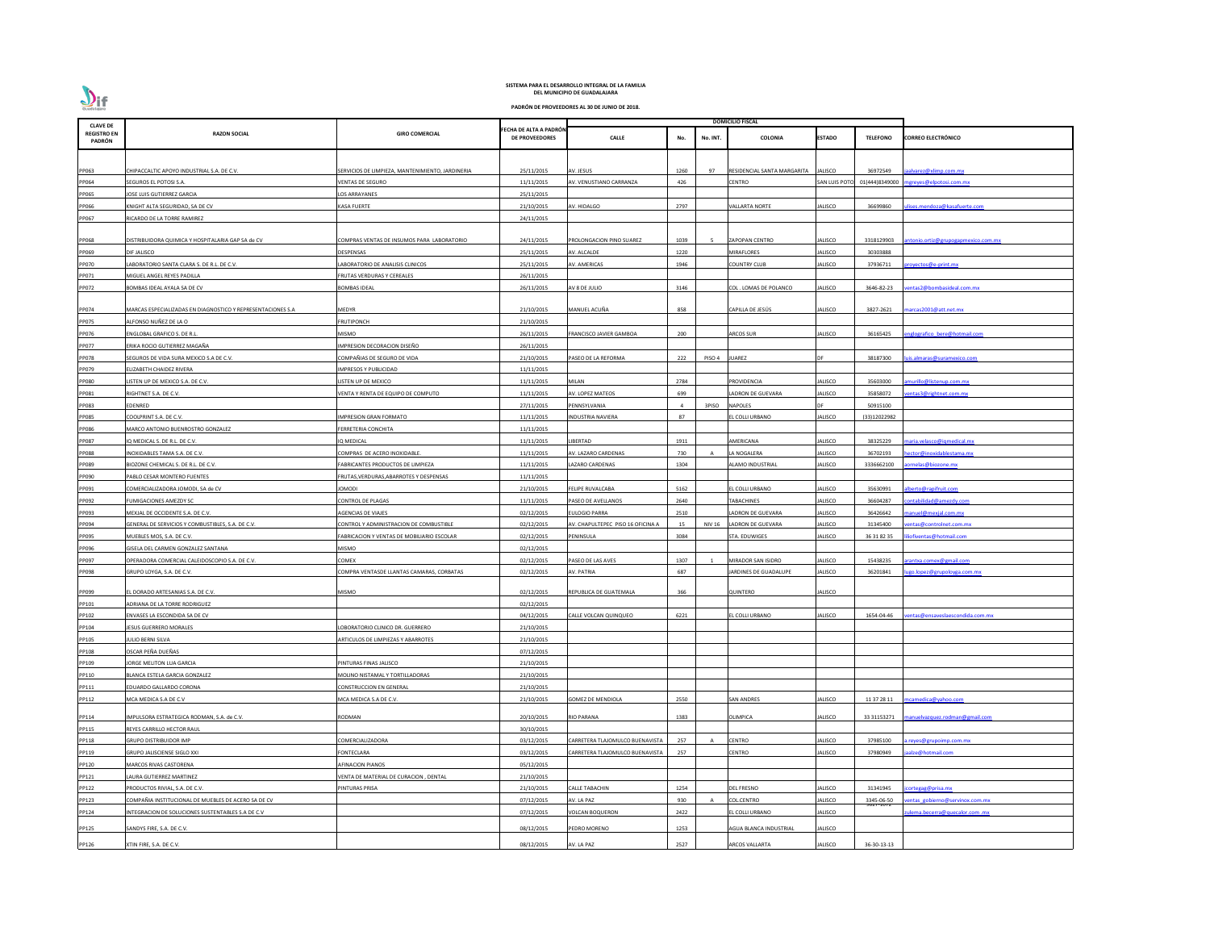

| <b>CLAVE DE</b>              |                                                             |                                                  |                                                 |                                   |      |               | <b>DOMICILIO FISCAL</b>     |                     |                         |                                        |
|------------------------------|-------------------------------------------------------------|--------------------------------------------------|-------------------------------------------------|-----------------------------------|------|---------------|-----------------------------|---------------------|-------------------------|----------------------------------------|
| <b>REGISTRO EN</b><br>PADRÓN | <b>RAZON SOCIAL</b>                                         | <b>GIRO COMERCIAL</b>                            | FECHA DE ALTA A PADRÓN<br><b>DE PROVEEDORES</b> | <b>CALLE</b>                      | No.  | No. INT.      | <b>COLONIA</b>              | <b>ESTADO</b>       | <b>TELEFONO</b>         | <b>CORREO ELECTRÓNICO</b>              |
|                              |                                                             |                                                  |                                                 |                                   |      |               |                             |                     |                         |                                        |
| PP063                        | CHIPACCALTIC APOYO INDUSTRIAL S.A. DE C.V.                  | SERVICIOS DE LIMPIEZA, MANTENIMIENTO, JARDINERIA | 25/11/2015                                      | AV. JESUS                         | 1260 | 97            | RESIDENCIAL SANTA MARGARITA | ALISCO              | 36972549                | jaalvarez@xlimp.com.mx                 |
| PP064                        | SEGUROS EL POTOSI S.A.                                      | <b>VENTAS DE SEGURO</b>                          | 11/11/2015                                      | AV. VENUSTIANO CARRANZA           | 426  |               | CENTRO                      | <b>SAN LUIS POT</b> |                         | 01(444)8349000 mgreyes@elpotosi.com.mx |
| PP065                        | JOSE LUIS GUTIERREZ GARCIA                                  | LOS ARRAYANES                                    | 25/11/2015                                      |                                   |      |               |                             |                     |                         |                                        |
| PP066                        | KNIGHT ALTA SEGURIDAD, SA DE CV                             | <b>KASA FUERTE</b>                               | 21/10/2015                                      | AV. HIDALGO                       | 2797 |               | VALLARTA NORTE              | <b>IALISCO</b>      | 36699860                | lises.mendoza@kasafuerte.com           |
| PP067                        | RICARDO DE LA TORRE RAMIREZ                                 |                                                  | 24/11/2015                                      |                                   |      |               |                             |                     |                         |                                        |
|                              |                                                             |                                                  |                                                 |                                   |      |               |                             |                     |                         |                                        |
| PP068                        | DISTRIBUIDORA QUIMICA Y HOSPITALARIA GAP SA de CV           | COMPRAS VENTAS DE INSUMOS PARA LABORATORIO       | 24/11/2015                                      | PROLONGACION PINO SUAREZ          | 1039 | -5            | <b>ZAPOPAN CENTRO</b>       | <b>JALISCO</b>      | 3318129903              | antonio.ortiz@grupogapmexico.com.mx    |
| PP069                        | DIF JALISCO                                                 | <b>DESPENSAS</b>                                 | 25/11/2015                                      | AV. ALCALDE                       | 1220 |               | MIRAFLORES                  | JALISCO             | 30303888                |                                        |
| PP070                        | LABORATORIO SANTA CLARA S. DE R.L. DE C.V.                  | LABORATORIO DE ANALISIS CLINICOS                 | 25/11/2015                                      | AV. AMERICAS                      | 1946 |               | <b>COUNTRY CLUB</b>         | JALISCO             | 37936711                | oroyectos@e-print.mx                   |
| PP071                        | MIGUEL ANGEL REYES PADILLA                                  | FRUTAS VERDURAS Y CEREALES                       | 26/11/2015                                      |                                   |      |               |                             |                     |                         |                                        |
| PP072                        | BOMBAS IDEAL AYALA SA DE CV                                 | <b>BOMBAS IDEAL</b>                              | 26/11/2015                                      | AV 8 DE JULIO                     | 3146 |               | COL . LOMAS DE POLANCO      | IALISCO             | 3646-82-23              | entas2@bombasideal.com.mx              |
|                              |                                                             |                                                  |                                                 |                                   |      |               |                             |                     |                         |                                        |
| PP074                        | MARCAS ESPECIALIZADAS EN DIAGNOSTICO Y REPRESENTACIONES S.A | <b>MEDYR</b>                                     | 21/10/2015                                      | MANUEL ACUÑA                      | 858  |               | CAPILLA DE JESÚS            | <b>JALISCO</b>      | 3827-2621               | marcas2001@att.net.mx                  |
| PP075                        | ALFONSO NUÑEZ DE LA O                                       | <b>FRUTIPONCH</b>                                | 21/10/2015                                      |                                   |      |               |                             |                     |                         |                                        |
| PP076                        | ENGLOBAL GRAFICO S. DE R.L.                                 | <b>MISMO</b>                                     | 26/11/2015                                      | RANCISCO JAVIER GAMBOA            | 200  |               | <b>ARCOS SUR</b>            | JALISCO             | 36165425                | nglografico bere@hotmail.com           |
| PP077                        | ERIKA ROCIO GUTIERREZ MAGAÑA                                | IMPRESION DECORACION DISEÑO                      | 26/11/2015                                      |                                   |      |               |                             |                     |                         |                                        |
| PP078                        | SEGUROS DE VIDA SURA MEXICO S.A DE C.V.                     | COMPAÑIAS DE SEGURO DE VIDA                      | 21/10/2015                                      | ASEO DE LA REFORMA                | 222  | PISO 4        | UAREZ                       |                     | 38187300                | <u>uis.almaras@suramexico.com</u>      |
| PP079                        | ELIZABETH CHAIDEZ RIVERA                                    | <b>IMPRESOS Y PUBLICIDAD</b>                     | 11/11/2015                                      |                                   |      |               |                             |                     |                         |                                        |
| <b>PP080</b>                 | LISTEN UP DE MEXICO S.A. DE C.V.                            | LISTEN UP DE MEXICO                              | 11/11/2015                                      | MILAN                             | 2784 |               | PROVIDENCIA                 | <b>IALISCO</b>      | 35603000                | murillo@listenup.com.mx                |
| PP081                        | RIGHTNET S.A. DE C.V.                                       | VENTA Y RENTA DE EQUIPO DE COMPUTO               | 11/11/2015                                      | AV. LOPEZ MATEOS                  | 699  |               | <b>LADRON DE GUEVARA</b>    | JALISCO             | 35858072                | entas3@rightnet.com.mx                 |
| PP083                        | EDENRED                                                     |                                                  | 27/11/2015                                      | PENNSYLVANIA                      |      | 3PISO         | <b>NAPOLES</b>              |                     | 50915100                |                                        |
| PP085                        | COOLPRINT S.A. DE C.V.                                      | <b>IMPRESION GRAN FORMATO</b>                    | 11/11/2015                                      | INDUSTRIA NAVIERA                 | 87   |               | EL COLLI URBANO             | JALISCO             | (33)12022982            |                                        |
| PP086                        | MARCO ANTONIO BUENROSTRO GONZALEZ                           | FERRETERIA CONCHITA                              | 11/11/2015                                      |                                   |      |               |                             |                     |                         |                                        |
| PP087                        | IQ MEDICAL S. DE R.L. DE C.V.                               | IQ MEDICAL                                       | 11/11/2015                                      | <b>IBERTAD</b>                    | 1911 |               | AMERICANA                   | JALISCO             | 38325229                | <u>maria. velas co@iqmedical.mx</u>    |
| PP088                        | NOXIDABLES TAMA S.A. DE C.V.                                | COMPRAS DE ACERO INOXIDABLE                      | 11/11/2015                                      | V. LAZARO CARDENAS                | 730  |               | LA NOGALERA                 | <b>IALISCO</b>      | 36702193                | nector@inoxidablestama.mx              |
| PP089                        | BIOZONE CHEMICAL S. DE R.L. DE C.V.                         | FABRICANTES PRODUCTOS DE LIMPIEZA                | 11/11/2015                                      | AZARO CARDENAS                    | 1304 |               | <b>ALAMO INDUSTRIAL</b>     | <b>JALISCO</b>      | 3336662100              | aornelas@biozone.mx                    |
| PP090                        | PABLO CESAR MONTERO FUENTES                                 | FRUTAS, VERDURAS, ABARROTES Y DESPENSAS          | 11/11/2015                                      |                                   |      |               |                             |                     |                         |                                        |
| PP091                        | COMERCIALIZADORA JOMODI, SA de CV                           | <b>JOMODI</b>                                    | 21/10/2015                                      | <b>FELIPE RUVALCABA</b>           | 5162 |               | EL COLLI URBANO             | <b>JALISCO</b>      | 35630991                | alberto@rapifruit.com                  |
| PP092                        | <b>FUMIGACIONES AMEZDY SC</b>                               | <b>CONTROL DE PLAGAS</b>                         | 11/11/2015                                      | PASEO DE AVELLANOS                | 2640 |               | TABACHINES                  | JALISCO             | 36604287                | ontabilidad@amezdy.com                 |
| PP093                        | MEXJAL DE OCCIDENTE S.A. DE C.V.                            | <b>AGENCIAS DE VIAJES</b>                        | 02/12/2015                                      | ULOGIO PARRA                      | 2510 |               | LADRON DE GUEVARA           | JALISCO             | 36426642                | nanuel@mexjal.com.mx                   |
| PP094                        | GENERAL DE SERVICIOS Y COMBUSTIBLES, S.A. DE C.V.           | CONTROL Y ADMINISTRACION DE COMBUSTIBLE          | 02/12/2015                                      | AV. CHAPULTEPEC PISO 16 OFICINA A | 15   | <b>NIV 16</b> | <b>LADRON DE GUEVARA</b>    | JALISCO             | 31345400                | entas@controlnet.com.mx                |
| PP095                        | MUEBLES MOS, S.A. DE C.V.                                   | FABRICACION Y VENTAS DE MOBILIARIO ESCOLAR       | 02/12/2015                                      | PENINSULA                         | 3084 |               | STA. EDUWIGES               | <b>JALISCO</b>      | 36 31 82 35             | liofiventas@hotmail.com                |
| PP096                        | GISELA DEL CARMEN GONZALEZ SANTANA                          | <b>MISMO</b>                                     | 02/12/2015                                      |                                   |      |               |                             |                     |                         |                                        |
| PP097                        | OPERADORA COMERCIAL CALEIDOSCOPIO S.A. DE C.V.              | COMEX                                            | 02/12/2015                                      | ASEO DE LAS AVES                  | 1307 |               | MIRADOR SAN ISIDRO          | IALISCO             | 15438235                | rantxa.comex@gmail.com                 |
| PP098                        | GRUPO LOYGA, S.A. DE C.V.                                   | COMPRA VENTASDE LLANTAS CAMARAS, CORBATAS        | 02/12/2015                                      | AV. PATRIA                        | 687  |               | JARDINES DE GUADALUPE       | JALISCO             | 36201841                | ugo.lopez@grupoloyga.com.mx            |
|                              |                                                             |                                                  |                                                 |                                   |      |               |                             |                     |                         |                                        |
| PP099                        | EL DORADO ARTESANIAS S.A. DE C.V.                           | <b>MISMO</b>                                     | 02/12/2015                                      | REPUBLICA DE GUATEMALA            | 366  |               | QUINTERO                    | <b>JALISCO</b>      |                         |                                        |
| PP101                        | ADRIANA DE LA TORRE RODRIGUEZ                               |                                                  | 02/12/2015                                      |                                   |      |               |                             |                     |                         |                                        |
| PP102                        | ENVASES LA ESCONDIDA SA DE CV                               |                                                  | 04/12/2015                                      | CALLE VOLCAN QUINQUEO             | 6221 |               | L COLLI URBANO              | <b>IALISCO</b>      | 1654-04-46              | entas@ensaveslaescondida.com.mx        |
| PP104                        | <b>JESUS GUERRERO MORALES</b>                               | LOBORATORIO CLINICO DR. GUERRERO                 | 21/10/2015                                      |                                   |      |               |                             |                     |                         |                                        |
| PP105                        | <b>JULIO BERNI SILVA</b>                                    | ARTICULOS DE LIMPIEZAS Y ABARROTES               | 21/10/2015                                      |                                   |      |               |                             |                     |                         |                                        |
| PP108                        | OSCAR PEÑA DUEÑAS                                           |                                                  | 07/12/2015                                      |                                   |      |               |                             |                     |                         |                                        |
| PP109                        | JORGE MELITON LUA GARCIA                                    | PINTURAS FINAS JALISCO                           | 21/10/2015                                      |                                   |      |               |                             |                     |                         |                                        |
| PP110                        | BLANCA ESTELA GARCIA GONZALEZ                               | MOLINO NISTAMAL Y TORTILLADORAS                  | 21/10/2015                                      |                                   |      |               |                             |                     |                         |                                        |
| PP111                        | EDUARDO GALLARDO CORONA                                     | <b>CONSTRUCCION EN GENERAL</b>                   | 21/10/2015                                      |                                   |      |               |                             |                     |                         |                                        |
| PP112                        | MCA MEDICA S.A DE C.V                                       | MCA MEDICA S.A DE C.V.                           | 21/10/2015                                      | <b>GOMEZ DE MENDIOLA</b>          | 2550 |               | SAN ANDRES                  | <b>IALISCO</b>      | 11 37 28 11             | ncamedica@yahoo.com                    |
|                              |                                                             |                                                  |                                                 |                                   |      |               |                             |                     |                         |                                        |
| PP114                        | IMPULSORA ESTRATEGICA RODMAN, S.A. de C.V.                  | RODMAN                                           | 20/10/2015                                      | RIO PARANA                        | 1383 |               | OLIMPICA                    | <b>JALISCO</b>      | 33 31153271             | manuelvazquez.rodman@gmail.com         |
| PP115                        | REYES CARRILLO HECTOR RAUL                                  |                                                  | 30/10/2015                                      |                                   |      |               |                             |                     |                         |                                        |
| PP118                        | <b>GRUPO DISTRIBUIDOR IMP</b>                               | COMERCIALIZADORA                                 | 03/12/2015                                      | ARRETERA TLAJOMULCO BUENAVISTA    | 257  |               | <b>CENTRO</b>               | <b>IALISCO</b>      | 37985100                | reyes@grupoimp.com.mx                  |
| PP119                        | <b>GRUPO JALISCIENSE SIGLO XXI</b>                          | <b>FONTECLARA</b>                                | 03/12/2015                                      | ARRETERA TLAJOMULCO BUENAVISTA    | 257  |               | CENTRO                      | JALISCO             | 37980949                | aalze@hotmail.com                      |
| PP120                        | MARCOS RIVAS CASTORENA                                      | <b>AFINACION PIANOS</b>                          | 05/12/2015                                      |                                   |      |               |                             |                     |                         |                                        |
| PP121                        | LAURA GUTIERREZ MARTINEZ                                    | VENTA DE MATERIAL DE CURACION, DENTAL            | 21/10/2015                                      |                                   |      |               |                             |                     |                         |                                        |
| PP122                        | PRODUCTOS RIVIAL, S.A. DE C.V.                              | PINTURAS PRISA                                   | 21/10/2015                                      | CALLE TABACHIN                    | 1254 |               | <b>DEL FRESNO</b>           | <b>JALISCO</b>      | 31341945                | jcortegag@prisa.mx                     |
| PP123                        | COMPAÑIA INSTITUCIONAL DE MUEBLES DE ACERO SA DE CV         |                                                  | 07/12/2015                                      | AV. LA PAZ                        | 930  |               | COL.CENTRO                  | JALISCO             | 3345-06-50<br>9027-1072 | entas gobierno@servinox.com.mx         |
| PP124                        | INTEGRACION DE SOLUCIONES SUSTENTABLES S.A DE C.V           |                                                  | 07/12/2015                                      | <b>/OLCAN BOQUERON</b>            | 2422 |               | L COLLI URBANO              | JALISCO             |                         | ulema.becerra@quecalor.com .mx         |
| PP125                        | SANDYS FIRE, S.A. DE C.V.                                   |                                                  | 08/12/2015                                      | PEDRO MORENO                      | 1253 |               | AGUA BLANCA INDUSTRIAL      | JALISCO             |                         |                                        |
|                              |                                                             |                                                  |                                                 |                                   |      |               |                             |                     |                         |                                        |
| PP126                        | XTIN FIRE, S.A. DE C.V.                                     |                                                  | 08/12/2015                                      | AV. LA PAZ                        | 2527 |               | ARCOS VALLARTA              | <b>JALISCO</b>      | 36-30-13-13             |                                        |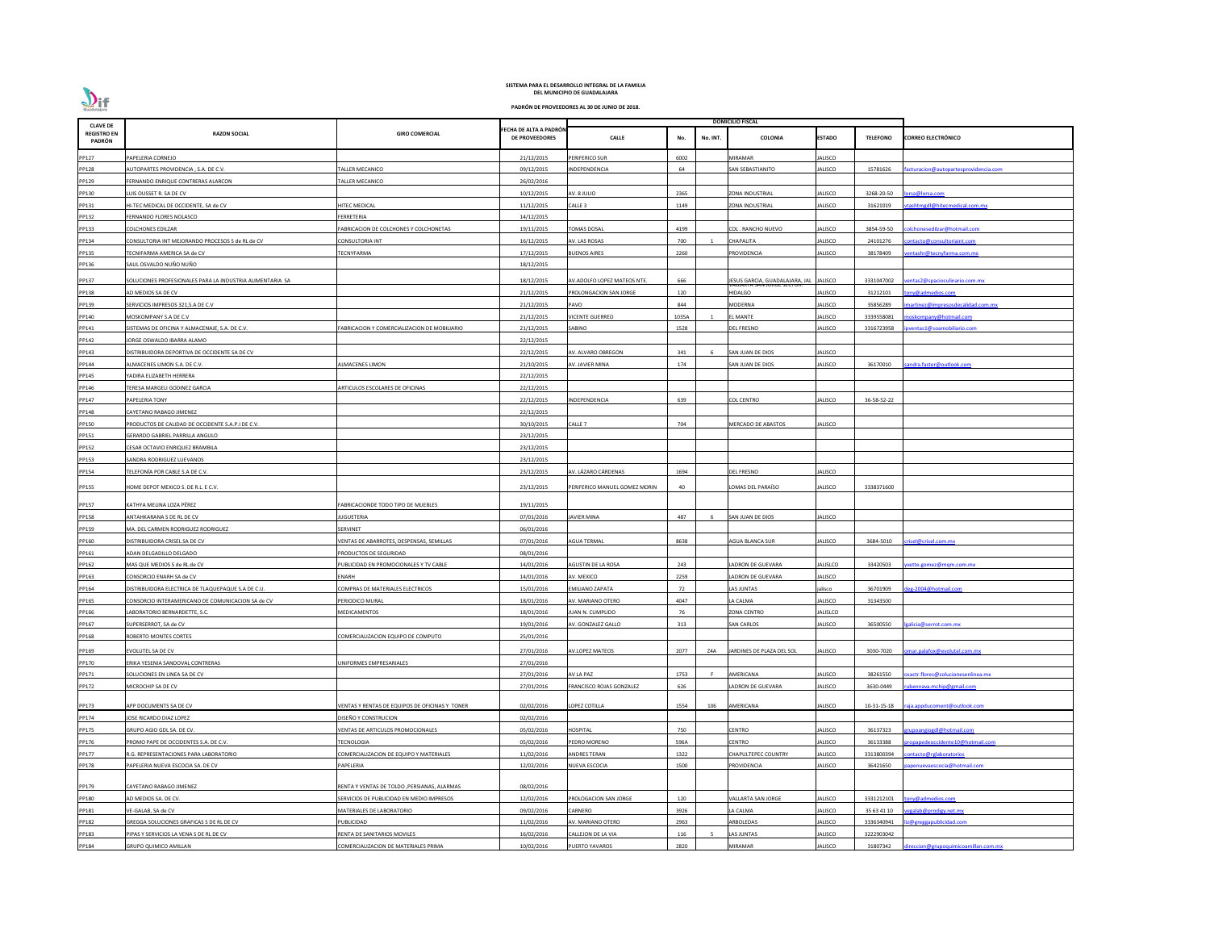| <b>CLAVE DE</b>              |                                                           |                                                |                                                 |                               |                 | <b>DOMICILIO FISCAL</b>        |                |                 |                                       |
|------------------------------|-----------------------------------------------------------|------------------------------------------------|-------------------------------------------------|-------------------------------|-----------------|--------------------------------|----------------|-----------------|---------------------------------------|
| <b>REGISTRO EN</b><br>PADRÓN | <b>RAZON SOCIAL</b>                                       | <b>GIRO COMERCIAL</b>                          | FECHA DE ALTA A PADRÓN<br><b>DE PROVEEDORES</b> | <b>CALLE</b>                  | No.<br>No. INT. | COLONIA                        | <b>ESTADO</b>  | <b>TELEFONO</b> | <b>CORREO ELECTRÓNICO</b>             |
| PP127                        | PAPELERIA CORNEJO                                         |                                                | 21/12/2015                                      | PERIFERICO SUR                | 6002            | <b>MIRAMAR</b>                 | JALISCO        |                 |                                       |
| PP128                        | AUTOPARTES PROVIDENCIA, S.A. DE C.V.                      | ALLER MECANICO                                 | 09/12/2015                                      | INDEPENDENCIA                 | 64              | SAN SEBASTIANITO               | JALISCO        | 15781626        | facturacion@autopartesprovidencia.com |
| PP129                        | ERNANDO ENRIQUE CONTRERAS ALARCON                         | ALLER MECANICO                                 | 26/02/2016                                      |                               |                 |                                |                |                 |                                       |
| PP130                        | LUIS OUSSET R. SA DE CV                                   |                                                | 10/12/2015                                      | AV. 8 JULIO                   | 2365            | <b>ZONA INDUSTRIAL</b>         | <b>JALISCO</b> | 3268-20-50      | orsa@lorsa.com                        |
| PP131                        | HI-TEC MEDICAL DE OCCIDENTE, SA de CV                     | <b>IITEC MEDICAL</b>                           | 11/12/2015                                      | CALLE <sub>3</sub>            | 1149            | ZONA INDUSTRIAL                | JALISCO        | 31621019        | tashtmgdl@hitecmedical.com.mx         |
| PP132                        | FERNANDO FLORES NOLASCO                                   | FERRETERIA                                     | 14/12/2015                                      |                               |                 |                                |                |                 |                                       |
| PP133                        | COLCHONES EDILZAR                                         | ABRICACION DE COLCHONES Y COLCHONETAS          | 19/11/2015                                      | <b>OMAS DOSAL</b>             | 4199            | COL . RANCHO NUEVO             | JALISCO        | 3854-59-50      | olchonesedilzar@hotmail.com           |
| PP134                        | CONSULTORIA INT MEJORANDO PROCESOS S de RL de CV          | CONSULTORIA INT                                | 16/12/2015                                      | AV. LAS ROSAS                 | 700             | <b>CHAPALITA</b>               | JALISCO        | 24101276        | ontacto@consultoriaint.com            |
| PP135                        | TECNIFARMA AMERICA SA de CV                               | ECNYFARMA                                      | 17/12/2015                                      | <b>BUENOS AIRES</b>           | 2260            | <b>ROVIDENCIA</b>              | ALISCO         | 38178409        | entashr@tecnyfarma.com.mx             |
| PP136                        | SAUL OSVALDO NUÑO NUÑO                                    |                                                | 18/12/2015                                      |                               |                 |                                |                |                 |                                       |
| PP137                        | SOLUCIONES PROFESIONALES PARA LA INDUSTRIA ALIMENTARIA SA |                                                | 18/12/2015                                      | AV.ADOLFO LOPEZ MATEOS NTE.   | 666             | JESUS GARCIA, GUADALAJARA, JAL | <b>JALISCO</b> | 3331047002      | entas 2@spacioculinario.com.mx        |
| PP138                        | AD MEDIOS SA DE CV                                        |                                                | 21/12/2015                                      | PROLONGACION SAN JORGE        | 120             | HIDALGO                        | JALISCO        | 31212101        | ony@admedios.com                      |
| PP139                        | SERVICIOS IMPRESOS 321, S.A DE C.V                        |                                                | 21/12/2015                                      | PAVO                          | 844             | <b>MODERNA</b>                 | JALISCO        | 35856289        | nartinez@impresosdecalidad.com.mx     |
| PP140                        | MOSKOMPANY S.A DE C.V                                     |                                                | 21/12/2015                                      | <b>VICENTE GUERREO</b>        | 1035A           | L MANTE                        | JALISCO        | 3339558081      | noskompany@hotmail.com                |
| PP141                        | SISTEMAS DE OFICINA Y ALMACENAJE, S.A. DE C.V.            | ABRICACION Y COMERCIALIZACION DE MOBILIARIO    | 21/12/2015                                      | SABINO                        | 1528            | DEL FRESNO                     | ALISCO         | 3316723958      | ventas1@soamobiliario.com             |
| PP142                        | <b>JORGE OSWALDO IBARRA ALAMO</b>                         |                                                | 22/12/2015                                      |                               |                 |                                |                |                 |                                       |
| PP143                        | DISTRIBUIDORA DEPORTIVA DE OCCIDENTE SA DE CV             |                                                | 22/12/2015                                      | AV. ALVARO OBREGON            | 341             | SAN JUAN DE DIOS               | JALISCO        |                 |                                       |
| PP144                        | ALMACENES LIMON S.A. DE C.V.                              | <b>LMACENES LIMON</b>                          | 21/10/2015                                      | AV. JAVIER MINA               | 174             | SAN JUAN DE DIOS               | JALISCO        | 36170010        | andra.faster@outlook.com              |
| PP145                        | YADIRA ELIZABETH HERRERA                                  |                                                | 22/12/2015                                      |                               |                 |                                |                |                 |                                       |
| PP146                        | FERESA MARGELI GODINEZ GARCIA                             | ARTICULOS ESCOLARES DE OFICINAS                | 22/12/2015                                      |                               |                 |                                |                |                 |                                       |
| PP147                        | PAPELERIA TONY                                            |                                                | 22/12/2015                                      | INDEPENDENCIA                 | 639             | <b>COL CENTRO</b>              | JALISCO        | 36-58-52-22     |                                       |
| PP148                        | CAYETANO RABAGO JIMENEZ                                   |                                                | 22/12/2015                                      |                               |                 |                                |                |                 |                                       |
| PP150                        | PRODUCTOS DE CALIDAD DE OCCIDENTE S.A.P.I DE C.V.         |                                                | 30/10/2015                                      | Calle 7                       | 704             | MERCADO DE ABASTOS             | JALISCO        |                 |                                       |
| PP151                        | GERARDO GABRIEL PARRILLA ANGULO                           |                                                | 23/12/2015                                      |                               |                 |                                |                |                 |                                       |
| PP152                        | CESAR OCTAVIO ENRIQUEZ BRAMBILA                           |                                                | 23/12/2015                                      |                               |                 |                                |                |                 |                                       |
| PP153                        | SANDRA RODRIGUEZ LUEVANOS                                 |                                                | 23/12/2015                                      |                               |                 |                                |                |                 |                                       |
| PP154                        | TELEFONÍA POR CABLE S.A DE C.V.                           |                                                | 23/12/2015                                      | AV. LÁZARO CÁRDENAS           | 1694            | DEL FRESNO                     | JALISCO        |                 |                                       |
| PP155                        | HOME DEPOT MEXICO S. DE R.L. E C.V.                       |                                                | 23/12/2015                                      | PERIFERICO MANUEL GOMEZ MORIN | 40              | LOMAS DEL PARAÍSO              | JALISCO        | 3338371600      |                                       |
| PP157                        | KATHYA MELINA LOZA PÉREZ                                  | FABRICACIONDE TODO TIPO DE MUEBLES             | 19/11/2015                                      |                               |                 |                                |                |                 |                                       |
| PP158                        | ANTAHKARANA S DE RL DE CV                                 | JUGUETERIA                                     | 07/01/2016                                      | <b>JAVIER MINA</b>            | 487<br>-6       | SAN JUAN DE DIOS               | JALISCO        |                 |                                       |
| PP159                        | MA. DEL CARMEN RODRIGUEZ RODRIGUEZ                        | SERVINET                                       | 06/01/2016                                      |                               |                 |                                |                |                 |                                       |
| PP160                        | DISTRIBUIDORA CRISEL SA DE CV                             | VENTAS DE ABARROTES, DESPENSAS, SEMILLAS       | 07/01/2016                                      | <b>AGUA TERMAL</b>            | 8638            | <b>AGUA BLANCA SUR</b>         | JALISCO        | 3684-5010       | risel@crisel.com.mx                   |
| PP161                        | ADAN DELGADILLO DELGADO                                   | RODUCTOS DE SEGURIDAD                          | 08/01/2016                                      |                               |                 |                                |                |                 |                                       |
| PP162                        | MAS QUE MEDIOS S de RL de CV                              | UBLICIDAD EN PROMOCIONALES Y TV CABLE          | 14/01/2016                                      | AGUSTIN DE LA ROSA            | 243             | LADRON DE GUEVARA              | JALISLCO       | 33420503        | vette.gomez@mgm.com.mx                |
| PP163                        | CONSORCIO ENARH SA de CV                                  | ENARH                                          | 14/01/2016                                      | AV. MEXICO                    | 2259            | LADRON DE GUEVARA              | JALISCO        |                 |                                       |
| PP164                        | DISTRIBUIDORA ELECTRICA DE TLAQUEPAQUE S.A DE C.U.        | COMPRAS DE MATERIALES ELECTRICOS               | 15/01/2016                                      | EMILIANO ZAPATA               | 72              | LAS JUNTAS                     | jalisco        | 36701909        | eg-2004@hotmail.com                   |
| PP165                        | CONSORCIO INTERAMERICANO DE COMUNICACION SA de CV         | PERIODICO MURAL                                | 18/01/2016                                      | AV. MARIANO OTERO             | 4047            | LA CALMA                       | <b>JALISCO</b> | 31343500        |                                       |
| PP166                        | LABORATORIO BERNARDETTE, S.C.                             | MEDICAMENTOS                                   | 18/01/2016                                      | UAN N. CUMPLIDO               | 76              | ZONA CENTRO                    | JALISLCO       |                 |                                       |
| PP167                        | SUPERSERROT, SA de CV                                     |                                                | 19/01/2016                                      | AV. GONZALEZ GALLO            | 313             | <b>SAN CARLOS</b>              | <b>JALISCO</b> | 36500550        | alicia@serrot.com.mx                  |
| PP168                        | ROBERTO MONTES CORTES                                     | COMERCIALIZACION EQUIPO DE COMPUTO             | 25/01/2016                                      |                               |                 |                                |                |                 |                                       |
| PP169                        | EVOLUTEL SA DE CV                                         |                                                | 27/01/2016                                      | AV.LOPEZ MATEOS               | 2077<br>Z4A     | JARDINES DE PLAZA DEL SOL      | JALISCO        | 3030-7020       | mar.palafox@evolutel.com.mx           |
| PP170                        | ERIKA YESENIA SANDOVAL CONTRERAS                          | <b>INIFORMES EMPRESARIALES</b>                 | 27/01/2016                                      |                               |                 |                                |                |                 |                                       |
| PP171                        | SOLUCIONES EN LINEA SA DE CV                              |                                                | 27/01/2016                                      | AV LA PAZ                     | 1753            | AMERICANA                      | <b>JALISCO</b> | 38261550        | sactr.flores@solucionesenlinea.mx     |
| PP172                        | MICROCHIP SA DE CV                                        |                                                | 27/01/2016                                      | RANCISCO ROJAS GONZALEZ       | 626             | ADRON DE GUEVARA               | JALISCO        | 3630-0449       | bennava.mchip@gmail.com               |
| PP173                        | APP DOCUMENTS SA DE CV                                    | VENTAS Y RENTAS DE EQUIPOS DE OFICINAS Y TONER | 02/02/2016                                      | LOPEZ COTILLA                 | 1554<br>106     | AMERICANA                      | JALISCO        | 10-31-15-18     | aja.appducoment@outlook.com           |
| PP174                        | <b>JOSE RICARDO DIAZ LOPEZ</b>                            | DISEÑO Y CONSTRUCION                           | 02/02/2016                                      |                               |                 |                                |                |                 |                                       |
| PP175                        | GRUPO AGIO GDL SA. DE CV.                                 | VENTAS DE ARTICULOS PROMOCIONALES              | 05/02/2016                                      | HOSPITAL                      | 750             | CENTRO                         | ALISCO         | 36137323        | rupoangiogdl@hotmail.com              |
| PP176                        | PROMO PAPE DE OCCIDENTES S.A. DE C.V.                     | <b>ECNOLOGIA</b>                               | 05/02/2016                                      | PEDRO MORENO                  | 596A            | CENTRO                         | <b>ALISCO</b>  | 36133388        | ropapedeoccidente10@hotmail.com       |
| PP177                        | R.G. REPRESENTACIONES PARA LABORATORIO                    | COMERCIALIZACION DE EQUIPO Y MATERIALES        | 11/02/2016                                      | ANDRES TERAN                  | 1322            | CHAPULTEPEC COUNTRY            | JALISCO        | 3313800394      | ontacto@rglaboratorios                |
| PP178                        | PAPELERIA NUEVA ESCOCIA SA. DE CV                         | PAPELERIA                                      | 12/02/2016                                      | NUEVA ESCOCIA                 | 1500            | PROVIDENCIA                    | <b>JALISCO</b> | 36421650        | ipenuevaescocia@hotmail.com           |
| PP179                        | CAYETANO RABAGO JIMENEZ                                   | RENTA Y VENTAS DE TOLDO , PERSIANAS, ALARMAS   | 08/02/2016                                      |                               |                 |                                |                |                 |                                       |
| PP180                        | AD MEDIOS SA. DE CV.                                      | SERVICIOS DE PUBLICIDAD EN MEDIO IMPRESOS      | 12/02/2016                                      | PROLOGACION SAN JORGE         | 120             | /ALLARTA SAN JORGE             | <b>JALISCO</b> | 3331212101      | ony@admedios.com                      |
| PP181                        | VE-GALAB, SA de CV                                        | MATERIALES DE LABORATORIO                      | 09/02/2016                                      | CARNERO                       | 3926            | LA CALMA                       | JALISCO        | 35 63 41 10     | egalab@prodigy.net.mx                 |
| PP182                        | GREGGA SOLUCIONES GRAFICAS S DE RL DE CV                  | PUBLICIDAD                                     | 11/02/2016                                      | AV. MARIANO OTERO             | 2963            | ARBOLEDAS                      | JALISCO        | 3336340941      | z@greggapublicidad.com                |
| PP183                        | PIPAS Y SERVICIOS LA VENA S DE RL DE CV                   | RENTA DE SANITARIOS MOVILES                    | 16/02/2016                                      | CALLEJON DE LA VIA            | 116             | AS JUNTAS                      | JALISCO        | 3222903042      |                                       |
| PP184                        | GRUPO QUIMICO AMILLAN                                     | COMERCIALIZACION DE MATERIALES PRIMA           | 10/02/2016                                      | PUERTO YAVAROS                | 2820            | <b>MIRAMAR</b>                 | <b>JALISCO</b> | 31807342        | lireccion@grupoquimicoamillan.com.mx  |

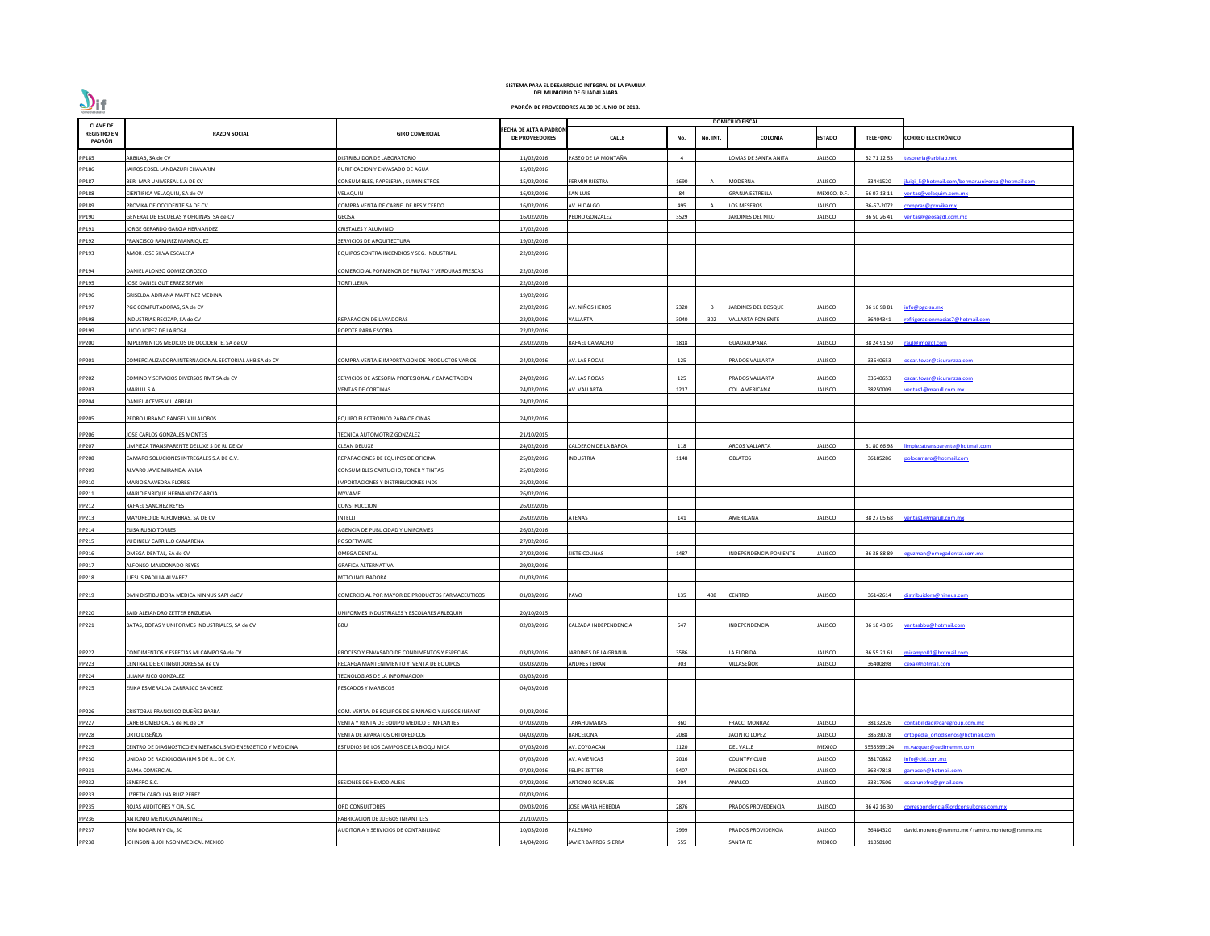| <b>CLAVE DE</b>              |                                                            |                                                    |                                                 | <b>DOMICILIO FISCAL</b>   |      |          |                          |               |                 |                                                 |
|------------------------------|------------------------------------------------------------|----------------------------------------------------|-------------------------------------------------|---------------------------|------|----------|--------------------------|---------------|-----------------|-------------------------------------------------|
| <b>REGISTRO EN</b><br>PADRÓN | <b>RAZON SOCIAL</b>                                        | <b>GIRO COMERCIAL</b>                              | FECHA DE ALTA A PADRÓN<br><b>DE PROVEEDORES</b> | <b>CALLE</b>              | No.  | No. INT. | <b>COLONIA</b>           | <b>ESTADO</b> | <b>TELEFONO</b> | <b>CORREO ELECTRÓNICO</b>                       |
| PP185                        | ARBILAB, SA de CV                                          | DISTRIBUIDOR DE LABORATORIO                        | 11/02/2016                                      | PASEO DE LA MONTAÑA       |      |          | LOMAS DE SANTA ANITA     | ALISCO        | 32 71 12 53     | esoreria@arbilab.net                            |
| PP186                        | AIROS EDSEL LANDAZURI CHAVARIN                             | <b>URIFICACION Y ENVASADO DE AGUA</b>              | 15/02/2016                                      |                           |      |          |                          |               |                 |                                                 |
| PP187                        | BER- MAR UNIVERSAL S.A DE CV                               | CONSUMIBLES, PAPELERIA, SUMINISTROS                | 15/02/2016                                      | FERMIN RIESTRA            | 1690 | A        | <b>MODERNA</b>           | ALISCO        | 33441520        | uigi 5@hotmail.com/bermar.universal@hotmail.com |
| PP188                        | CIENTIFICA VELAQUIN, SA de CV                              | VELAQUIN                                           | 16/02/2016                                      | SAN LUIS                  | 84   |          | <b>GRANJA ESTRELLA</b>   | MEXICO, D.F   | 56 07 13 11     | entas@velaquim.com.mx                           |
| PP189                        | PROVIKA DE OCCIDENTE SA DE CV                              | COMPRA VENTA DE CARNE DE RES Y CERDO               | 16/02/2016                                      | AV. HIDALGO               | 495  |          | LOS MESEROS              | ALISCO        | 36-57-2072      | ompras@provika.mx                               |
| PP190                        | GENERAL DE ESCUELAS Y OFICINAS, SA de CV                   | GEOSA                                              | 16/02/2016                                      | PEDRO GONZALEZ            | 3529 |          | JARDINES DEL NILO        | ALISCO        | 36 50 26 41     | entas@geosagdl.com.mx                           |
| PP191                        | JORGE GERARDO GARCIA HERNANDEZ                             | CRISTALES Y ALUMINIO                               | 17/02/2016                                      |                           |      |          |                          |               |                 |                                                 |
| PP192                        | FRANCISCO RAMIREZ MANRIQUEZ                                | SERVICIOS DE ARQUITECTURA                          | 19/02/2016                                      |                           |      |          |                          |               |                 |                                                 |
| PP193                        | AMOR JOSE SILVA ESCALERA                                   | <b>QUIPOS CONTRA INCENDIOS Y SEG. INDUSTRIAL</b>   | 22/02/2016                                      |                           |      |          |                          |               |                 |                                                 |
| PP194                        | DANIEL ALONSO GOMEZ OROZCO                                 | COMERCIO AL PORMENOR DE FRUTAS Y VERDURAS FRESCAS  | 22/02/2016                                      |                           |      |          |                          |               |                 |                                                 |
| PP195                        | <b>JOSE DANIEL GUTIERREZ SERVIN</b>                        | TORTILLERIA                                        | 22/02/2016                                      |                           |      |          |                          |               |                 |                                                 |
| PP196                        | GRISELDA ADRIANA MARTINEZ MEDINA                           |                                                    | 19/02/2016                                      |                           |      |          |                          |               |                 |                                                 |
| PP197                        | PGC COMPUTADORAS, SA de CV                                 |                                                    | 22/02/2016                                      | AV. NIÑOS HEROS           | 2320 |          | JARDINES DEL BOSQUE      | ALISCO        | 36 16 98 81     | info@pgc-sa.mx                                  |
| PP198                        | INDUSTRIAS RECIZAP, SA de CV                               | REPARACION DE LAVADORAS                            | 22/02/2016                                      | /ALLARTA                  | 3040 | 302      | <b>VALLARTA PONIENTE</b> | ALISCO        | 36404341        | efrigeracionmacias7@hotmail.com                 |
| PP199                        | LUCIO LOPEZ DE LA ROSA                                     | <b>POPOTE PARA ESCOBA</b>                          | 22/02/2016                                      |                           |      |          |                          |               |                 |                                                 |
| PP200                        | IMPLEMENTOS MEDICOS DE OCCIDENTE, SA de CV                 |                                                    | 23/02/2016                                      | RAFAEL CAMACHO            | 1818 |          | GUADALUPANA              | ALISCO        | 38 24 91 50     | raul@imogdl.com                                 |
| PP201                        | COMERCIALIZADORA INTERNACIONAL SECTORIAL AHB SA de CV      | COMPRA VENTA E IMPORTACION DE PRODUCTOS VARIOS     | 24/02/2016                                      | AV. LAS ROCAS             | 125  |          | PRADOS VALLARTA          | ALISCO        | 33640653        | scar.tovar@sicuranzza.com                       |
|                              |                                                            |                                                    |                                                 |                           |      |          |                          |               |                 |                                                 |
| PP202                        | COMIND Y SERVICIOS DIVERSOS RMT SA de CV                   | SERVICIOS DE ASESORIA PROFESIONAL Y CAPACITACION   | 24/02/2016                                      | AV. LAS ROCAS             | 125  |          | PRADOS VALLARTA          | ALISCO        | 33640653        | scar.tovar@sicuranzza.com                       |
| PP203                        | MARULL S.A                                                 | VENTAS DE CORTINAS                                 | 24/02/2016                                      | AV. VALLARTA              | 1217 |          | COL. AMERICANA           | ALISCO        | 38250009        | entas1@marull.com.mx                            |
| PP204                        | DANIEL ACEVES VILLARREAL                                   |                                                    | 24/02/2016                                      |                           |      |          |                          |               |                 |                                                 |
| PP205                        | PEDRO URBANO RANGEL VILLALOBOS                             | <b>QUIPO ELECTRONICO PARA OFICINAS</b>             | 24/02/2016                                      |                           |      |          |                          |               |                 |                                                 |
| PP206                        | JOSE CARLOS GONZALES MONTES                                | TECNICA AUTOMOTRIZ GONZALEZ                        | 21/10/2015                                      |                           |      |          |                          |               |                 |                                                 |
| PP207                        | LIMPIEZA TRANSPARENTE DELUXE S DE RL DE CV                 | CLEAN DELUXE                                       | 24/02/2016                                      | ALDERON DE LA BARCA       | 118  |          | <b>ARCOS VALLARTA</b>    | ALISCO        | 31 80 66 98     | npiezatransparente@hotmail.com                  |
| PP208                        | CAMARO SOLUCIONES INTREGALES S.A DE C.V.                   | REPARACIONES DE EQUIPOS DE OFICINA                 | 25/02/2016                                      | INDUSTRIA                 | 1148 |          | OBLATOS                  | ALISCO        | 36185286        | olocamaro@hotmail.com                           |
| PP209                        | ALVARO JAVIE MIRANDA AVILA                                 | CONSUMIBLES CARTUCHO, TONER Y TINTAS               | 25/02/2016                                      |                           |      |          |                          |               |                 |                                                 |
| PP210                        | MARIO SAAVEDRA FLORES                                      | <b>IMPORTACIONES Y DISTRIBUCIONES INDS</b>         | 25/02/2016                                      |                           |      |          |                          |               |                 |                                                 |
| PP211                        | MARIO ENRIQUE HERNANDEZ GARCIA                             | MYVAME                                             | 26/02/2016                                      |                           |      |          |                          |               |                 |                                                 |
| PP212                        | RAFAEL SANCHEZ REYES                                       | CONSTRUCCION                                       | 26/02/2016                                      |                           |      |          |                          |               |                 |                                                 |
| PP213                        | MAYOREO DE ALFOMBRAS. SA DE CV                             | INTELLI                                            | 26/02/2016                                      | <b>ATENAS</b>             | 141  |          | AMERICANA                | ALISCO        | 38 27 05 68     | entas1@marull.com.mx                            |
| PP214                        | <b>ELISA RUBIO TORRES</b>                                  | AGENCIA DE PUBLICIDAD Y UNIFORMES                  | 26/02/2016                                      |                           |      |          |                          |               |                 |                                                 |
| PP215                        | YUDINELY CARRILLO CAMARENA                                 | PC SOFTWARE                                        | 27/02/2016                                      |                           |      |          |                          |               |                 |                                                 |
| PP216                        | OMEGA DENTAL, SA de CV                                     | <b>OMEGA DENTAL</b>                                | 27/02/2016                                      | SIETE COLINAS             | 1487 |          | NDEPENDENCIA PONIENTE    | ALISCO        | 36 38 88 89     | guzman@omegadental.com.mx                       |
| PP217                        | <b>LEONSO MALDONADO REYES</b>                              | <b>GRAFICA ALTERNATIVA</b>                         | 29/02/2016                                      |                           |      |          |                          |               |                 |                                                 |
| PP218                        | JESUS PADILLA ALVAREZ                                      | MTTO INCUBADORA                                    | 01/03/2016                                      |                           |      |          |                          |               |                 |                                                 |
| PP219                        | DMN DISTIBUIDORA MEDICA NINNUS SAPI deCV                   | COMERCIO AL POR MAYOR DE PRODUCTOS FARMACEUTICOS   | 01/03/2016                                      | PAVO                      | 135  | 408      | <b>CENTRO</b>            | <b>ALISCO</b> | 36142614        | distribuidora@ninnus.com                        |
|                              |                                                            |                                                    |                                                 |                           |      |          |                          |               |                 |                                                 |
| PP220                        | SAID ALEJANDRO ZETTER BRIZUELA                             | UNIFORMES INDUSTRIALES Y ESCOLARES ARLEQUIN        | 20/10/2015                                      |                           |      |          |                          |               |                 |                                                 |
| PP221                        | BATAS, BOTAS Y UNIFORMES INDUSTRIALES, SA de CV            | <b>BBU</b>                                         | 02/03/2016                                      | CALZADA INDEPENDENCIA     | 647  |          | INDEPENDENCIA            | ALISCO        | 36 18 43 05     | ventasbbu@hotmail.com                           |
| PP222                        | CONDIMENTOS Y ESPECIAS MI CAMPO SA de CV                   | PROCESO Y ENVASADO DE CONDIMENTOS Y ESPECIAS       | 03/03/2016                                      | JARDINES DE LA GRANJA     | 3586 |          | LA FLORIDA               | <b>ALISCO</b> | 36 55 21 61     | micampo01@hotmail.com                           |
| PP223                        | CENTRAL DE EXTINGUIDORES SA de CV                          | RECARGA MANTENIMIENTO Y VENTA DE EQUIPOS           | 03/03/2016                                      | <b>ANDRES TERAN</b>       | 903  |          | VILLASEÑOR               | ALISCO        | 36400898        | exa@hotmail.com                                 |
| PP224                        | LILIANA RICO GONZALEZ                                      | TECNOLOGIAS DE LA INFORMACION                      | 03/03/2016                                      |                           |      |          |                          |               |                 |                                                 |
| PP225                        | ERIKA ESMERALDA CARRASCO SANCHEZ                           | PESCADOS Y MARISCOS                                | 04/03/2016                                      |                           |      |          |                          |               |                 |                                                 |
|                              |                                                            |                                                    |                                                 |                           |      |          |                          |               |                 |                                                 |
| PP226                        | CRISTOBAL FRANCISCO DUEÑEZ BARBA                           | COM. VENTA. DE EQUIPOS DE GIMNASIO Y JUEGOS INFANT | 04/03/2016                                      |                           |      |          |                          |               |                 |                                                 |
| PP227                        | CARE BIOMEDICAL S de RL de CV                              | /ENTA Y RENTA DE EQUIPO MEDICO E IMPLANTES         | 07/03/2016                                      | <b>ARAHUMARAS</b>         | 360  |          | FRACC. MONRAZ            | ALISCO        | 38132326        | contabilidad@caregroup.com.mx                   |
| PP228                        | ORTO DISEÑOS                                               | VENTA DE APARATOS ORTOPEDICOS                      | 04/03/2016                                      | BARCELONA                 | 2088 |          | <b>JACINTO LOPEZ</b>     | ALISCO        | 38539078        | rtopedia ortodisenos@hotmail.com                |
| PP229                        | CENTRO DE DIAGNOSTICO EN METABOLISMO ENERGETICO Y MEDICINA | ESTUDIOS DE LOS CAMPOS DE LA BIOQUIMICA            | 07/03/2016                                      | AV. COYOACAN              | 1120 |          | <b>DEL VALLE</b>         | MEXICO        | 5555599124      | n.vazquez@cedimemm.com                          |
| PP230                        | UNIDAD DE RADIOLOGIA IRM S DE R.L DE C.V.                  |                                                    | 07/03/2016                                      | AV. AMERICAS              | 2016 |          | <b>COUNTRY CLUB</b>      | ALISCO        | 38170882        | nfo@cid.com.mx                                  |
| PP231                        | <b>GAMA COMERCIAL</b>                                      |                                                    | 07/03/2016                                      | FELIPE ZETTER             | 5407 |          | PASEOS DEL SOL           | ALISCO        | 36347818        | amacon@hotmail.com                              |
| PP232                        | SENEFRO S.C.                                               | ESIONES DE HEMODIALISIS                            | 07/03/2016                                      | <b>ANTONIO ROSALES</b>    | 204  |          | ANALCO                   | ALISCO        | 33317506        | oscarunefro@gmail.com                           |
| PP233                        | LIZBETH CAROLINA RUIZ PEREZ                                |                                                    | 07/03/2016                                      |                           |      |          |                          |               |                 |                                                 |
| PP235                        | ROJAS AUDITORES Y CIA, S.C.                                | ORD CONSULTORES                                    | 09/03/2016                                      | <b>JOSE MARIA HEREDIA</b> | 2876 |          | PRADOS PROVEDENCIA       | ALISCO        | 36 42 16 30     | orrespondencia@ordconsultores.com.mx            |
| PP236                        | ANTONIO MENDOZA MARTINEZ                                   | FABRICACION DE JUEGOS INFANTILES                   | 21/10/2015                                      |                           |      |          |                          |               |                 |                                                 |
| PP237                        | RSM BOGARIN Y Cia, SC                                      | AUDITORIA Y SERVICIOS DE CONTABILIDAD              | 10/03/2016                                      | ALERMO                    | 2999 |          | PRADOS PROVIDENCIA       | ALISCO        | 36484320        | david.moreno@rsmmx.mx / ramiro.montero@rsmmx.mx |
| PP238                        | JOHNSON & JOHNSON MEDICAL MEXICO                           |                                                    | 14/04/2016                                      | JAVIER BARROS SIERRA      | 555  |          | <b>SANTA FE</b>          | MEXICO        | 11058100        |                                                 |

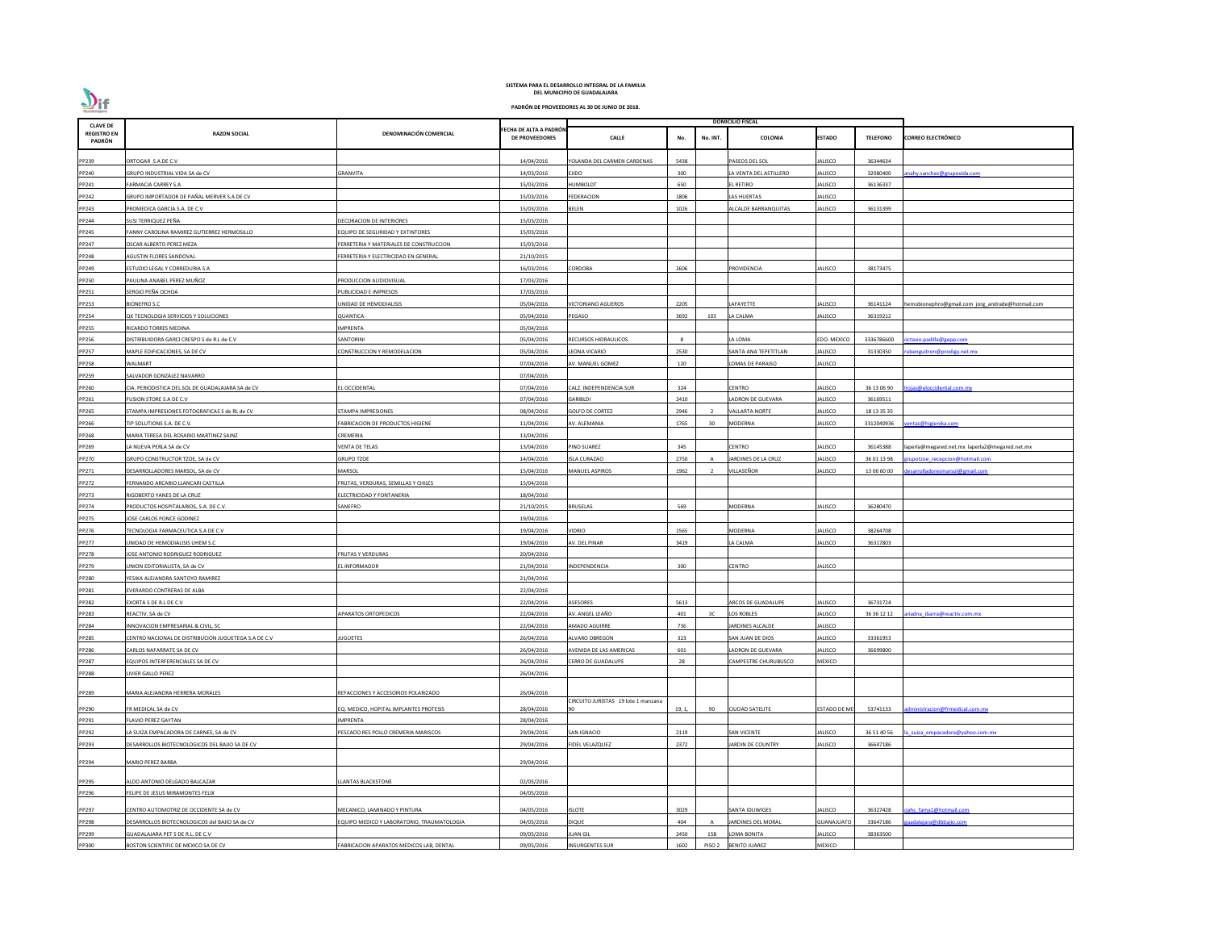| <b>CLAVE DE</b>              |                                                      |                                           |                                                 |                                    |        |                   | <b>DOMICILIO FISCAL</b> |                     |                 |                                                  |
|------------------------------|------------------------------------------------------|-------------------------------------------|-------------------------------------------------|------------------------------------|--------|-------------------|-------------------------|---------------------|-----------------|--------------------------------------------------|
| <b>REGISTRO EN</b><br>PADRÓN | <b>RAZON SOCIAL</b>                                  | DENOMINACIÓN COMERCIAL                    | FECHA DE ALTA A PADRÓN<br><b>DE PROVEEDORES</b> | <b>CALLE</b>                       | No.    | No. INT.          | <b>COLONIA</b>          | <b>ESTADO</b>       | <b>TELEFONO</b> | <b>CORREO ELECTRÓNICO</b>                        |
| PP239                        | ORTOGAR S.A DE C.V                                   |                                           | 14/04/2016                                      | YOLANDA DEL CARMEN CARDENAS        | 5438   |                   | PASEOS DEL SOL          | ALISCO              | 36344634        |                                                  |
| PP240                        | GRUPO INDUSTRIAL VIDA SA de CV                       | GRANVITA                                  | 14/03/2016                                      | EJIDO                              | 300    |                   | LA VENTA DEL ASTILLERO  | ALISCO              | 32080400        | nahy.sanchez@grupovida.com                       |
| PP241                        | <b>FARMACIA CARREY S.A</b>                           |                                           | 15/03/2016                                      | HUMBOLDT                           | 650    |                   | <b>L RETIRO</b>         | ALISCO              | 36136337        |                                                  |
| PP242                        | GRUPO IMPORTADOR DE PAÑAL MERVER S.A DE CV           |                                           | 15/03/2016                                      | <b>FEDERACION</b>                  | 1806   |                   | LAS HUERTAS             | ALISCO              |                 |                                                  |
| PP243                        | PROMEDICA GARCIA S.A. DE C.V                         |                                           | 15/03/2016                                      | BELEN                              | 1026   |                   | ALCALDE BARRANQUITAS    | ALISCO              | 36131399        |                                                  |
| PP244                        | SUSI TERRIQUEZ PEÑA                                  | DECORACION DE INTERIORES                  | 15/03/2016                                      |                                    |        |                   |                         |                     |                 |                                                  |
| PP245                        | FANNY CAROLINA RAMIREZ GUTIERREZ HERMOSILLO          | EQUIPO DE SEGURIDAD Y EXTINTORES          | 15/03/2016                                      |                                    |        |                   |                         |                     |                 |                                                  |
| PP247                        | OSCAR ALBERTO PEREZ MEZA                             | FERRETERIA Y MATERIALES DE CONSTRUCCION   | 15/03/2016                                      |                                    |        |                   |                         |                     |                 |                                                  |
| PP248                        | AGUSTIN FLORES SANDOVAL                              | FERRETERIA Y ELECTRICIDAD EN GENERAL      | 21/10/2015                                      |                                    |        |                   |                         |                     |                 |                                                  |
| PP249                        | ESTUDIO LEGAL Y CORREDURIA S.A                       |                                           | 16/03/2016                                      | CORDOBA                            | 2606   |                   | PROVIDENCIA             | ALISCO              | 38173475        |                                                  |
| PP250                        | PAULINA ANABEL PEREZ MUÑOZ                           | PRODUCCION AUDIOVISUAL                    | 17/03/2016                                      |                                    |        |                   |                         |                     |                 |                                                  |
| PP251                        | SERGIO PEÑA OCHOA                                    | UBLICIDAD E IMPRESOS                      | 17/03/2016                                      |                                    |        |                   |                         |                     |                 |                                                  |
| PP253                        | <b>BIONEFRO S.C</b>                                  | UNIDAD DE HEMODIALISIS                    | 05/04/2016                                      | <b>ICTORIANO AGUEROS</b>           | 2205   |                   | LAFAYETTE               | ALISCO              | 36141124        | hemobionephro@gmail.com jorg_andrade@hotmail.com |
| PP254                        | QK TECNOLOGIA SERVICIOS Y SOLUCIONES                 | QUANTICA                                  | 05/04/2016                                      | PEGASO                             | 3692   | 103               | LA CALMA                | ALISCO              | 36319212        |                                                  |
| PP255                        | RICARDO TORRES MEDINA                                | <b>MPRENTA</b>                            | 05/04/2016                                      |                                    |        |                   |                         |                     |                 |                                                  |
| PP256                        | DISTRIBUIDORA GARCI CRESPO S de R.L de C.V           | ANTORINI                                  | 05/04/2016                                      | RECURSOS HIDRAULICOS               | -8     |                   | A LOMA                  | <b>EDO. MEXICO</b>  | 3336786600      | octavio.padilla@gepp.com                         |
| PP257                        | MAPLE EDIFICACIONES, SA DE CV                        | CONSTRUCCION Y REMODELACION               | 05/04/2016                                      | EONA VICARIO                       | 2530   |                   | SANTA ANA TEPETITLAN    | ALISCO              | 31330350        | ubenguitron@prodigy.net.mx                       |
| PP258                        | WALMART                                              |                                           | 07/04/2016                                      | AV. MANUEL GOMEZ                   | 120    |                   | LOMAS DE PARAISO        | ALISCO              |                 |                                                  |
| PP259                        | SALVADOR GONZALEZ NAVARRO                            |                                           | 07/04/2016                                      |                                    |        |                   |                         |                     |                 |                                                  |
| PP260                        | CIA. PERIODISTICA DEL SOL DE GUADALAJARA SA de CV    | L OCCIDENTAL                              | 07/04/2016                                      | ALZ. INDEPENDENCIA SUR             | 324    |                   | CENTRO                  | ALISCO              | 36 13 06 90     | rojas@eloccidental.com.mx                        |
| PP261                        | FUSION STORE S.A DE C.V                              |                                           | 07/04/2016                                      | GARIBLDI                           | 2410   |                   | ADRON DE GUEVARA        | ALISCO              | 36169511        |                                                  |
| PP265                        | STAMPA IMPRESIONES FOTOGRAFICAS S de RL de CV        | STAMPA IMPRESIONES                        | 08/04/2016                                      | <b>GOLFO DE CORTEZ</b>             | 2946   |                   | <b>VALLARTA NORTE</b>   | ALISCO              | 18 13 35 35     |                                                  |
| PP266                        | TIP SOLUTIONS S.A. DE C.V.                           | ABRICACION DE PRODUCTOS HIGIENE           | 11/04/2016                                      | AV. ALEMANIA                       | 1765   | 30                | <b>MODERNA</b>          | ALISCO              | 3312040936      | entas@higienika.com                              |
| PP268                        | MARIA TERESA DEL ROSARIO MARTINEZ SAINZ              | CREMERIA                                  | 13/04/2016                                      |                                    |        |                   |                         |                     |                 |                                                  |
| PP269                        | LA NUEVA PERLA SA de CV                              | VENTA DE TELAS                            | 13/04/2016                                      | PINO SUAREZ                        | 345    |                   | <b>CENTRO</b>           | ALISCO              | 36145388        | laperla@megared.net.mx laperla2@megared.net.mx   |
| PP270                        | GRUPO CONSTRUCTOR TZOE, SA de CV                     | <b>GRUPO TZOE</b>                         | 14/04/2016                                      | <b>ISLA CURAZAO</b>                | 2750   |                   | JARDINES DE LA CRUZ     | ALISCO              | 36 01 13 98     | upotzoe recepcion@hotmail.com                    |
| PP271                        | DESARROLLADORES MARSOL, SA de CV                     | MARSOL                                    | 15/04/2016                                      | MANUEL ASPIROS                     | 1962   |                   | VILLASEÑOR              | ALISCO              | 13 06 60 00     | esarrolladoresmarsol@gmail.com                   |
| PP272                        | FERNANDO ARCARIO LLANCARI CASTILLA                   | FRUTAS, VERDURAS, SEMILLAS Y CHILES       | 15/04/2016                                      |                                    |        |                   |                         |                     |                 |                                                  |
| PP273                        | RIGOBERTO YANES DE LA CRUZ                           | ELECTRICIDAD Y FONTANERIA                 | 18/04/2016                                      |                                    |        |                   |                         |                     |                 |                                                  |
| PP274                        | PRODUCTOS HOSPITALARIOS, S.A. DE C.V.                | SANEFRO                                   | 21/10/2015                                      | <b>BRUSELAS</b>                    | 569    |                   | MODERNA                 | ALISCO              | 36280470        |                                                  |
| PP275                        | JOSE CARLOS PONCE GODINEZ                            |                                           | 19/04/2016                                      |                                    |        |                   |                         |                     |                 |                                                  |
| PP276                        | TECNOLOGIA FARMACEUTICA S.A DE C.V                   |                                           | 19/04/2016                                      | <b>IDRIO</b>                       | 1565   |                   | MODERNA                 | ALISCO              | 38264708        |                                                  |
| PP277                        | UNIDAD DE HEMODIALISIS UHEM S.C                      |                                           | 19/04/2016                                      | AV. DEL PINAR                      | 3419   |                   | A CALMA                 | ALISCO              | 36317803        |                                                  |
| PP278                        | JOSE ANTONIO RODRIGUEZ RODRIGUEZ                     | FRUTAS Y VERDURAS                         | 20/04/2016                                      |                                    |        |                   |                         |                     |                 |                                                  |
| PP279                        | UNION EDITORIALISTA, SA de CV                        | EL INFORMADOR                             | 21/04/2016                                      | NDEPENDENCIA                       | 300    |                   | <b>CENTRO</b>           | ALISCO              |                 |                                                  |
| PP280                        | YESIKA ALEJANDRA SANTOYO RAMIREZ                     |                                           | 21/04/2016                                      |                                    |        |                   |                         |                     |                 |                                                  |
| PP281                        | EVERARDO CONTRERAS DE ALBA                           |                                           | 22/04/2016                                      |                                    |        |                   |                         |                     |                 |                                                  |
| PP282                        | EXORTA S DE R.L DE C.V                               |                                           | 22/04/2016                                      | <b>ASESORES</b>                    | 5613   |                   | ARCOS DE GUADALUPE      | ALISCO              | 36731724        |                                                  |
| PP283                        | REACTIV, SA de CV                                    | <b>APARATOS ORTOPEDICOS</b>               | 22/04/2016                                      | AV. ANGEL LEAÑO                    | 401    | 3C                | LOS ROBLES              | ALISCO              | 36 36 12 12     | riadna ibarra@reactiv.com.mx                     |
|                              | INNOVACION EMPRESARIAL & CIVIL, SC                   |                                           | 22/04/2016                                      | <b>MADO AGUIRRE</b>                | 736    |                   | JARDINES ALCALDE        | ALISCO              |                 |                                                  |
| PP284<br>PP285               | CENTRO NACIONAL DE DISTRIBUCION JUGUETEGA S.A DE C.V | UGUETES                                   | 26/04/2016                                      | ALVARO OBREGON                     | 323    |                   | SAN JUAN DE DIOS        | ALISCO              | 33361953        |                                                  |
| PP286                        | CARLOS NAFARRATE SA DE CV                            |                                           | 26/04/2016                                      | AVENIDA DE LAS AMERICAS            | 601    |                   | LADRON DE GUEVARA       | ALISCO              | 36699800        |                                                  |
| PP287                        | EQUIPOS INTERFERENCIALES SA DE CV                    |                                           | 26/04/2016                                      | CERRO DE GUADALUPE                 | 28     |                   | CAMPESTRE CHURUBUSCO    | MEXICO              |                 |                                                  |
| PP288                        | LIVIER GALLO PEREZ                                   |                                           | 26/04/2016                                      |                                    |        |                   |                         |                     |                 |                                                  |
|                              |                                                      |                                           |                                                 |                                    |        |                   |                         |                     |                 |                                                  |
| PP289                        | MARIA ALEJANDRA HERRERA MORALES                      | REFACCIONES Y ACCESORIOS POLARIZADO       | 26/04/2016                                      |                                    |        |                   |                         |                     |                 |                                                  |
| PP290                        | FR MEDICAL SA de CV                                  | EQ. MEDICO, HOPITAL IMPLANTES PROTESIS    | 28/04/2016                                      | IRCUITO JURISTAS 19 lote 1 manzana | 19, 1, | 90                | <b>CIUDAD SATELITE</b>  | <b>ESTADO DE ME</b> | 53741133        | dministracion@frmedical.com.mx                   |
| PP291                        | <b>FLAVIO PEREZ GAYTAN</b>                           | <b>MPRENTA</b>                            | 28/04/2016                                      |                                    |        |                   |                         |                     |                 |                                                  |
| PP292                        | LA SUIZA EMPACADORA DE CARNES, SA de CV              | PESCADO RES POLLO CREMERIA MARISCOS       | 29/04/2016                                      | SAN IGNACIO                        | 2119   |                   | <b>SAN VICENTE</b>      | ALISCO              | 36 51 40 56     | a suiza empacadora@yahoo.com.mx                  |
| PP293                        | DESARROLLOS BIOTECNOLOGICOS DEL BAJIO SA DE CV       |                                           | 29/04/2016                                      | <b>FIDEL VELAZQUEZ</b>             | 2372   |                   | JARDIN DE COUNTRY       | ALISCO              | 36647186        |                                                  |
| PP294                        | <b>MARIO PEREZ BARBA</b>                             |                                           | 29/04/2016                                      |                                    |        |                   |                         |                     |                 |                                                  |
|                              |                                                      |                                           |                                                 |                                    |        |                   |                         |                     |                 |                                                  |
| PP295                        | ALDO ANTONIO DELGADO BALCAZAR                        | <b>LANTAS BLACKSTONE</b>                  | 02/05/2016                                      |                                    |        |                   |                         |                     |                 |                                                  |
| PP296                        | FELIPE DE JESUS MIRAMONTES FELIX                     |                                           | 04/05/2016                                      |                                    |        |                   |                         |                     |                 |                                                  |
| PP297                        | CENTRO AUTOMOTRIZ DE OCCIDENTE SA de CV              | MECANICO, LAMINADO Y PINTURA              | 04/05/2016                                      | <b>ISLOTE</b>                      | 3029   |                   | SANTA IDUWIGES          | ALISCO              | 36327428        | pahs fama1@hotmail.com                           |
| PP298                        | DESARROLLOS BIOTECNOLOGICOS del BAJIO SA de CV       | QUIPO MEDICO Y LABORATORIO, TRAUMATOLOGIA | 04/05/2016                                      | DIQUE                              | 404    |                   | JARDINES DEL MORAL      | <b>GUANAJUATO</b>   | 33647186        | uadalajara@dbbajio.com                           |
| PP299                        | GUADALAJARA PET S DE R.L. DE C.V                     |                                           | 09/05/2016                                      | <b>UAN GIL</b>                     | 2450   | 15B               | OMA BONITA              | ALISCO              | 38363500        |                                                  |
| PP300                        | BOSTON SCIENTIFIC DE MEXICO SA DE CV                 | ABRICACION APARATOS MEDICOS LAB, DENTAL   | 09/05/2016                                      | <b>INSURGENTES SUR</b>             | 1602   | PISO <sub>2</sub> | <b>BENITO JUAREZ</b>    | MEXICO              |                 |                                                  |
|                              |                                                      |                                           |                                                 |                                    |        |                   |                         |                     |                 |                                                  |

**PADRÓN DE PROVEEDORES AL 30 DE JUNIO DE 2018.**

 $\sum_{\text{Guadalajara}}$ 

**DEL MUNICIPIO DE GUADALAJARA SISTEMA PARA EL DESARROLLO INTEGRAL DE LA FAMILIA**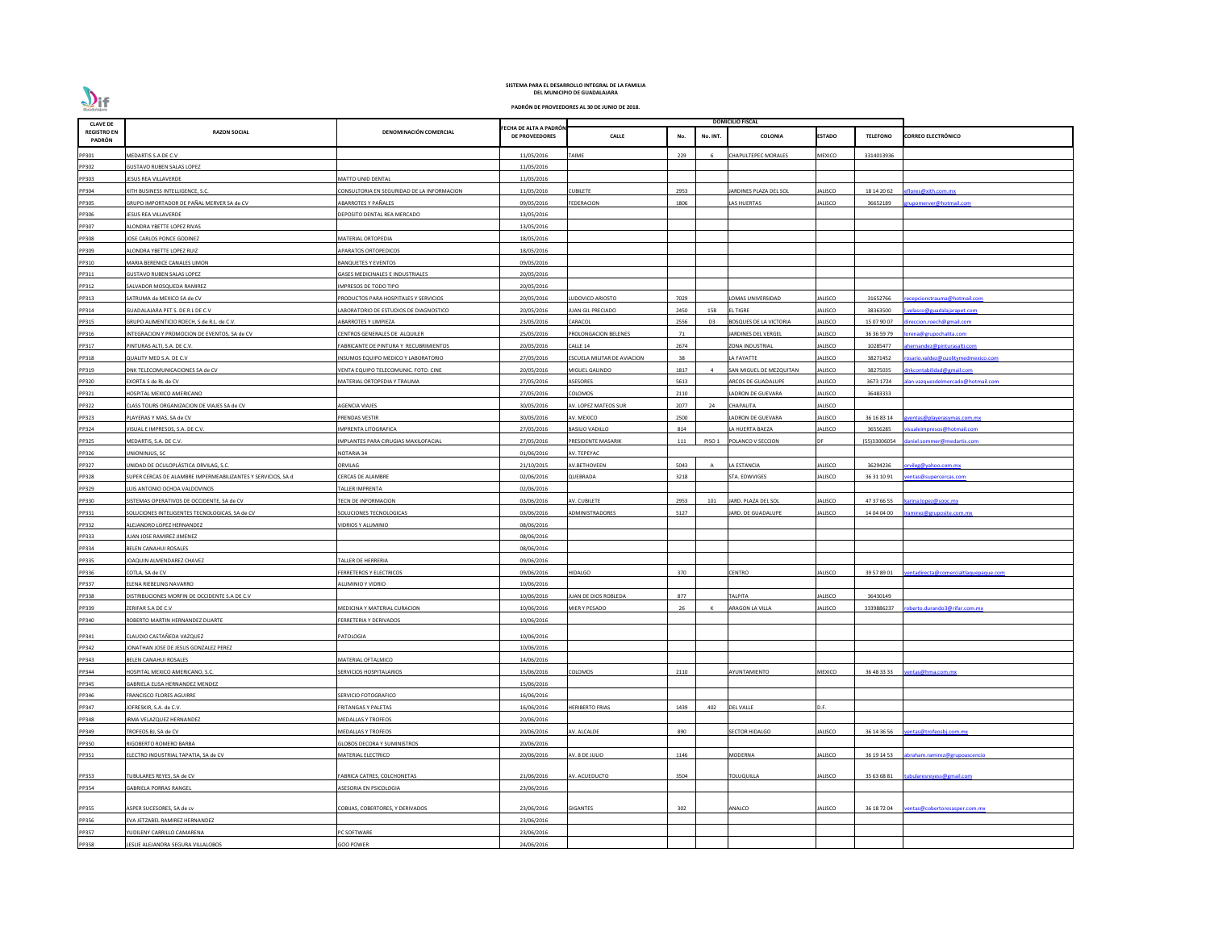

| <b>CLAVE DE</b>              |                                                              |                                             |                                          |                             |      |                | <b>DOMICILIO FISCAL</b>       |                |                 |                                      |
|------------------------------|--------------------------------------------------------------|---------------------------------------------|------------------------------------------|-----------------------------|------|----------------|-------------------------------|----------------|-----------------|--------------------------------------|
| <b>REGISTRO EN</b><br>PADRÓN | <b>RAZON SOCIAL</b>                                          | DENOMINACIÓN COMERCIAL                      | FECHA DE ALTA A PADRÓN<br>DE PROVEEDORES | <b>CALLE</b>                | No.  | No. INT.       | COLONIA                       | ESTADO         | <b>TELEFONO</b> | <b>CORREO ELECTRÓNICO</b>            |
| PP301                        | MEDARTIS S.A DE C.V                                          |                                             | 11/05/2016                               | <b>TAIME</b>                | 229  | 6              | CHAPULTEPEC MORALES           | MEXICO         | 3314013936      |                                      |
| PP302                        | <b>GUSTAVO RUBEN SALAS LOPEZ</b>                             |                                             | 11/05/2016                               |                             |      |                |                               |                |                 |                                      |
| PP303                        | JESUS REA VILLAVERDE                                         | <b>MATTO UNID DENTAL</b>                    | 11/05/2016                               |                             |      |                |                               |                |                 |                                      |
| PP304                        | XITH BUSINESS INTELLIGENCE, S.C.                             | CONSULTORIA EN SEGURIDAD DE LA INFORMACION  | 11/05/2016                               | <b>CUBILETE</b>             | 2953 |                | ARDINES PLAZA DEL SOL         | JALISCO        | 18 14 20 62     | flores@xith.com.mx                   |
| PP305                        | GRUPO IMPORTADOR DE PAÑAL MERVER SA de CV                    | ABARROTES Y PAÑALES                         | 09/05/2016                               | <b>FEDERACION</b>           | 1806 |                | AS HUERTAS                    | JALISCO        | 36652189        | upomerver@hotmail.com                |
| PP306                        | JESUS REA VILLAVERDE                                         | DEPOSITO DENTAL REA MERCADO                 | 13/05/2016                               |                             |      |                |                               |                |                 |                                      |
| PP307                        | ALONDRA YBETTE LOPEZ RIVAS                                   |                                             | 13/05/2016                               |                             |      |                |                               |                |                 |                                      |
| PP308                        | JOSE CARLOS PONCE GODINEZ                                    | MATERIAL ORTOPEDIA                          | 18/05/2016                               |                             |      |                |                               |                |                 |                                      |
| PP309                        | ALONDRA YBETTE LOPEZ RUIZ                                    | APARATOS ORTOPEDICOS                        | 18/05/2016                               |                             |      |                |                               |                |                 |                                      |
| PP310                        | MARIA BERENICE CANALES LIMON                                 | BANQUETES Y EVENTOS                         | 09/05/2016                               |                             |      |                |                               |                |                 |                                      |
|                              |                                                              | GASES MEDICINALES E INDUSTRIALES            | 20/05/2016                               |                             |      |                |                               |                |                 |                                      |
| PP311                        | <b>GUSTAVO RUBEN SALAS LOPEZ</b>                             |                                             |                                          |                             |      |                |                               |                |                 |                                      |
| PP312                        | SALVADOR MOSQUEDA RAMIREZ                                    | IMPRESOS DE TODO TIPO                       | 20/05/2016                               |                             |      |                |                               |                |                 |                                      |
| PP313                        | SATRUMA de MEXICO SA de CV                                   | PRODUCTOS PARA HOSPITALES Y SERVICIOS       | 20/05/2016                               | LUDOVICO ARIOSTO            | 7029 |                | OMAS UNIVERSIDAD              | JALISCO        | 31652766        | ecepcionstrauma@hotmail.com          |
| PP314                        | GUADALAJARA PET S. DE R.L DE C.V                             | LABORATORIO DE ESTUDIOS DE DIAGNOSTICO      | 20/05/2016                               | <b>JUAN GIL PRECIADO</b>    | 2450 | 15B            | L TIGRE                       | JALISCO        | 38363500        | velasco@guadalajarapet.com           |
| PP315                        | GRUPO ALIMENTICIO ROECH, S de R.L. de C.V.                   | <b>ABARROTES Y LIMPIEZA</b>                 | 23/05/2016                               | CARACOL                     | 2556 | D <sub>3</sub> | <b>BOSQUES DE LA VICTORIA</b> | JALISCO        | 15 07 90 07     | ireccion.roech@gmail.com             |
| PP316                        | INTEGRACION Y PROMOCION DE EVENTOS, SA de CV                 | CENTROS GENERALES DE ALQUILER               | 25/05/2016                               | PROLONGACION BELENES        | 71   |                | ARDINES DEL VERGEL            | JALISCO        | 36 36 59 79     | rena@grupochalita.com                |
| PP317                        | PINTURAS ALTI, S.A. DE C.V.                                  | FABRICANTE DE PINTURA Y RECUBRIMIENTOS      | 20/05/2016                               | CALLE 14                    | 2674 |                | ZONA INDUSTRIAL               | JALISCO        | 10285477        | hernandez@pinturasalti.com           |
| PP318                        | QUALITY MED S.A. DE C.V                                      | <b>INSUMOS EQUIPO MEDICO Y LABORATORIO</b>  | 27/05/2016                               | ESCUELA MILITAR DE AVIACION | 38   |                | A FAYATTE                     | JALISCO        | 38271452        | osario.valdez@cuolitymedmexico.com   |
| PP319                        | DNK TELECOMUNICACIONES SA de CV                              | <b>/ENTA EQUIPO TELECOMUNIC. FOTO. CINE</b> | 20/05/2016                               | MIGUEL GALINDO              | 1817 |                | SAN MIGUEL DE MEZQUITAN       | <b>JALISCO</b> | 38275035        | nkcontabilidad@gmail.com             |
| PP320                        | EXORTA S de RL de CV                                         | MATERIAL ORTOPEDIA Y TRAUMA                 | 27/05/2016                               | <b>ASESORES</b>             | 5613 |                | ARCOS DE GUADALUPE            | JALISCO        | 3673 1724       | lan.vazquezdelmercado@hotmail.com    |
| PP321                        | HOSPITAL MEXICO AMERICANO                                    |                                             | 27/05/2016                               | COLOMOS                     | 2110 |                | ADRON DE GUEVARA              | JALISCO        | 36483333        |                                      |
| PP322                        | CLASS TOURS ORGANIZACION DE VIAJES SA de CV                  | AGENCIA VIAJES                              | 30/05/2016                               | AV. LOPEZ MATEOS SUR        | 2077 | 24             | CHAPALITA                     | JALISCO        |                 |                                      |
| PP323                        | PLAYERAS Y MAS, SA de CV                                     | PRENDAS VESTIR                              | 30/05/2016                               | AV. MEXICO                  | 2500 |                | ADRON DE GUEVARA              | JALISCO        | 36 16 83 14     | <u>ventas@playerasymas.com.mx</u>    |
| PP324                        | VISUAL E IMPRESOS, S.A. DE C.V.                              | <b>MPRENTA LITOGRAFICA</b>                  | 27/05/2016                               | <b>BASILIO VADILLO</b>      | 814  |                | A HUERTA BAEZA                | JALISCO        | 36556285        | <u>isuale impresos@hotmail.com</u>   |
| PP325                        | MEDARTIS, S.A. DE C.V.                                       | IMPLANTES PARA CIRUGIAS MAXILOFACIAL        | 27/05/2016                               | PRESIDENTE MASARIK          | 111  | PISO 1         | POLANCO V SECCION             | DF             | (55)33006054    | daniel.sommer@medartis.com           |
| PP326                        | UNIONINJUS, SC                                               | NOTARIA 34                                  | 01/06/2016                               | AV. TEPEYAC                 |      |                |                               |                |                 |                                      |
| PP327                        | UNIDAD DE OCULOPLÁSTICA ORVILAG, S.C.                        | ORVILAG                                     | 21/10/2015                               | <b>AV.BETHOVEEN</b>         | 5043 | A              | A ESTANCIA                    | JALISCO        | 36294236        | rvileg@yahoo.com.mx                  |
| PP328                        | SUPER CERCAS DE ALAMBRE IMPERMEABILIZANTES Y SERVICIOS, SA d | <b>CERCAS DE ALAMBRE</b>                    | 02/06/2016                               | QUEBRADA                    | 3218 |                | STA. EDWVIGES                 | JALISCO        | 36 31 10 91     | entas@supercercas.com                |
| PP329                        | LUIS ANTONIO OCHOA VALDOVINOS                                | <b>TALLER IMPRENTA</b>                      | 02/06/2016                               |                             |      |                |                               |                |                 |                                      |
| PP330                        | SISTEMAS OPERATIVOS DE OCCIDENTE, SA de CV                   | <b>TECN DE INFORMACION</b>                  | 03/06/2016                               | AV. CUBILETE                | 2953 | 101            | JARD. PLAZA DEL SOL           | JALISCO        | 47 37 66 55     | karina.lopez@sooc.mx                 |
| PP331                        | SOLUCIONES INTELIGENTES TECNOLOGICAS, SA de CV               | SOLUCIONES TECNOLOGICAS                     | 03/06/2016                               | ADMINISTRADORES             | 5127 |                | JARD. DE GUADALUPE            | JALISCO        | 14 04 04 00     | ramirez@gruposite.com.mx             |
| PP332                        | ALEJANDRO LOPEZ HERNANDEZ                                    | <b>IDRIOS Y ALUMINIO</b>                    | 08/06/2016                               |                             |      |                |                               |                |                 |                                      |
| PP333                        | <b>JUAN JOSE RAMIREZ JIMENEZ</b>                             |                                             | 08/06/2016                               |                             |      |                |                               |                |                 |                                      |
| PP334                        | BELEN CANAHUI ROSALES                                        |                                             | 08/06/2016                               |                             |      |                |                               |                |                 |                                      |
| PP335                        | JOAQUIN ALMENDAREZ CHAVEZ                                    | <b>TALLER DE HERRERIA</b>                   | 09/06/2016                               |                             |      |                |                               |                |                 |                                      |
| PP336                        | COTLA, SA de CV                                              | <b>ERRETEROS Y ELECTRICOS</b>               | 09/06/2016                               | <b>HIDALGO</b>              | 370  |                | CENTRO                        | JALISCO        | 39 57 89 01     | entadirecta@comercialtlaquepaque.com |
| PP337                        | ELENA RIEBELING NAVARRO                                      | ALUMINIO Y VIDRIO                           | 10/06/2016                               |                             |      |                |                               |                |                 |                                      |
| PP338                        | DISTRIBUCIONES MORFIN DE OCCIDENTE S.A DE C.V                |                                             | 10/06/2016                               | JUAN DE DIOS ROBLEDA        | 877  |                | ΤΑΙΡΙΤΑ                       | JALISCO        | 36430149        |                                      |
| PP339                        | ZERIFAR S.A DE C.V                                           | MEDICINA Y MATERIAL CURACION                | 10/06/2016                               | MIER Y PESADO               | 26   |                | ARAGON LA VILLA               | JALISCO        | 3339886237      | bberto.durando3@rifar.com.mx         |
| PP340                        | ROBERTO MARTIN HERNANDEZ DUARTE                              | FERRETERIA Y DERIVADOS                      | 10/06/2016                               |                             |      |                |                               |                |                 |                                      |
|                              |                                                              |                                             |                                          |                             |      |                |                               |                |                 |                                      |
| PP341                        | CLAUDIO CASTAÑEDA VAZQUEZ                                    | PATOLOGIA                                   | 10/06/2016                               |                             |      |                |                               |                |                 |                                      |
| PP342                        | JONATHAN JOSE DE JESUS GONZALEZ PEREZ                        |                                             | 10/06/2016                               |                             |      |                |                               |                |                 |                                      |
| PP343                        | BELEN CANAHUI ROSALES                                        | MATERIAL OFTALMICO                          | 14/06/2016                               |                             |      |                |                               |                |                 |                                      |
| PP344                        | HOSPITAL MEXICO AMERICANO, S.C.                              | <b>SERVICIOS HOSPITALARIOS</b>              | 15/06/2016                               | <b>COLOMOS</b>              | 2110 |                | AYUNTAMIENTO                  | <b>MEXICO</b>  | 36 48 33 33     | entas@hma.com.mx                     |
| PP345                        | GABRIELA ELISA HERNANDEZ MENDEZ                              |                                             | 15/06/2016                               |                             |      |                |                               |                |                 |                                      |
| PP346                        | <b>FRANCISCO FLORES AGUIRRE</b>                              | SERVICIO FOTOGRAFICO                        | 16/06/2016                               |                             |      |                |                               |                |                 |                                      |
| PP347                        | JOFRESKIR, S.A. de C.V.                                      | FRITANGAS Y PALETAS                         | 16/06/2016                               | <b>HERIBERTO FRIAS</b>      | 1439 | 402            | <b>DEL VALLE</b>              | D.F.           |                 |                                      |
| PP348                        | IRMA VELAZQUEZ HERNANDEZ                                     | MEDALLAS Y TROFEOS                          | 20/06/2016                               |                             |      |                |                               |                |                 |                                      |
| PP349                        | TROFEOS BJ, SA de CV                                         | MEDALLAS Y TROFEOS                          | 20/06/2016                               | AV. ALCALDE                 | 890  |                | <b>SECTOR HIDALGO</b>         | JALISCO        | 36 14 36 56     | entas@trofeosbj.com.mx               |
| PP350                        | RIGOBERTO ROMERO BARBA                                       | <b>GLOBOS DECORA Y SUMINISTROS</b>          | 20/06/2016                               |                             |      |                |                               |                |                 |                                      |
| PP351                        | ELECTRO INDUSTRIAL TAPATIA, SA de CV                         | MATERIAL ELECTRICO                          | 20/06/2016                               | AV. 8 DE JULIO              | 1146 |                | MODERNA                       | <b>JALISCO</b> | 36 19 14 53     | abraham.ramirez@grupoascencio        |
|                              |                                                              |                                             |                                          |                             |      |                |                               |                |                 |                                      |
| PP353                        | TUBULARES REYES, SA de CV                                    | FABRICA CATRES, COLCHONETAS                 | 21/06/2016                               | AV. ACUEDUCTO               | 3504 |                | TOLUQUILLA                    | JALISCO        | 35 63 68 81     | ubularesreyess@gmail.com             |
| PP354                        | <b>GABRIELA PORRAS RANGEL</b>                                | ASESORIA EN PSICOLOGIA                      | 23/06/2016                               |                             |      |                |                               |                |                 |                                      |
|                              |                                                              |                                             |                                          |                             |      |                |                               |                |                 |                                      |
| PP355                        | ASPER SUCESORES, SA de cv                                    | COBIJAS, COBERTORES, Y DERIVADOS            | 23/06/2016                               | <b>GIGANTES</b>             | 302  |                | ANALCO                        | JALISCO        | 36 18 72 04     | entas@cobertoresasper.com.mx         |
| PP356                        | EVA JETZABEL RAMIREZ HERNANDEZ                               |                                             | 23/06/2016                               |                             |      |                |                               |                |                 |                                      |
| PP357                        | YUDILENY CARRILLO CAMARENA                                   | <b>C SOFTWARE</b>                           | 23/06/2016                               |                             |      |                |                               |                |                 |                                      |
| PP358                        | LESLIE ALEJANDRA SEGURA VILLALOBOS                           | <b>GOO POWER</b>                            | 24/06/2016                               |                             |      |                |                               |                |                 |                                      |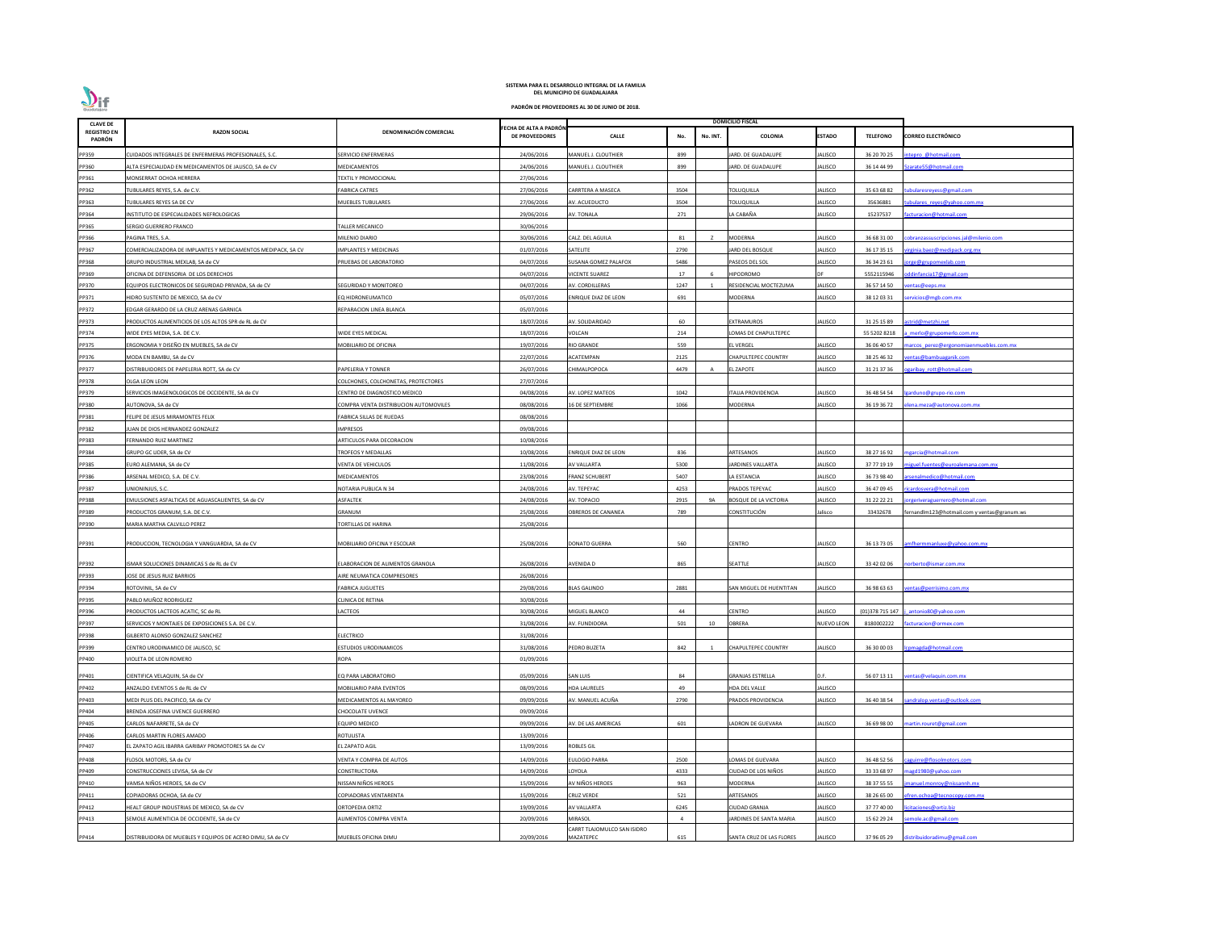| <b>CLAVE DE</b>              |                                                              |                                                 |                                                |                                        |                |          | <b>DOMICILIO FISCAL</b>       |                           |                            |                                             |
|------------------------------|--------------------------------------------------------------|-------------------------------------------------|------------------------------------------------|----------------------------------------|----------------|----------|-------------------------------|---------------------------|----------------------------|---------------------------------------------|
| <b>REGISTRO EN</b><br>PADRÓN | <b>RAZON SOCIAL</b>                                          | DENOMINACIÓN COMERCIAL                          | ECHA DE ALTA A PADRÓN<br><b>DE PROVEEDORES</b> | <b>CALLE</b>                           | No.            | No. INT. | <b>COLONIA</b>                | <b>ESTADO</b>             | <b>TELEFONO</b>            | <b>CORREO ELECTRÓNICO</b>                   |
| PP359                        | CUIDADOS INTEGRALES DE ENFERMERAS PROFESIONALES, S.C.        | SERVICIO ENFERMERAS                             | 24/06/2016                                     | MANUEL J. CLOUTHIER                    | 899            |          | ARD. DE GUADALUPE             | JALISCO                   | 36 20 70 25                | tepro @hotmail.com                          |
| PP360                        | ALTA ESPECIALIDAD EN MEDICAMENTOS DE JALISCO, SA de CV       | MEDICAMENTOS                                    | 24/06/2016                                     | MANUEL J. CLOUTHIER                    | 899            |          | ARD. DE GUADALUPE             | JALISCO                   | 36 14 44 99                | arate55@hotmail.com                         |
| PP361                        | MONSERRAT OCHOA HERRERA                                      | <b>FEXTIL Y PROMOCIONAL</b>                     | 27/06/2016                                     |                                        |                |          |                               |                           |                            |                                             |
| PP362                        | TUBULARES REYES, S.A. de C.V.                                | <b>ABRICA CATRES</b>                            | 27/06/2016                                     | CARRTERA A MASECA                      | 3504           |          | <b>TOLUQUILLA</b>             | JALISCO                   | 35 63 68 82                | ubulares reyess@gmail.com                   |
| PP363                        | TUBULARES REYES SA DE CV                                     | <b>MUEBLES TUBULARES</b>                        | 27/06/2016                                     | AV. ACUEDUCTO                          | 3504           |          | <b>TOLUQUILLA</b>             | <b>IALISCO</b>            | 35636881                   | ubulares reyes@yahoo.com.mx                 |
| PP364                        | INSTITUTO DE ESPECIALIDADES NEFROLOGICAS                     |                                                 | 29/06/2016                                     | AV. TONALA                             | 271            |          | LA CABAÑA                     | JALISCO                   | 15237537                   | acturacion@hotmail.com                      |
| PP365                        | SERGIO GUERRERO FRANCO                                       | <b>TALLER MECANICO</b>                          | 30/06/2016                                     |                                        |                |          |                               |                           |                            |                                             |
| PP366                        | PAGINA TRES, S.A.                                            | MILENIO DIARIO                                  | 30/06/2016                                     | CALZ. DEL AGUILA                       | 81             |          | <b>MODERNA</b>                | JALISCO                   | 36 68 31 00                | obranzassuscripciones.jal@milenio.com       |
| PP367                        | COMERCIALIZADORA DE IMPLANTES Y MEDICAMENTOS MEDIPACK, SA CV | <b>IMPLANTES Y MEDICINAS</b>                    | 01/07/2016                                     | SATELITE                               | 2790           |          | ARD DEL BOSQUE                | <b>JALISCO</b>            | 36 17 35 15                | irginia.baez@medipack.org.mx                |
| PP368                        | GRUPO INDUSTRIAL MEXLAB, SA de CV                            | PRUEBAS DE LABORATORIO                          | 04/07/2016                                     | SUSANA GOMEZ PALAFOX                   | 5486           |          | PASEOS DEL SOL                | JALISCO                   | 36 34 23 61                | orge@grupomexlab.com                        |
| PP369                        | OFICINA DE DEFENSORIA DE LOS DERECHOS                        |                                                 | 04/07/2016                                     | <b>VICENTE SUAREZ</b>                  | 17             |          | <b>HIPODROMO</b>              | DF                        | 5552115946                 | ddinfancia17@gmail.com                      |
| PP370                        | EQUIPOS ELECTRONICOS DE SEGURIDAD PRIVADA, SA de CV          | <b>SEGURIDAD Y MONITOREO</b>                    | 04/07/2016                                     | AV. CORDILLERAS                        | 1247           |          | RESIDENCIAL MOCTEZUMA         | JALISCO                   | 36 57 14 50                | entas@eeps.mx                               |
| PP371                        | HIDRO SUSTENTO DE MEXICO, SA de CV                           | EQ HIDRONEUMATICO                               | 05/07/2016                                     | <b>ENRIQUE DIAZ DE LEON</b>            | 691            |          | MODERNA                       | JALISCO                   | 38 12 03 31                | ervicios@mgb.com.mx                         |
| PP372                        | EDGAR GERARDO DE LA CRUZ ARENAS GARNICA                      | EPARACION LINEA BLANCA                          | 05/07/2016                                     |                                        |                |          |                               |                           |                            |                                             |
| PP373                        | PRODUCTOS ALIMENTICIOS DE LOS ALTOS SPR de RL de CV          |                                                 | 18/07/2016                                     | AV. SOLIDARIDAD                        | 60             |          | EXTRAMUROS                    | IALISCO                   | 31 25 15 89                | strid@metzhi.net                            |
| PP374                        | WIDE EYES MEDIA, S.A. DE C.V.                                | <b><i>NIDE EYES MEDICAL</i></b>                 | 18/07/2016                                     | VOLCAN                                 | 214            |          | OMAS DE CHAPULTEPEC           |                           | 55 5202 8218               | merlo@grupomerlo.com.mx                     |
| PP375                        | ERGONOMIA Y DISEÑO EN MUEBLES, SA de CV                      | <b><i>AOBILIARIO DE OFICINA</i></b>             | 19/07/2016                                     | <b>RIO GRANDE</b>                      | 559            |          | <b>L VERGEL</b>               | JALISCO                   | 36 06 40 57                | arcos perez@ergonomiaenmuebles.com.mx       |
| PP376                        | MODA EN BAMBU, SA de CV                                      |                                                 | 22/07/2016                                     | ACATEMPAN                              | 2125           |          | CHAPULTEPEC COUNTRY           | <b>IALISCO</b>            | 38 25 46 32                | entas@bambuaganik.com                       |
| PP377                        | DISTRIBUIDORES DE PAPELERIA ROTT, SA de CV                   | PAPELERIA Y TONNER                              | 26/07/2016                                     | CHIMALPOPOCA                           | 4479           | A        | L ZAPOTE                      | JALISCO                   | 31 21 37 36                | garibay rott@hotmail.com                    |
| PP378                        | OLGA LEON LEON                                               | COLCHONES, COLCHONETAS, PROTECTORES             | 27/07/2016                                     |                                        |                |          |                               |                           |                            |                                             |
| PP379                        | SERVICIOS IMAGENOLOGICOS DE OCCIDENTE, SA de CV              | CENTRO DE DIAGNOSTICO MEDICO                    | 04/08/2016                                     | AV. LOPEZ MATEOS                       | 1042           |          | TALIA PROVIDENCIA             | JALISCO                   | 36 48 54 54                | arduno@grupo-rio.com                        |
| PP380                        | AUTONOVA, SA de CV                                           | COMPRA VENTA DISTRIBUCION AUTOMOVILES           | 08/08/2016                                     | 16 DE SEPTIEMBRE                       | 1066           |          | MODERNA                       | JALISCO                   | 36 19 36 72                | lena.meza@autonova.com.mx                   |
| PP381                        | FELIPE DE JESUS MIRAMONTES FELIX                             | ABRICA SILLAS DE RUEDAS                         | 08/08/2016                                     |                                        |                |          |                               |                           |                            |                                             |
| PP382                        | JUAN DE DIOS HERNANDEZ GONZALEZ                              | <b>IMPRESOS</b>                                 | 09/08/2016                                     |                                        |                |          |                               |                           |                            |                                             |
| PP383                        | FERNANDO RUIZ MARTINEZ                                       | ARTICULOS PARA DECORACION                       | 10/08/2016                                     |                                        |                |          |                               |                           |                            |                                             |
|                              |                                                              |                                                 |                                                |                                        |                |          |                               |                           |                            |                                             |
| PP384                        | GRUPO GC LIDER, SA de CV                                     | <b>FROFEOS Y MEDALLAS</b><br>VENTA DE VEHICULOS | 10/08/2016                                     | ENRIQUE DIAZ DE LEON                   | 836<br>5300    |          | ARTESANOS                     | JALISCO                   | 38 27 16 92                | ngarcia@hotmail.com                         |
| PP385                        | EURO ALEMANA, SA de CV<br>ARSENAL MEDICO, S.A. DE C.V.       | <b><i>AEDICAMENTOS</i></b>                      | 11/08/2016<br>23/08/2016                       | AV VALLARTA<br>FRANZ SCHUBERT          | 5407           |          | ARDINES VALLARTA              | JALISCO                   | 37 77 19 19                | iguel.fuentes@euroalemana.com.mx            |
| PP386<br>PP387               |                                                              | <b>NOTARIA PUBLICA N 34</b>                     | 24/08/2016                                     | AV. TEPEYAC                            | 4253           |          | LA ESTANCIA<br>PRADOS TEPEYAC | JALISCO<br><b>JALISCO</b> | 36 73 98 40<br>36 47 09 45 | rsenalmedico@hotmail.com                    |
|                              | UNIONINJUS, S.C.                                             |                                                 |                                                |                                        |                |          |                               |                           |                            | icardosvera@hotmail.com                     |
| PP388                        | EMULSIONES ASFALTICAS DE AGUASCALIENTES, SA de CV            | ASFALTEK                                        | 24/08/2016                                     | AV. TOPACIO                            | 2915           | 9A       | <b>BOSQUE DE LA VICTORIA</b>  | <b>JALISCO</b>            | 31 22 22 21                | jorgeriveraguerrero@hotmail.com             |
| PP389                        | PRODUCTOS GRANUM, S.A. DE C.V.                               | GRANUM                                          | 25/08/2016                                     | OBREROS DE CANANEA                     | 789            |          | <b>CONSTITUCIÓN</b>           | Jalisco                   | 33432678                   | fernandlm123@hotmail.com y ventas@granum.ws |
| PP390                        | MARIA MARTHA CALVILLO PEREZ                                  | <b>FORTILLAS DE HARINA</b>                      | 25/08/2016                                     |                                        |                |          |                               |                           |                            |                                             |
| PP391                        | PRODUCCION, TECNOLOGIA Y VANGUARDIA, SA de CV                | MOBILIARIO OFICINA Y ESCOLAR                    | 25/08/2016                                     | <b>DONATO GUERRA</b>                   | 560            |          | <b>CENTRO</b>                 | <b>JALISCO</b>            | 36 13 73 05                | mfhermmanluxe@yahoo.com.mx                  |
|                              |                                                              |                                                 |                                                |                                        |                |          |                               |                           |                            |                                             |
| PP392                        | ISMAR SOLUCIONES DINAMICAS S de RL de CV                     | <b>ELABORACION DE ALIMENTOS GRANOLA</b>         | 26/08/2016                                     | AVENIDA D                              | 865            |          | SEATTLE                       | <b>JALISCO</b>            | 33 42 02 06                | norberto@ismar.com.mx                       |
| PP393                        | JOSE DE JESUS RUIZ BARRIOS                                   | AIRE NEUMATICA COMPRESORES                      | 26/08/2016                                     |                                        |                |          |                               |                           |                            |                                             |
| PP394                        | ROTOVINIL. SA de CV                                          | FABRICA JUGUETES                                | 29/08/2016                                     | <b>BLAS GALINDO</b>                    | 2881           |          | SAN MIGUEL DE HUENTITAN       | JALISCO                   | 36 98 63 63                | entas@perrisimo.com.mx                      |
| PP395                        | PABLO MUÑOZ RODRIGUEZ                                        | CLINICA DE RETINA                               | 30/08/2016                                     |                                        |                |          |                               |                           |                            |                                             |
| PP396                        | PRODUCTOS LACTEOS ACATIC, SC de RL                           | LACTEOS                                         | 30/08/2016                                     | MIGUEL BLANCO                          | 44             |          | CENTRO                        | <b>JALISCO</b>            | (01)378 715 147            | antonio80@yahoo.com                         |
| PP397                        | SERVICIOS Y MONTAJES DE EXPOSICIONES S.A. DE C.V.            |                                                 | 31/08/2016                                     | AV. FUNDIDORA                          | 501            | 10       | <b>OBRERA</b>                 | <b>NUEVO LEON</b>         | 8180002222                 | acturacion@ormex.com                        |
| PP398                        | GILBERTO ALONSO GONZALEZ SANCHEZ                             | <b>ELECTRICO</b>                                | 31/08/2016                                     |                                        |                |          |                               |                           |                            |                                             |
| PP399                        | CENTRO URODINAMICO DE JALISCO, SC                            | STUDIOS URODINAMICOS                            | 31/08/2016                                     | PEDRO BUZETA                           | 842            |          | CHAPULTEPEC COUNTRY           | JALISCO                   | 36 30 00 03                | omagda@hotmail.com                          |
| PP400                        | VIOLETA DE LEON ROMERO                                       | ROPA                                            | 01/09/2016                                     |                                        |                |          |                               |                           |                            |                                             |
| PP401                        | CIENTIFICA VELAQUIN, SA de CV                                | EQ PARA LABORATORIO                             | 05/09/2016                                     | <b>SAN LUIS</b>                        | 84             |          | <b>GRANJAS ESTRELLA</b>       | D.F.                      | 56 07 13 11                | entas@velaquin.com.mx                       |
| PP402                        | ANZALDO EVENTOS S de RL de CV                                | <b>MOBILIARIO PARA EVENTOS</b>                  | 08/09/2016                                     | <b>HDA LAURELES</b>                    | 49             |          | HDA DEL VALLE                 | <b>JALISCO</b>            |                            |                                             |
| PP403                        | MEDI PLUS DEL PACIFICO, SA de CV                             | <b>MEDICAMENTOS AL MAYOREO</b>                  | 09/09/2016                                     | AV. MANUEL ACUÑA                       | 2790           |          | PRADOS PROVIDENCIA            | <b>JALISCO</b>            | 36 40 38 54                | andralop.ventas@outlook.com                 |
| PP404                        | BRENDA JOSEFINA UVENCE GUERRERO                              | CHOCOLATE UVENCE                                | 09/09/2016                                     |                                        |                |          |                               |                           |                            |                                             |
| PP405                        | CARLOS NAFARRETE, SA de CV                                   | EQUIPO MEDICO                                   | 09/09/2016                                     | AV. DE LAS AMERICAS                    | 601            |          | LADRON DE GUEVARA             | <b>JALISCO</b>            | 36 69 98 00                | nartin.rouret@gmail.com                     |
| PP406                        | CARLOS MARTIN FLORES AMADO                                   | ROTULISTA                                       | 13/09/2016                                     |                                        |                |          |                               |                           |                            |                                             |
| PP407                        | EL ZAPATO AGIL IBARRA GARIBAY PROMOTORES SA de CV            | EL ZAPATO AGIL                                  | 13/09/2016                                     | <b>ROBLES GIL</b>                      |                |          |                               |                           |                            |                                             |
| PP408                        | FLOSOL MOTORS, SA de CV                                      | VENTA Y COMPRA DE AUTOS                         | 14/09/2016                                     | EULOGIO PARRA                          | 2500           |          | LOMAS DE GUEVARA              | JALISCO                   | 36 48 52 56                | aguirre@flosolmotors.com                    |
| PP409                        | CONSTRUCCIONES LEVISA, SA de CV                              | CONSTRUCTORA                                    | 14/09/2016                                     | LOYOLA                                 | 4333           |          | CIUDAD DE LOS NIÑOS           | <b>JALISCO</b>            | 33 33 68 97                | agd1980@yahoo.com                           |
|                              | VAMSA NIÑOS HEROES, SA de CV                                 | NISSAN NIÑOS HEROES                             |                                                | AV NIÑOS HEROES                        | 963            |          |                               |                           |                            |                                             |
| PP410                        |                                                              | COPIADORAS VENTARENTA                           | 15/09/2016                                     | <b>CRUZ VERDE</b>                      |                |          | MODERNA                       | JALISCO<br><b>JALISCO</b> | 38 37 55 55                | anuel.monroy@nissannh.mx                    |
| PP411                        | COPIADORAS OCHOA, SA de CV                                   |                                                 | 15/09/2016<br>19/09/2016                       | <b>AV VALLARTA</b>                     | 521<br>6245    |          | ARTESANOS                     | JALISCO                   | 38 26 65 00                | fren.ochoa@tecnocopy.com.mx                 |
| PP412                        | HEALT GROUP INDUSTRIAS DE MEXICO, SA de CV                   | ORTOPEDIA ORTIZ                                 |                                                |                                        |                |          | CIUDAD GRANJA                 |                           | 37 77 40 00                | citaciones@ortiz.biz                        |
| PP413                        | SEMOLE ALIMENTICIA DE OCCIDENTE, SA de CV                    | ALIMENTOS COMPRA VENTA                          | 20/09/2016                                     | MIRASOL<br>CARRT TLAJOMULCO SAN ISIDRO | $\overline{4}$ |          | <b>ARDINES DE SANTA MARIA</b> | <b>JALISCO</b>            | 15 62 29 24                | mole.ac@gmail.com                           |
| PP414                        | DISTRIBUIDORA DE MUEBLES Y EQUIPOS DE ACERO DIMU, SA de CV   | MUEBLES OFICINA DIMU                            | 20/09/2016                                     | MAZATEPEC                              | 615            |          | SANTA CRUZ DE LAS FLORES      | <b>JALISCO</b>            | 37 96 05 29                | listribuidoradimu@gmail.com                 |

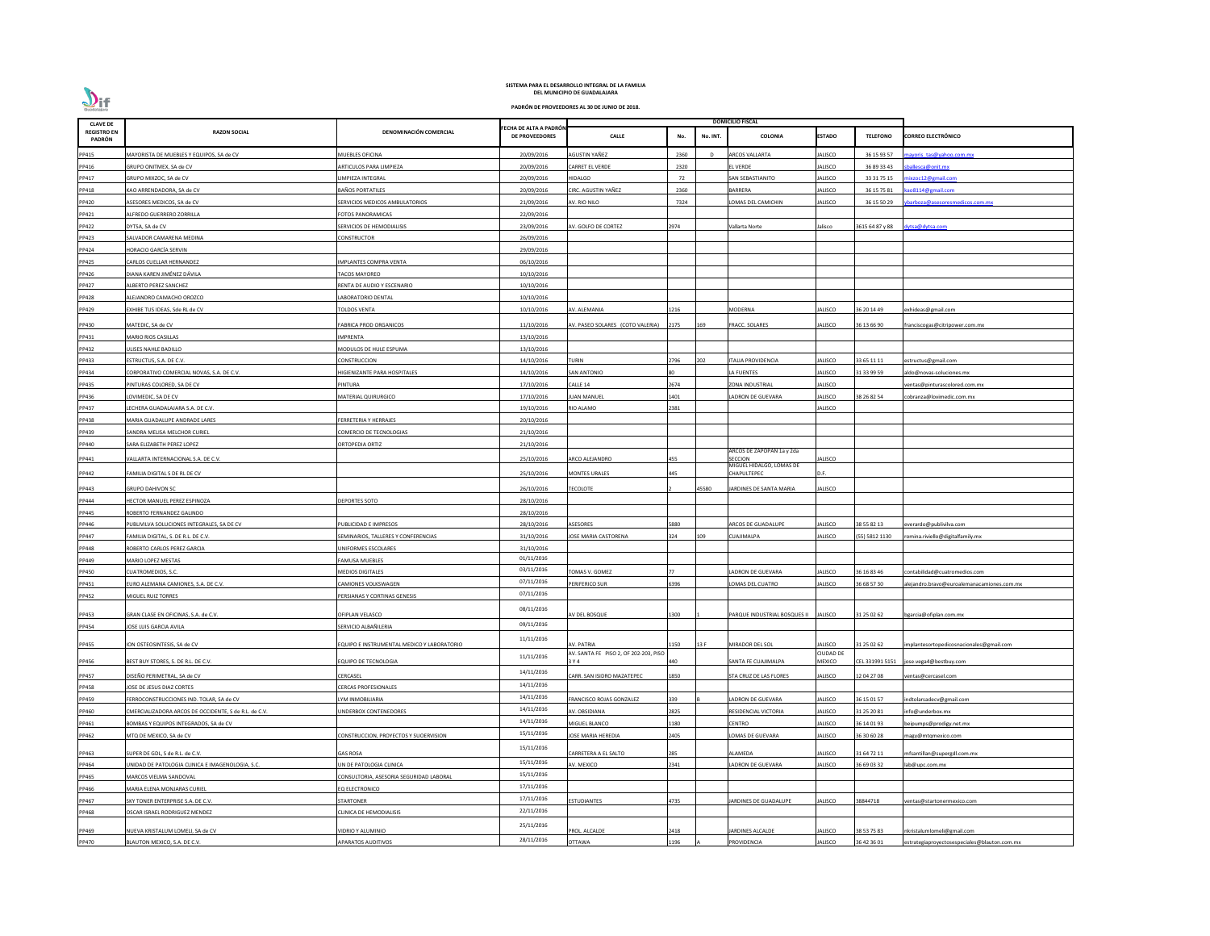| <b>CLAVE DE</b>              |                                                       |                                            |                                                 |                                                |      |          | <b>DOMICILIO FISCAL</b>                 |                                   |                 |                                             |
|------------------------------|-------------------------------------------------------|--------------------------------------------|-------------------------------------------------|------------------------------------------------|------|----------|-----------------------------------------|-----------------------------------|-----------------|---------------------------------------------|
| <b>REGISTRO EN</b><br>PADRÓN | <b>RAZON SOCIAL</b>                                   | DENOMINACIÓN COMERCIAL                     | FECHA DE ALTA A PADRÓN<br><b>DE PROVEEDORES</b> | <b>CALLE</b>                                   | No.  | No. INT. | <b>COLONIA</b>                          | <b>ESTADO</b>                     | <b>TELEFONO</b> | <b>CORREO ELECTRÓNICO</b>                   |
| PP415                        | MAYORISTA DE MUEBLES Y EQUIPOS, SA de CV              | MUEBLES OFICINA                            | 20/09/2016                                      | AGUSTIN YAÑEZ                                  | 2360 | D        | <b>RCOS VALLARTA</b>                    | JALISCO                           | 36 15 93 57     | nayoris tas@yahoo.com.mx                    |
| PP416                        | GRUPO ONITMEX, SA de CV                               | ARTICULOS PARA LIMPIEZA                    | 20/09/2016                                      | CARRET EL VERDE                                | 2320 |          | <b>LVERDE</b>                           | <b>JALISCO</b>                    | 36 89 33 43     | ballesca@onit.mx                            |
| PP417                        | GRUPO MIXZOC, SA de CV                                | LIMPIEZA INTEGRAL                          | 20/09/2016                                      | HIDALGO                                        | 72   |          | SAN SEBASTIANITO                        | <b>JALISCO</b>                    | 33 31 75 15     | nixzoc12@gmail.com                          |
| PP418                        | KAO ARRENDADORA, SA de CV                             | BAÑOS PORTATILES                           | 20/09/2016                                      | CIRC. AGUSTIN YAÑEZ                            | 2360 |          | BARRERA                                 | <b>JALISCO</b>                    | 36 15 75 81     | ao8114@gmail.com                            |
| PP420                        | ASESORES MEDICOS, SA de CV                            | SERVICIOS MEDICOS AMBULATORIOS             | 21/09/2016                                      | AV. RIO NILO                                   | 7324 |          | OMAS DEL CAMICHIN                       | <b>JALISCO</b>                    | 36 15 50 29     | barboza@asesoresmedicos.com.mx              |
| PP421                        | ALFREDO GUERRERO ZORRILLA                             | FOTOS PANORAMICAS                          | 22/09/2016                                      |                                                |      |          |                                         |                                   |                 |                                             |
| PP422                        | DYTSA, SA de CV                                       | SERVICIOS DE HEMODIALISIS                  | 23/09/2016                                      | AV. GOLFO DE CORTEZ                            | 2974 |          | Vallarta Norte                          | Jalisco                           | 3615 64 87 y 88 | lytsa@dytsa.com                             |
| PP423                        | SALVADOR CAMARENA MEDINA                              | CONSTRUCTOR                                | 26/09/2016                                      |                                                |      |          |                                         |                                   |                 |                                             |
| PP424                        | HORACIO GARCÍA SERVIN                                 |                                            | 29/09/2016                                      |                                                |      |          |                                         |                                   |                 |                                             |
| PP425                        | CARLOS CUELLAR HERNANDEZ                              | <b>IMPLANTES COMPRA VENTA</b>              | 06/10/2016                                      |                                                |      |          |                                         |                                   |                 |                                             |
| PP426                        | DIANA KAREN JIMÉNEZ DÁVILA                            | TACOS MAYOREO                              | 10/10/2016                                      |                                                |      |          |                                         |                                   |                 |                                             |
| PP427                        | ALBERTO PEREZ SANCHEZ                                 | RENTA DE AUDIO Y ESCENARIO                 | 10/10/2016                                      |                                                |      |          |                                         |                                   |                 |                                             |
| PP428                        | ALEJANDRO CAMACHO OROZCO                              | LABORATORIO DENTAL                         | 10/10/2016                                      |                                                |      |          |                                         |                                   |                 |                                             |
| PP429                        | EXHIBE TUS IDEAS, Sde RL de CV                        | TOLDOS VENTA                               | 10/10/2016                                      | AV. ALEMANIA                                   | 1216 |          | MODERNA                                 | JALISCO                           | 36 20 14 49     | exhideas@gmail.com                          |
|                              |                                                       |                                            |                                                 |                                                |      |          |                                         |                                   |                 |                                             |
| PP430                        | MATEDIC, SA de CV                                     | <b>FABRICA PROD ORGANICOS</b>              | 11/10/2016                                      | AV. PASEO SOLARES (COTO VALERIA)               | 2175 | 169      | <b>FRACC. SOLARES</b>                   | <b>JALISCO</b>                    | 36 13 66 90     | franciscogas@citripower.com.mx              |
| PP431                        | MARIO RIOS CASILLAS                                   | <b>IMPRENTA</b>                            | 13/10/2016                                      |                                                |      |          |                                         |                                   |                 |                                             |
| PP432                        | ULISES NAHLE BADILLO                                  | MODULOS DE HULE ESPUMA                     | 13/10/2016                                      |                                                |      |          |                                         |                                   |                 |                                             |
| PP433                        | <b>ESTRUCTUS, S.A. DE C.V.</b>                        | CONSTRUCCION                               | 14/10/2016                                      | <b>TURIN</b>                                   | 2796 | 202      | TALIA PROVIDENCIA                       | <b>JALISCO</b>                    | 33 65 11 11     | estructus@gmail.com                         |
| PP434                        | CORPORATIVO COMERCIAL NOVAS, S.A. DE C.V.             | HIGIENIZANTE PARA HOSPITALES               | 14/10/2016                                      | <b>SAN ANTONIO</b>                             |      |          | LA FUENTES                              | <b>JALISCO</b>                    | 31 33 99 59     | Ildo@novas-soluciones.mx                    |
| PP435                        | PINTURAS COLORED, SA DE CV                            | PINTURA                                    | 17/10/2016                                      | CALLE 14                                       | 2674 |          | ZONA INDUSTRIAL                         | <b>JALISCO</b>                    |                 | entas@pinturascolored.com.mx                |
| PP436                        | LOVIMEDIC, SA DE CV                                   | MATERIAL QUIRURGICO                        | 17/10/2016                                      | <b>UAN MANUEL</b>                              | 1401 |          | LADRON DE GUEVARA                       | JALISCO                           | 38 26 82 54     | :obranza@lovimedic.com.mx                   |
| PP437                        | ECHERA GUADALAJARA S.A. DE C.V.                       |                                            | 19/10/2016                                      | RIO ALAMO                                      | 2381 |          |                                         | <b>JALISCO</b>                    |                 |                                             |
| PP438                        | MARIA GUADALUPE ANDRADE LARES                         | FERRETERIA Y HERRAJES                      | 20/10/2016                                      |                                                |      |          |                                         |                                   |                 |                                             |
| PP439                        | SANDRA MELISA MELCHOR CURIEL                          | COMERCIO DE TECNOLOGIAS                    | 21/10/2016                                      |                                                |      |          |                                         |                                   |                 |                                             |
| PP440                        | SARA ELIZABETH PEREZ LOPEZ                            | ORTOPEDIA ORTIZ                            | 21/10/2016                                      |                                                |      |          |                                         |                                   |                 |                                             |
| PP441                        | VALLARTA INTERNACIONAL S.A. DE C.V.                   |                                            | 25/10/2016                                      | ARCO ALEJANDRO                                 | 455  |          | ARCOS DE ZAPOPAN 1a y 2da<br>SECCION    | JALISCO                           |                 |                                             |
| PP442                        | FAMILIA DIGITAL S DE RL DE CV                         |                                            | 25/10/2016                                      | <b>MONTES URALES</b>                           | 445  |          | MIGUEL HIDALGO, LOMAS DE<br>CHAPULTEPEC | D.F.                              |                 |                                             |
|                              |                                                       |                                            |                                                 |                                                |      |          |                                         |                                   |                 |                                             |
| PP443                        | <b>GRUPO DAHIVON SC</b>                               |                                            | 26/10/2016                                      | <b>TECOLOTE</b>                                |      | 45580    | JARDINES DE SANTA MARIA                 | <b>JALISCO</b>                    |                 |                                             |
| PP444                        | HECTOR MANUEL PEREZ ESPINOZA                          | DEPORTES SOTO                              | 28/10/2016                                      |                                                |      |          |                                         |                                   |                 |                                             |
| PP445                        | ROBERTO FERNANDEZ GALINDO                             |                                            | 28/10/2016                                      |                                                |      |          |                                         |                                   |                 |                                             |
| PP446                        | <b>UBLIVILVA SOLUCIONES INTEGRALES, SA DE CV</b>      | PUBLICIDAD E IMPRESOS                      | 28/10/2016                                      | <b>SESORES</b>                                 | 880  |          | <b>ARCOS DE GUADALUPE</b>               | JALISCO                           | 38 55 82 13     | verardo@publivilva.com                      |
| PP447                        | FAMILIA DIGITAL, S. DE R.L. DE C.V.                   | SEMINARIOS, TALLERES Y CONFERENCIAS        | 31/10/2016                                      | JOSE MARIA CASTORENA                           | 324  | 109      | UAJIMALPA                               | JALISCO                           | 55) 5812 1130   | omina.riviello@digitalfamily.mx             |
| PP448                        | ROBERTO CARLOS PEREZ GARCIA                           | UNIFORMES ESCOLARES                        | 31/10/2016                                      |                                                |      |          |                                         |                                   |                 |                                             |
| PP449                        | MARIO LOPEZ MESTAS                                    | <b>FAMUSA MUEBLES</b>                      | 01/11/2016                                      |                                                |      |          |                                         |                                   |                 |                                             |
| PP450                        | CUATROMEDIOS, S.C.                                    | <b>MEDIOS DIGITALES</b>                    | 03/11/2016                                      | <b>TOMAS V. GOMEZ</b>                          |      |          | ADRON DE GUEVARA                        | <b>JALISCO</b>                    | 36 16 83 46     | ontabilidad@cuatromedios.com                |
| PP451                        | URO ALEMANA CAMIONES, S.A. DE C.V.                    | CAMIONES VOLKSWAGEN                        | 07/11/2016                                      | PERIFERICO SUR                                 | 5396 |          | OMAS DEL CUATRO                         | JALISCO                           | 36 68 57 30     | lejandro.bravo@euroalemanacamiones.com.mx   |
| PP452                        | MIGUEL RUIZ TORRES                                    | PERSIANAS Y CORTINAS GENESIS               | 07/11/2016                                      |                                                |      |          |                                         |                                   |                 |                                             |
| PP453                        | GRAN CLASE EN OFICINAS, S.A. de C.V.                  | OFIPLAN VELASCO                            | 08/11/2016                                      | AV DEL BOSQUE                                  | 1300 |          | PARQUE INDUSTRIAL BOSQUES II            | <b>JALISCO</b>                    | 31 25 02 62     | ogarcia@ofiplan.com.mx                      |
|                              | JOSE LUIS GARCIA AVILA                                | SERVICIO ALBAÑILERIA                       | 09/11/2016                                      |                                                |      |          |                                         |                                   |                 |                                             |
| PP454                        |                                                       |                                            |                                                 |                                                |      |          |                                         |                                   |                 |                                             |
| PP455                        | ION OSTEOSINTESIS, SA de CV                           | EQUIPO E INSTRUMENTAL MEDICO Y LABORATORIO | 11/11/2016                                      | AV. PATRIA                                     | 150  | 13 F     | MIRADOR DEL SOL                         | <b>JALISCO</b>                    | 31 25 02 62     | mplantesortopedicosnacionales@gmail.com     |
| PP456                        | BEST BUY STORES, S. DE R.L. DE C.V.                   | EQUIPO DE TECNOLOGIA                       | 11/11/2016                                      | AV. SANTA FE PISO 2, OF 202-203, PISO<br>3 Y 4 | 440  |          | SANTA FE CUAJIMALPA                     | <b>CIUDAD DE</b><br><b>MEXICO</b> | CEL 331991 5151 | ose.vega4@bestbuy.com                       |
| PP457                        | DISEÑO PERIMETRAL, SA de CV                           | CERCASEL                                   | 14/11/2016                                      | CARR. SAN ISIDRO MAZATEPEC                     | 1850 |          | STA CRUZ DE LAS FLORES                  | <b>JALISCO</b>                    | 12 04 27 08     | entas@cercasel.com                          |
| PP458                        | JOSE DE JESUS DIAZ CORTES                             | <b>CERCAS PROFESIONALES</b>                | 14/11/2016                                      |                                                |      |          |                                         |                                   |                 |                                             |
| PP459                        | FERROCONSTRUCCIONES IND. TOLAR, SA de CV              | LYM INMOBILIARIA                           | 14/11/2016                                      | FRANCISCO ROJAS GONZALEZ                       | 339  |          | LADRON DE GUEVARA                       | <b>JALISCO</b>                    | 36 15 01 57     | ndtolarsadecv@gmail.com                     |
| PP460                        | CMERCIALIZADORA ARCOS DE OCCIDENTE, S de R.L. de C.V. | JNDERBOX CONTENEDORES                      | 14/11/2016                                      | AV. OBSIDIANA                                  | 2825 |          | RESIDENCIAL VICTORIA                    | <b>JALISCO</b>                    | 31 25 20 81     | nfo@underbox.mx                             |
| PP461                        | BOMBAS Y EQUIPOS INTEGRADOS, SA de CV                 |                                            | 14/11/2016                                      | MIGUEL BLANCO                                  | 180  |          | CENTRO                                  | <b>JALISCO</b>                    | 36 14 01 93     | eipumps@prodigy.net.mx                      |
| PP462                        | MTQ DE MEXICO, SA de CV                               | CONSTRUCCION, PROYECTOS Y SUOERVISION      | 15/11/2016                                      | JOSE MARIA HEREDIA                             | 2405 |          | OMAS DE GUEVARA                         | JALISCO                           | 36 30 60 28     | nagy@mtqmexico.com                          |
|                              |                                                       |                                            | 15/11/2016                                      |                                                |      |          |                                         |                                   |                 |                                             |
| PP463                        | SUPER DE GDL, S de R.L. de C.V.                       | <b>GAS ROSA</b>                            | 15/11/2016                                      | CARRETERA A EL SALTO                           | 285  |          | ALAMEDA                                 | <b>JALISCO</b>                    | 31 64 72 11     | mfsantillan@supergdl.com.mx                 |
| PP464                        | UNIDAD DE PATOLOGIA CLINICA E IMAGENOLOGIA, S.C.      | UN DE PATOLOGIA CLINICA                    | 15/11/2016                                      | AV. MEXICO                                     | 2341 |          | <b>LADRON DE GUEVARA</b>                | <b>JALISCO</b>                    | 36 69 03 32     | ab@upc.com.mx                               |
| PP465                        | <b>MARCOS VIELMA SANDOVAL</b>                         | CONSULTORIA, ASESORIA SEGURIDAD LABORAL    | 17/11/2016                                      |                                                |      |          |                                         |                                   |                 |                                             |
| PP466                        | <b>MARIA ELENA MONJARAS CURIEL</b>                    | EQ ELECTRONICO                             | 17/11/2016                                      |                                                |      |          |                                         |                                   |                 |                                             |
| PP467                        | SKY TONER ENTERPRISE S.A. DE C.V.                     | STARTONER                                  | 22/11/2016                                      | ESTUDIANTES                                    | 4735 |          | <b>ARDINES DE GUADALUPE</b>             | JALISCO                           | 38844718        | entas@startonermexico.com                   |
| PP468                        | OSCAR ISRAEL RODRIGUEZ MENDEZ                         | CLINICA DE HEMODIALISIS                    |                                                 |                                                |      |          |                                         |                                   |                 |                                             |
| PP469                        | NUEVA KRISTALUM LOMELI, SA de CV                      | VIDRIO Y ALUMINIO                          | 25/11/2016                                      | PROL. ALCALDE                                  | 2418 |          | JARDINES ALCALDE                        | <b>JALISCO</b>                    | 38 53 75 83     | nkristalumlomeli@gmail.com                  |
| PP470                        | BLAUTON MEXICO, S.A. DE C.V.                          | <b>APARATOS AUDITIVOS</b>                  | 28/11/2016                                      | <b>OTTAWA</b>                                  | 196  |          | PROVIDENCIA                             | <b>JALISCO</b>                    | 36 42 36 01     | strategiaproyectosespeciales@blauton.com.mx |

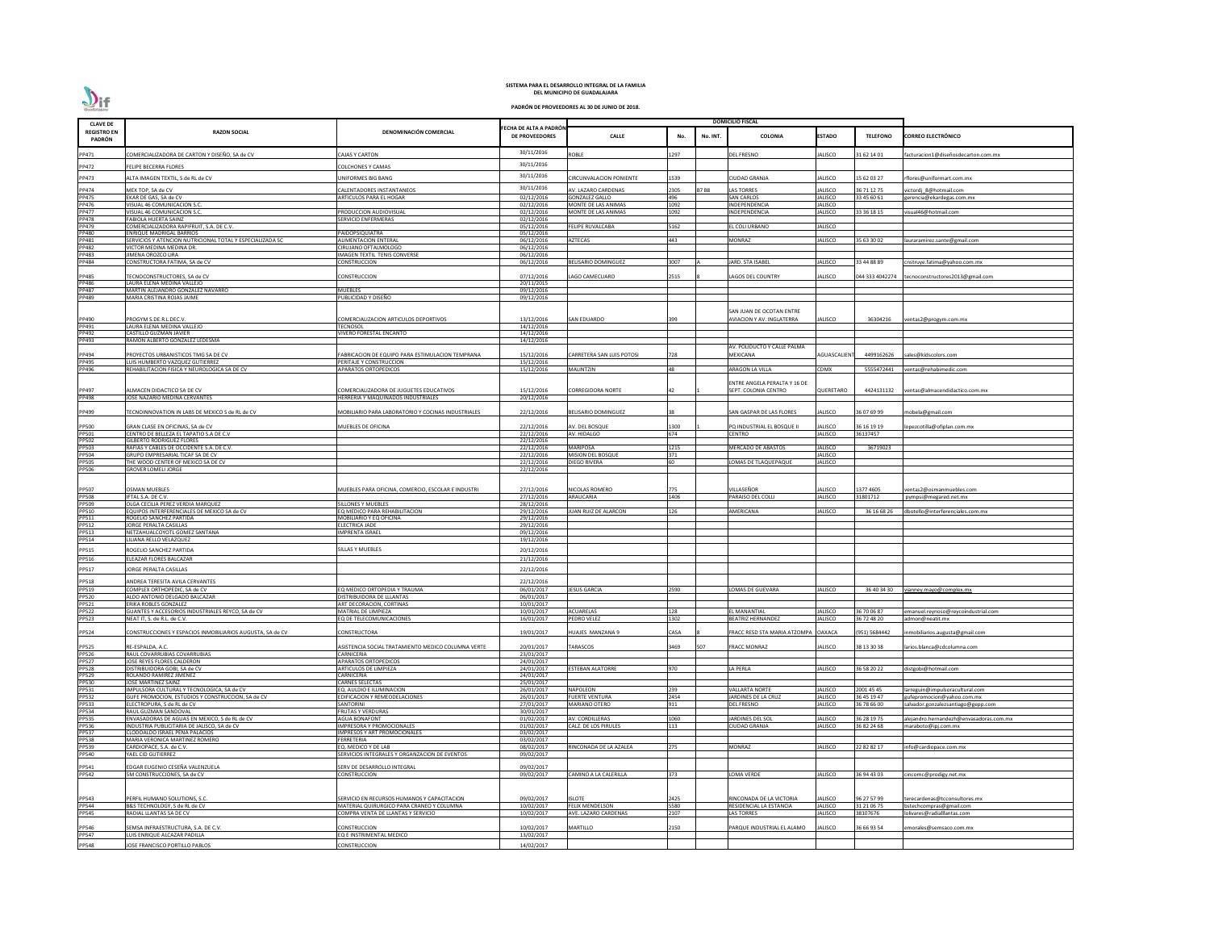| <b>CLAVE DE</b>              |                                                                                                 |                                                                  |                                                |                                              |             |             | <b>DOMICILIO FISCAL</b>                             |                    |                           |                                                               |
|------------------------------|-------------------------------------------------------------------------------------------------|------------------------------------------------------------------|------------------------------------------------|----------------------------------------------|-------------|-------------|-----------------------------------------------------|--------------------|---------------------------|---------------------------------------------------------------|
| <b>REGISTRO EN</b><br>PADRÓN | <b>RAZON SOCIAL</b>                                                                             | DENOMINACIÓN COMERCIAL                                           | ECHA DE ALTA A PADRÓN<br><b>DE PROVEEDORES</b> | <b>CALLE</b>                                 | No.         | No. INT.    | <b>COLONIA</b>                                      | <b>ESTADO</b>      | <b>TELEFONO</b>           | <b>CORREO ELECTRÓNICO</b>                                     |
| PP471                        | COMERCIALIZADORA DE CARTON Y DISEÑO, SA de CV                                                   | <b>CAJAS Y CARTON</b>                                            | 30/11/2016                                     | <b>ROBLE</b>                                 | 1297        |             | DEL FRESNO                                          | ALISCO             | 31 62 14 01               | acturacion1@diseñosdecarton.com.mx                            |
| PP472                        | FELIPE BECERRA FLORES                                                                           | COLCHONES Y CAMAS                                                | 30/11/2016                                     |                                              |             |             |                                                     |                    |                           |                                                               |
| PP473                        | ALTA IMAGEN TEXTIL, S de RL de CV                                                               | JNIFORMES BIG BANG                                               | 30/11/2016                                     | CIRCUNVALACION PONIENTE                      | 1539        |             | CIUDAD GRANJA                                       | JALISCO            | 15 62 03 27               | flores@uniformart.com.mx                                      |
|                              |                                                                                                 |                                                                  | 30/11/2016                                     |                                              | 2305        | <b>B7B8</b> | LAS TORRES                                          | <b>ALISCO</b>      | 36 71 12 75               |                                                               |
| PP474<br>PP475               | MEX TOP, SA de CV<br>EKAR DE GAS, SA de CV                                                      | CALENTADORES INSTANTANEOS<br>ARTICULOS PARA EL HOGAR             | 02/12/2016                                     | AV. LAZARO CARDENAS<br><b>GONZALEZ GALLO</b> | 496         |             | <b>SAN CARLOS</b>                                   | JALISCO            | 33 45 60 61               | ictordj 8@hotmail.com<br>gerencia@ekardegas.com.mx            |
| PP476<br><b>PP477</b>        | VISUAL 46 COMUNICACION S.C.                                                                     | PRODUCCION AUDIOVISUAL                                           | 02/12/2016                                     | MONTE DE LAS ANIMAS                          | 1092        |             | <b>INDEPENDENCIA</b>                                | JALISCO            |                           | visual46@hotmail.com                                          |
| <b>PP478</b>                 | VISUAL 46 COMUNICACION S.C.<br>FABIOLA HUERTA SAINZ                                             | SERVICIO ENFERMERAS                                              | 02/12/2016<br>02/12/2016                       | MONTE DE LAS ANIMAS                          | 1092        |             | NDEPENDENCIA                                        | <b>JALISCO</b>     | 33 36 18 15               |                                                               |
| PP479                        | COMERCIALIZADORA RAPIFRUIT, S.A. DE C.V.                                                        |                                                                  | 05/12/2016                                     | <b>FELIPE RUVALCABA</b>                      | 5162        |             | EL COLI URBANO                                      | JALISCO            |                           |                                                               |
| PP480<br>PP481               | ENRIQUE MADRIGAL BARRIOS<br>SERVICIOS Y ATENCION NUTRICIONAL TOTAL Y ESPECIALIZADA SC           | PAIDOPSIQUIATRA<br><b>ALIMENTACION ENTERAL</b>                   | 05/12/2016<br>06/12/2016                       | <b>AZTECAS</b>                               | 443         |             | <b>MONRAZ</b>                                       | JALISCO            | 35 63 30 02               | lauraramirez.sante@gmail.com                                  |
| PP482                        | VICTOR MEDINA MEDINA DR.                                                                        | CIRUJANO OFTALMOLOGO                                             | 06/12/2016                                     |                                              |             |             |                                                     |                    |                           |                                                               |
| PP483<br>PP484               | JIMENA OROZCO LIRA<br>CONSTRUCTORA FATIMA, SA de CV                                             | <b>IMAGEN TEXTIL TENIS CONVERSE</b><br>CONSTRUCCION              | 06/12/2016<br>06/12/2016                       | <b>BELISARIO DOMINGUEZ</b>                   | 3007        |             | <b>JARD. STA ISABEL</b>                             | <b>JALISCO</b>     | 33 44 88 89               | :nstruye.fatima@yahoo.com.mx                                  |
|                              |                                                                                                 |                                                                  |                                                |                                              |             |             |                                                     |                    |                           |                                                               |
| PP485<br><b>PP486</b>        | ECNOCONSTRUCTORES, SA de CV<br>LAURA ELENA MEDINA VALLEJO                                       | CONSTRUCCION                                                     | 07/12/2016<br>20/11/2015                       | LAGO CAMECUARO                               | 2515        |             | <b>AGOS DEL COUNTRY</b>                             | ALISCO             |                           | 044 333 4042274 tecnoconstructores2013@gmail.com              |
| PP487                        | MARTIN ALEJANDRO GONZALEZ NAVARRO                                                               | <b>MUEBLES</b>                                                   | 09/12/2016                                     |                                              |             |             |                                                     |                    |                           |                                                               |
| PP489                        | MARIA CRISTINA ROJAS JAIME                                                                      | PUBLICIDAD Y DISEÑO                                              | 09/12/2016                                     |                                              |             |             |                                                     |                    |                           |                                                               |
|                              |                                                                                                 |                                                                  |                                                |                                              |             |             | SAN JUAN DE OCOTAN ENTRE                            |                    |                           |                                                               |
| PP490                        | PROGYM S.DE.R.L.DEC.V.                                                                          | COMERCIALIZACION ARTICULOS DEPORTIVOS                            | 13/12/2016                                     | <b>SAN EDUARDO</b>                           |             |             | AVIACION Y AV. INGLATERRA                           | JALISCO            | 36304216                  | /entas2@progym.com.mx                                         |
| PP491<br>PP492               | LAURA ELENA MEDINA VALLEJO<br>CASTILLO GUZMAN JAVIER                                            | TECNOSOL<br>VIVERO FORESTAL ENCANTO                              | 14/12/2016<br>14/12/2016                       |                                              |             |             |                                                     |                    |                           |                                                               |
| PP493                        | RAMON ALBERTO GONZALEZ LEDESMA                                                                  |                                                                  | 14/12/2016                                     |                                              |             |             |                                                     |                    |                           |                                                               |
| PP494                        | PROYECTOS URBANISTICOS TMG SA DE CV                                                             | FABRICACION DE EQUIPO PARA ESTIMULACION TEMPRANA                 | 15/12/2016                                     | CARRETERA SAN LUIS POTOSI                    | 728         |             | AV. POLIDUCTO Y CALLE PALMA<br>MEXICANA             | AGUASCALIEN        | 4499162626                | ales@kidscolors.com                                           |
| PP495                        | <b>LUIS HUMBERTO VAZQUEZ GUTIERREZ</b>                                                          | PERITAJE Y CONSTRUCCION                                          | 15/12/2016                                     |                                              |             |             |                                                     |                    |                           |                                                               |
| PP496                        | REHABILITACION FISICA Y NEUROLOGICA SA DE CV                                                    | APARATOS ORTOPEDICOS                                             | 15/12/2016                                     | MALINTZIN                                    | 48          |             | <b>ARAGON LA VILLA</b>                              | <b>CDMX</b>        | 5555472441                | ventas@rehabimedic.com                                        |
|                              |                                                                                                 |                                                                  |                                                |                                              |             |             | ENTRE ANGELA PERALTA Y 16 DE                        |                    |                           |                                                               |
| PP497<br>PP498               | ALMACEN DIDACTICO SA DE CV                                                                      | COMERCIALIZADORA DE JUGUETES EDUCATIVOS                          | 15/12/2016                                     | <b>CORREGIDORA NORTE</b>                     |             |             | SEPT. COLONIA CENTRO                                | QUERETARO          | 4424131132                | ventas@almacendidactico.com.mx                                |
|                              | JOSE NAZARIO MEDINA CERVANTES                                                                   | HERRERIA Y MAQUINADOS INDUSTRIALES                               | 20/12/2016                                     |                                              |             |             |                                                     |                    |                           |                                                               |
| PP499                        | ECNOINNOVATION IN LABS DE MEXICO S de RL de CV                                                  | MOBILIARIO PARA LABORATORIO Y COCINAS INDUSTRIALES               | 22/12/2016                                     | <b>BELISARIO DOMINGUEZ</b>                   |             |             | SAN GASPAR DE LAS FLORES                            | JALISCO            | 36 07 69 99               | nobela@gmail.com                                              |
| <b>PP500</b>                 | GRAN CLASE EN OFICINAS, SA de CV                                                                | MUEBLES DE OFICINA                                               | 22/12/2016                                     | AV. DEL BOSQUE                               | 1300        |             | PQ INDUSTRIAL EL BOSQUE II                          | JALISCO            | 36 16 19 19               | opezcotilla@ofiplan.com.mx                                    |
| PP501                        | CENTRO DE BELLEZA EL TAPATIO S.A DE C.V                                                         |                                                                  | 22/12/2016                                     | AV. HIDALGO                                  | 674         |             | CENTRO                                              | <b>JALISCO</b>     | 36137457                  |                                                               |
| PP502<br>PP503               | <b>GILBERTO RODRIGUEZ FLORES</b><br>RAFIAS Y CABLES DE OCCIDENTE S.A. DE C.V.                   |                                                                  | 22/12/2016<br>22/12/2016                       | <b>MARIPOSA</b>                              | 1215        |             | MERCADO DE ABASTOS                                  | <b>JALISCO</b>     | 36719023                  |                                                               |
| <b>PP504</b>                 | GRUPO EMPRESARIAL TICAF SA DE CV                                                                |                                                                  | 22/12/2016                                     | <b>MISION DEL BOSQUE</b>                     | 371         |             |                                                     | JALISCO            |                           |                                                               |
| <b>PP505</b><br>PP506        | THE WOOD CENTER OF MEXICO SA DE CV<br><b>GROVER LOMELI JORGE</b>                                |                                                                  | 22/12/2016<br>22/12/2016                       | <b>DIEGO RIVERA</b>                          |             |             | LOMAS DE TLAQUEPAQUE                                | ALISCO             |                           |                                                               |
|                              |                                                                                                 |                                                                  |                                                |                                              |             |             |                                                     |                    |                           |                                                               |
| PP507                        | <b>OSMAN MUEBLES</b>                                                                            | MUEBLES PARA OFICINA, COMERCIO, ESCOLAR E INDUSTRI               | 27/12/2016                                     | NICOLAS ROMERO                               | 775         |             | VILLASEÑOR                                          | <b>JALISCO</b>     | 1377 4605                 | ventas2@osmanmuebles.com                                      |
| <b>PP508</b>                 | IFTAL S.A. DE C.V.                                                                              |                                                                  | 27/12/2016                                     | ARAUCARIA                                    | 1406        |             | <b>ARAISO DEL COLLI</b>                             | JALISCO            | 31801712                  | pympsi@megared.net.mx                                         |
| PP509<br>PP510               | OLGA CECILIA PEREZ VERDIA MARQUEZ<br>EQUIPOS INTERFERENCIALES DE MEXICO SA de CV                | SILLONES Y MUEBLES<br>EQ MEDICO PARA REHABILITACION              | 28/12/2016<br>29/12/2016                       | JUAN RUIZ DE ALARCON                         | 126         |             | <b>MERICANA</b>                                     | <b>JALISCO</b>     | 36 16 68 26               | dbotello@interferenciales.com.mx                              |
| PP511                        | ROGELIO SANCHEZ PARTIDA                                                                         | MOBILIARIO Y EQ OFICINA                                          | 29/12/2016                                     |                                              |             |             |                                                     |                    |                           |                                                               |
| PP512<br>PP513               | JORGE PERALTA CASILLAS                                                                          | <b>ELECTRICA JADE</b>                                            | 29/12/2016                                     |                                              |             |             |                                                     |                    |                           |                                                               |
| PP514                        | NETZAHUALCOYOTL GOMEZ SANTANA<br>LILIANA RELLO VELAZQUEZ                                        | <b>IMPRENTA ISRAEL</b>                                           | 09/12/2016<br>19/12/2016                       |                                              |             |             |                                                     |                    |                           |                                                               |
| PP515                        | ROGELIO SANCHEZ PARTIDA                                                                         | ILLAS Y MUEBLES                                                  | 20/12/2016                                     |                                              |             |             |                                                     |                    |                           |                                                               |
| PP516                        | ELEAZAR FLORES BALCAZAR                                                                         |                                                                  | 21/12/2016                                     |                                              |             |             |                                                     |                    |                           |                                                               |
| PP517                        | <b>ORGE PERALTA CASILLAS</b>                                                                    |                                                                  | 22/12/2016                                     |                                              |             |             |                                                     |                    |                           |                                                               |
| PP518                        | ANDREA TERESITA AVILA CERVANTES                                                                 |                                                                  | 22/12/2016                                     |                                              |             |             |                                                     |                    |                           |                                                               |
| PP519                        | COMPLEX ORTHOPEDIC. SA de CV                                                                    | EQ MEDICO ORTOPEDIA Y TRAUMA                                     | 06/01/2017                                     | <b>JESUS GARCIA</b>                          | 2590        |             | OMAS DE GUEVARA                                     | JALISCO            | 36 40 34 30               | vianney.mayo@complex.mx                                       |
| <b>PP520</b><br>PP521        | ALDO ANTONIO DELGADO BALCAZAR<br>ERIKA ROBLES GONZALEZ                                          | DISTRIBUIDORA DE LLLANTAS<br>ART DECORACION, CORTINAS            | 06/01/2017<br>10/01/2017                       |                                              |             |             |                                                     |                    |                           |                                                               |
| <b>PP522</b>                 | GUANTES Y ACCESORIOS INDUSTRIALES REYCO, SA de CV                                               | MATRIAL DE LIMPIEZA                                              | 10/01/2017                                     | <b>ACUARELAS</b>                             | 128         |             | <b>L MANANTIAL</b>                                  | ALISCO             | 36 70 06 87               | emanuel.reynoso@reycoindustrial.com                           |
| <b>PP523</b>                 | NEAT IT, S. de R.L. de C.V.                                                                     | EQ DE TELECOMUNICACIONES                                         | 16/01/2017                                     | PEDRO VELEZ                                  | 1302        |             | BEATRIZ HERNANDEZ                                   | JALISCO            | 36 72 48 20               | admon@neatit.mx                                               |
| PP524                        | CONSTRUCCIONES Y ESPACIOS INMOBILIARIOS AUGUSTA, SA de CV                                       | CONSTRUCTORA                                                     | 19/01/2017                                     | <b>HUAJES MANZANA 9</b>                      | CASA        |             | FRACC RESD STA MARIA ATZOMPA                        | <b>OAXACA</b>      | 951) 5684442              | nmobiliarios.augusta@gmail.com                                |
|                              |                                                                                                 |                                                                  |                                                |                                              |             |             |                                                     |                    |                           |                                                               |
| PP525<br>PP526               | RE-ESPALDA, A.C.<br>RAUL COVARRUBIAS COVARRUBIAS                                                | ASISTENCIA SOCIAL TRATAMIENTO MEDICO COLUMNA VERTE<br>CARNICERIA | 20/01/2017<br>23/01/2017                       | <b>TARASCOS</b>                              | 3469        | 507         | <b>FRACC MONRAZ</b>                                 | JALISCO            | 38 13 30 38               | larios.blanca@cdcolumna.com                                   |
| <b>PP527</b>                 | JOSE REYES FLORES CALDERON                                                                      | APARATOS ORTOPEDICOS                                             | 24/01/2017                                     |                                              |             |             |                                                     |                    |                           |                                                               |
| <b>PP528</b><br>PP529        | DISTRIBUIDORA GOBI, SA de CV<br>ROLANDO RAMIREZ JIMENEZ                                         | ARTICULOS DE LIMPIEZA<br><b>CARNICERIA</b>                       | 24/01/2017<br>24/01/2017                       | <b>ESTEBAN ALATORRE</b>                      | 970         |             | LA PERLA                                            | JALISCO            | 36 58 20 22               | distgobi@hotmail.com                                          |
| PP530                        | JOSE MARTINEZ SAINZ                                                                             | <b>CARNES SELECTAS</b>                                           | 25/01/2017                                     |                                              |             |             |                                                     |                    |                           |                                                               |
| PP531<br>PP532               | IMPULSORA CULTURAL Y TECNOLOGICA, SA de CV<br>GUFE PROMOCION, ESTUDIOS Y CONSTRUCCION, SA de CV | EQ. AULDIO E ILUMINACION<br>EDIFICACION Y REMEODELACIONES        | 26/01/2017<br>26/01/2017                       | <b>NAPOLEON</b><br><b>FUERTE VENTURA</b>     | 239<br>2454 |             | <b>/ALLARTA NORTE</b><br><b>JARDINES DE LA CRUZ</b> | JALISCO<br>JALISCO | 2001 45 45<br>36 45 19 47 | larreguin@impulsoracultural.com<br>gufepromocion@yahoo.com.mx |
| PP533                        | ELECTROPURA, S de RL de CV                                                                      | SANTORINI                                                        | 27/01/2017                                     | <b>MARIANO OTERO</b>                         | 911         |             | <b>DEL FRESNO</b>                                   | ALISCO             | 36 78 66 00               | salvador.gonzalezsantiago@gepp.com                            |
| PP534<br><b>PP535</b>        | RAUL GUZMAN SANDOVAL<br>ENVASADORAS DE AGUAS EN MEXICO, S de RL de CV                           | <b>FRUTAS Y VERDURAS</b><br><b>AGUA BONAFONT</b>                 | 30/01/2017<br>01/02/2017                       | AV. CORDILLERAS                              | 1060        |             | <b>JARDINES DEL SOL</b>                             | <b>JALISCO</b>     | 36 28 19 75               | alejandro.hernandezh@envasadoras.com.mx                       |
| PP536                        | INDUSTRIA PUBLICITARIA DE JALISCO, SA de CV                                                     | IMPRESORA Y PROMOCIONALES                                        | 01/02/2017                                     | CALZ. DE LOS PIRULES                         | 113         |             | CIUDAD GRANJA                                       | JALISCO            | 36 82 24 68               | maraboto@ipj.com.mx                                           |
| <b>PP537</b><br><b>PP538</b> | CLODOALDO ISRAEL PEÑA PALACIOS                                                                  | <b>IMPRESOS Y ART PROMOCIONALES</b><br>FERRETERIA                | 03/02/2017                                     |                                              |             |             |                                                     |                    |                           |                                                               |
|                              | MARIA VERONICA MARTINEZ ROMERO<br>CARDIOPACE, S.A. de C.V                                       | EQ. MEDICO Y DE LAB                                              | 03/02/2017<br>08/02/2017                       | RINCONADA DE LA AZALEA                       | 275         |             | MONRAZ                                              | ALISCO             | 22 82 82 17               | info@cardiopace.com.mx                                        |
| PP539<br>PP540               | YAEL CID GUTIERREZ                                                                              | SERVICIOS INTEGRALES Y ORGANZACION DE EVENTOS                    | 09/02/2017                                     |                                              |             |             |                                                     |                    |                           |                                                               |
| PP541                        | EDGAR EUGENIO CESEÑA VALENZUELA                                                                 | SERV DE DESARROLLO INTEGRAL                                      | 09/02/2017                                     |                                              |             |             |                                                     |                    |                           |                                                               |
| PP542                        | 5M CONSTRUCCIONES, SA de CV                                                                     | CONSTRUCCION                                                     | 09/02/2017                                     | <b>CAMINO A LA CALERILLA</b>                 | 373         |             | LOMA VERDE                                          | <b>JALISCO</b>     | 36 94 43 03               | cincomc@prodigy.net.mx                                        |
|                              |                                                                                                 |                                                                  |                                                |                                              |             |             |                                                     |                    |                           |                                                               |
|                              | PERFIL HUMANO SOLUTIONS, S.C.                                                                   | SERVICIO EN RECURSOS HUMANOS Y CAPACITACION                      | 09/02/2017                                     | <b>ISLOTE</b>                                | 2425        |             | RINCONADA DE LA VICTORIA                            | <b>JALISCO</b>     | 96 27 57 99               | terecardenas@tcconsultores.mx                                 |
| PP543<br>PP544               | B&S TECHNOLOGY, S de RL de CV                                                                   | MATERIAL QUIRURGICO PARA CRANEO Y COLUMNA                        | 10/02/2017                                     | <b>FELIX MENDELSON</b>                       | 5580        |             | RESIDENCIAL LA ESTANCIA                             | <b>JALISCO</b>     | 31 21 06 75               | bstechcompras@gmail.com                                       |
| <b>PP545</b>                 | RADIAL LLANTAS SA DE CV                                                                         | COMPRA VENTA DE LLANTAS Y SERVICIO                               | 10/02/2017                                     | AVE. LAZARO CARDENAS                         | 2107        |             | AS TORRES                                           | JALISCO            | 38107676                  | lolivares@radialllantas.com                                   |
| PP546                        | SEMSA INFRAESTRUCTURA, S.A. DE C.V.                                                             | CONSTRUCCION                                                     | 10/02/2017                                     | <b>MARTILLO</b>                              | :150        |             | PARQUE INDUSTRIAL EL ALAMO                          | JALISCO            | 36 66 93 54               | emorales@semsaco.com.mx                                       |
| PP547                        | LUIS ENRIQUE ALCAZAR PADILLA                                                                    | EQ E INSTRIMENTAL MEDICO                                         | 13/02/2017                                     |                                              |             |             |                                                     |                    |                           |                                                               |
| PP548                        | JOSE FRANCISCO PORTILLO PABLOS                                                                  | CONSTRUCCION                                                     | 14/02/2017                                     |                                              |             |             |                                                     |                    |                           |                                                               |

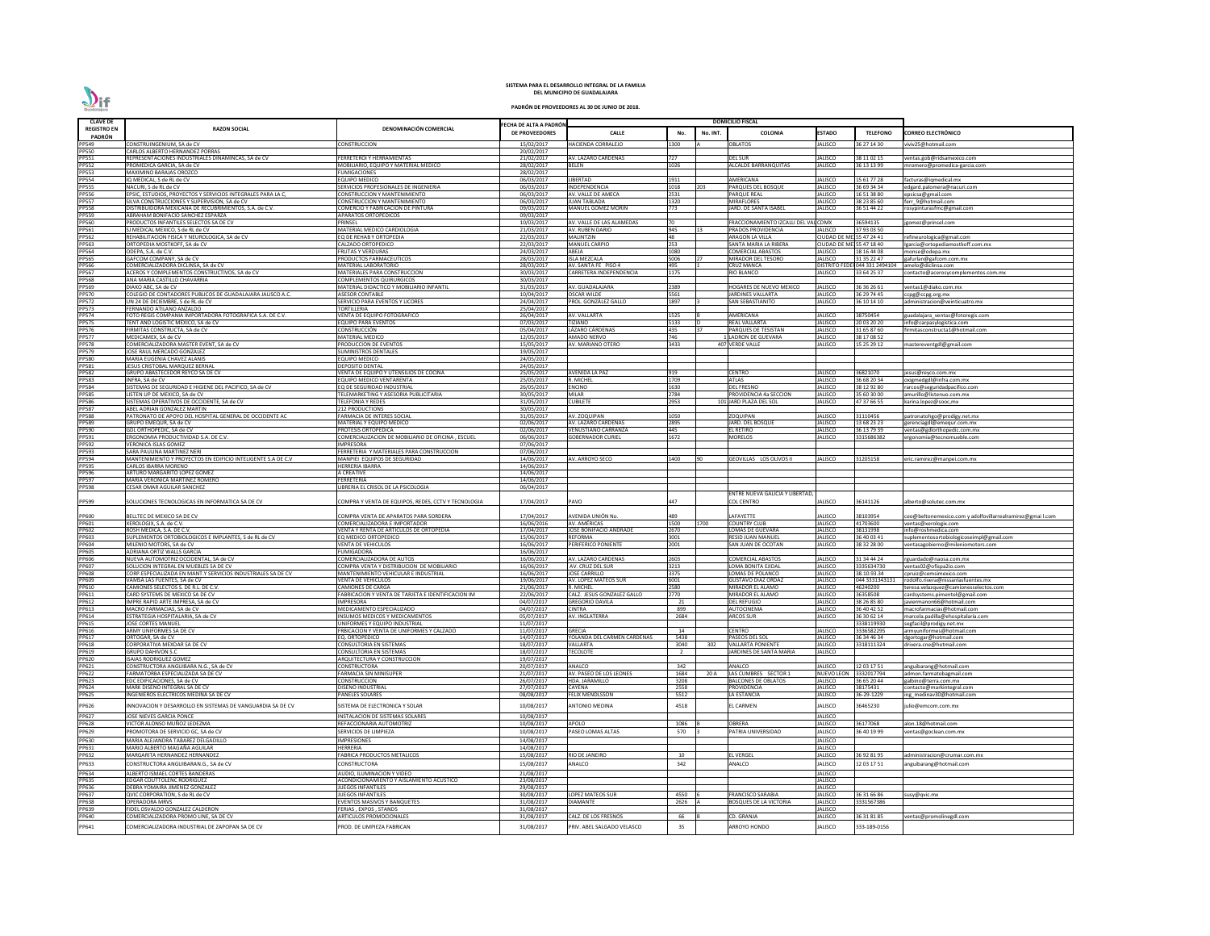| <b>CLAVE DE</b>              |                                                                                                |                                                                              |                                         |                                                |                |          | <b>DOMICILIO FISCAL</b>                                   |                                                  |                                |                                                                             |
|------------------------------|------------------------------------------------------------------------------------------------|------------------------------------------------------------------------------|-----------------------------------------|------------------------------------------------|----------------|----------|-----------------------------------------------------------|--------------------------------------------------|--------------------------------|-----------------------------------------------------------------------------|
| <b>REGISTRO EN</b>           | <b>RAZON SOCIAL</b>                                                                            | DENOMINACIÓN COMERCIAL                                                       | ECHA DE ALTA A PADRÓN<br>DE PROVEEDORES | <b>CALLE</b>                                   | No.            | No. INT. | <b>COLONIA</b>                                            | <b>ESTADO</b>                                    | <b>TELEFONO</b>                | CORREO ELECTRÓNICO                                                          |
| PADRÓN<br>PP549              | CONSTRUINGENIUM, SA de CV                                                                      | <b>CONSTRUCCION</b>                                                          | 15/02/2017                              | <b>HACIENDA CORRALEJO</b>                      | 1300           |          | OBLATOS                                                   | <b>JALISCO</b>                                   | 36 27 14 30                    | viviv25@hotmail.com                                                         |
| <b>PP550</b>                 | CARLOS ALBERTO HERNANDEZ PORRAS                                                                |                                                                              | 20/02/2017                              |                                                |                |          |                                                           |                                                  |                                |                                                                             |
| PP551<br>PP552               | REPRESENTACIONES INDUSTRIALES DINAMINCAS, SA de CV<br>PROMEDICA GARCIA, SA de CV               | FERRETEROI Y HERRAMIENTAS<br>MOBILIARIO. EQUIPO Y MATERIAL MEDICO            | 21/02/2017<br>28/02/2017                | AV. LAZARO CARDENAS<br><b>BELEN</b>            | 727<br>1026    |          | DEL SUR<br><b>ALCALDE BARRANQUITAS</b>                    | <b>JALISCO</b><br>JALISCO                        | 38 11 02 15<br>36 13 13 99     | ventas.gob@ridsamexico.com                                                  |
| PP553                        | <b>MAXIMINO BARAJAS OROZCO</b>                                                                 | <b>FUMIGACIONES</b>                                                          | 28/02/2017                              |                                                |                |          |                                                           |                                                  |                                | mromero@promedica-garcia.com                                                |
| PP554                        | IQ MEDICAL, S de RL de CV                                                                      | <b>EQUIPO MEDICO</b>                                                         | 06/03/2017                              | LIBERTAD                                       | 1911           |          | AMERICANA                                                 | <b>JALISCO</b>                                   | 15 61 77 28                    | facturas@iqmedical.mx                                                       |
| <b>PP555</b><br>PP556        | NACURI, S de RL de CV<br>EPSIC, ESTUDIOS, PROYECTOS Y SERVICIOS INTEGRALES PARA LA C,          | SERVICIOS PROFESIONALES DE INGENIERIA<br><b>CONSTRUCCION Y MANTENIMIENTO</b> | 06/03/2017<br>06/03/2017                | INDEPENDENCIA<br>AV. VALLE DE AMECA            | 1018<br>2531   | 203      | PARQUES DEL BOSQUE<br>PARQUE REAL                         | <b>JALISCO</b><br><b>JALISCO</b>                 | 36 69 34 34<br>6 51 38 80      | edgard.palomera@nacuri.com<br>epsicsa@gmail.com                             |
| <b>PP557</b>                 | SILVA CONSTRUCCIONES Y SUPERVISION, SA de CV                                                   | <b>CONSTRUCCION Y MANTENIMIENTO</b>                                          | 06/03/2017                              | <b>JUAN TABLADA</b>                            | 1320           |          | MIRAFLORES                                                | <b>JALISCO</b>                                   | 38 23 85 60                    | ferr 9@hotmail.com                                                          |
| <b>PP558</b><br>PP559        | DISTRIBUIDORA MEXICANA DE RECUBRIMIENTOS, S.A. de C.V.                                         | COMERCIO Y FABRICACION DE PINTURA                                            | 09/03/2017                              | <b>MANUEL GOMEZ MORIN</b>                      | 773            |          | IARD. DE SANTA ISABEL                                     | <b>JALISCO</b>                                   | 36 51 44 22                    | rosypinturasfmc@gmail.com                                                   |
| <b>PP560</b>                 | ABRAHAM BONIFACIO SANCHEZ ESPARZA<br>PRODUCTOS INFANTILES SELECTOS SA DE CV                    | <b>APARATOS ORTOPEDICOS</b><br>PRINSEL                                       | 09/03/2017<br>10/03/2017                | AV. VALLE DE LAS ALAMEDAS                      | <b>1</b> 70    |          | FRACCIONAMIENTO IZCALLI DEL VAL CDMX                      |                                                  | 36594135                       | jgomez@prinsel.com                                                          |
| PP561                        | SJ MEDICAL MEXICO, S de RL de CV                                                               | MATERIAL MEDICO CARDIOLOGIA                                                  | 21/03/2017                              | AV. RUBEN DARIO                                | 945            |          | PRADOS PROVIDENCIA                                        | JALISCO                                          | 37 93 03 50                    |                                                                             |
| PP562<br>PP563               | REHABILITACION FISICA Y NEUROLOGICA, SA de CV<br>ORTOPEDIA MOSTKOFF, SA de CV                  | EQ DE REHAB Y ORTOPEDIA<br>CALZADO ORTOPEDICO                                | 22/03/2017<br>22/03/2017                | <b>MALINTZIN</b><br><b>MANUEL CARPIO</b>       | 48<br>253      |          | ARAGON LA VILLA<br>SANTA MARIA LA RIBERA                  | CIUDAD DE MEJ 55 47 24 41<br><b>CIUDAD DE MI</b> | 155 47 18 40                   | refineurologica@gmail.com<br>Igarcia@ortopediamostkoff.com.mx               |
| PP564                        | ODEPA, S.A. de C.V.                                                                            | <b>FRUTAS Y VERDURAS</b>                                                     | 24/03/2017                              | ABEJA                                          | 1080           |          | COMERCIAL ABASTOS                                         | <b>JALISCO</b>                                   | 18 16 44 08                    | monse@odepa.mx                                                              |
| PP565<br>PP566               | GAFCOM COMPANY, SA de CV                                                                       | PRODUCTOS FARMACEUTICOS                                                      | 28/03/2017                              | <b>ISLA MEZCALA</b>                            | 5006           |          | MIRADOR DEL TESORO                                        | JALISCO                                          | 31 35 22 47                    | gafurlan@gafcom.com.mx                                                      |
|                              | COMERCIALIZADORA DICLINSA, SA de CV<br>ACEROS Y COMPLEMENTOS CONSTRUCTIVOS, SA de CV           | <b>MATERIAL LABORATORIO</b><br>MATERIALES PARA CONSTRUCCION                  | 28/03/2017<br>30/03/2017                | AV. SANTA FE PISO 4<br>CARRETERA INDEPENDENCIA | 495<br>1175    |          | CRUZ MANCA<br>RIO BLANCO                                  | <b>DISTRITO FE</b><br>JALISCO                    | 044 331 2494104<br>33 64 25 37 | amelo@diclinsa.com<br>contacto@acerosycomplementos.com.mx                   |
| PP567<br>PP568               | ANA MARIA CASTILLO CHAVARRIA                                                                   | COMPLEMENTOS QUIRURGICOS                                                     | 30/03/2017                              |                                                |                |          |                                                           |                                                  |                                |                                                                             |
| PP569<br>PP570               | DIAKO ABC, SA de CV<br>COLEGIO DE CONTADORES PUBLICOS DE GUADALAJARA JALISCO A.C.              | MATERIAL DIDACTICO Y MOBILIARIO INFANTIL<br><b>ASESOR CONTABLE</b>           | 31/03/2017<br>10/04/2017                | AV. GUADALAJARA<br><b>OSCAR WILDE</b>          | 2389<br>5561   |          | <b>IOGARES DE NUEVO MEXICO</b><br><b>ARDINES VALLARTA</b> | <b>JALISCO</b><br>JALISCO                        | 36 36 26 61<br>36 29 74 45     | entas1@diako.com.mx<br>ccpg@ccpg.org.mx                                     |
| <b>PP572</b>                 | UN 24 DE DICIEMBRE, S de RL de CV                                                              | SERVICIO PARA EVENTOS Y LICORES                                              | 24/04/2017                              | PROL. GONZÁLEZ GALLO                           | 1897           |          | SAN SEBASTIANITO                                          | <b>JALISCO</b>                                   | 36 10 14 10                    | administracion@veinticuatro.mx                                              |
| PP573                        | FERNANDO ATILANO ANZALDO                                                                       | <b>TORTILLERIA</b>                                                           | 25/04/2017                              |                                                |                |          |                                                           |                                                  |                                |                                                                             |
| <b>PP574</b><br><b>PP575</b> | FOTO REGIS COMPAÑIA IMPORTADORA FOTOGRAFICA S.A. DE C.V.<br>TENT AND LOGISTIC MEXICO, SA de CV | VENTA DE EQUIPO FOTOGRAFICO<br><b>EQUIPO PARA EVENTOS</b>                    | 26/04/2017<br>07/03/2017                | AV. VALLARTA<br>TIZIANO                        | 1525<br>5133   |          | <b><i>NERICANA</i></b><br>REAL VALLARTA                   | <b>JALISCO</b><br><b>JALISCO</b>                 | 38750454<br>20 03 20 20        | guadalajara_ventas@fotoregis.com<br>info@carpasylogistica.com               |
| <b>PP576</b>                 | FIRMITAS CONSTRUCTA, SA de CV                                                                  | CONSTRUCCIÓN                                                                 | 05/04/2017                              | LÁZARO CÁRDENAS                                | 435            |          | PARQUES DE TESISTAN                                       | <b>JALISCO</b>                                   | 1 65 87 60                     | firmitasconstructa1@hotmail.com                                             |
| <b>PP577</b><br><b>PP578</b> | MEDICAMEX, SA de CV<br>COMERCIALIZADORA MASTER EVENT, SA de CV                                 | MATERIAL MEDICO<br>PRODUCCION DE EVENTOS                                     | 12/05/2017<br>15/05/2017                | AMADO NERVO<br>AV. MARIANO OTERO               | 746<br>3433    |          | <b>LADRON DE GUEVARA</b><br>407 VERDE VALLE               | <b>JALISCO</b><br><b>JALISCO</b>                 | 38 17 08 52<br>5 25 29 12      | mastereventgdl@gmail.com                                                    |
| PP579                        | JOSE RAUL MERCADO GONZALEZ                                                                     | <b>SUMINISTROS DENTALES</b>                                                  | 19/05/2017                              |                                                |                |          |                                                           |                                                  |                                |                                                                             |
| <b>PP580</b>                 | MARIA EUGENIA CHAVEZ ALANIS                                                                    | <b>EQUIPO MEDICO</b>                                                         | 24/05/2017                              |                                                |                |          |                                                           |                                                  |                                |                                                                             |
| PP581<br><b>PP582</b>        | JESUS CRISTOBAL MARQUEZ BERNAL<br>GRUPO ABASTECEDOR REYCO SA DE CV                             | DEPOSITO DENTAL<br>VENTA DE EQUIPO Y UTENSILIOS DE COCINA                    | 24/05/2017<br>25/05/2017                | <b>AVENIDA LA PAZ</b>                          | 919            |          | CENTRO                                                    | <b>JALISCO</b>                                   | 16821070                       | jesus@reyco.com.mx                                                          |
| PP583                        | INFRA, SA de CV                                                                                | EQUIPO MEDICO VENTARENTA                                                     | 25/05/2017                              | R. MICHEL                                      | 1709           |          | ATLAS                                                     | JALISCO                                          | 36 68 20 34                    | oxigmedgdl@infra.com.mx                                                     |
| <b>PP584</b><br><b>PP585</b> | SISTEMAS DE SEGURIDAD E HIGIENE DEL PACIFICO, SA de CV<br>LISTEN UP DE MEXICO, SA de CV        | EQ DE SEGURIDAD INDUSTRIAI<br>TELEMARKETING Y ASESORIA PUBLICITARIA          | 26/05/2017<br>30/05/2017                | <b>ENCINO</b><br><b>MILAR</b>                  | 1630<br>2784   |          | DEL FRESNO<br>PROVIDENCIA 4a SECCION                      | <b>JALISCO</b><br><b>JALISCO</b>                 | 38 12 92 80<br>35 60 30 00     | rarcos@seguridadpacifico.com                                                |
| <b>PP586</b>                 | SISTEMAS OPERATIVOS DE OCCIDENTE, SA de CV                                                     | <b>TELEFONIA Y REDES</b>                                                     | 31/05/2017                              | <b>CUBILETE</b>                                | 2953           |          | 101 JARD PLAZA DEL SOL                                    | <b>JALISCO</b>                                   | 47 37 66 55                    | amurillo@listenuo.com.mx<br>karina.lopez@sooc,mx                            |
| <b>PP587</b>                 | ABEL ADRIAN GONZALEZ MARTIN                                                                    | <b>212 PRODUCTIONS</b>                                                       | 30/05/2017                              |                                                |                |          |                                                           |                                                  |                                |                                                                             |
| <b>PP588</b><br>PP589        | PATRONATO DE APOYO DEL HOSPITAL GENERAL DE OCCIDENTE AC<br>GRUPO EMEQUR, SA de CV              | <b>FARMACIA DE INTERES SOCIAL</b><br>MATERIAL Y EQUIPO MEDICO                | 31/05/2017<br>02/06/2017                | AV. ZOQUIPAN<br>AV. LAZARO CARDENAS            | 1050<br>2895   |          | OQUIPAN!<br>ARD. DEL BOSQUE                               | <b>JALISCO</b><br><b>JALISCO</b>                 | 1110456<br>13 68 23 23         | patronatohgo@prodigy.net.mx<br>gerenciagdl@emequr.com.mx                    |
| PP590                        | GDL ORTHOPEDIC, SA de CV                                                                       | PROTESIS ORTOPEDICA                                                          | 02/06/2017                              | <b>VENUSTIANO CARRANZA</b>                     | 445            |          | el retiro                                                 | <b>JALISCO</b>                                   | 36 13 79 39                    | entas@gdlorthopedic.com.mx                                                  |
| PP591<br><b>PP592</b>        | ERGONOMIA PRODUCTIVIDAD S.A. DE C.V.<br><b>VERONICA ISLAS GOMEZ</b>                            | COMERCIALIZACION DE MOBILIARIO DE OFICINA, ESCUEL                            | 06/06/2017                              | <b>GOBERNADOR CURIEL</b>                       | 1672           |          | MORELOS                                                   | JALISCO                                          | 315686382                      | ergonomia@tecnomueble.com                                                   |
| PP593                        | SARA PAULINA MARTINEZ NERI                                                                     | IMPRESORA<br>FERRETERIA Y MATERIALES PARA CONSTRUCCION                       | 07/06/2017<br>07/06/2017                |                                                |                |          |                                                           |                                                  |                                |                                                                             |
| PP594                        | MANTENIMIENTO Y PROYECTOS EN EDIFICIO INTELIGENTE S.A DE C.V                                   | MANPIEI EQUIPOS DE SEGURIDAD                                                 | 14/06/2017                              | AV. ARROYO SECO                                | L400           |          | GEOVILLAS LOS OLIVOS II                                   | JALISCO                                          | 1205158                        | eric.ramirez@manpei.com.mx                                                  |
| PP595<br>PP596               | CARLOS IBARRA MORENO<br>ARTURO MARGARITO LOPEZ GOMEZ                                           | <b>HERRERIA IBARRA</b><br>A CREATIVE                                         | 14/06/2017<br>14/06/2017                |                                                |                |          |                                                           |                                                  |                                |                                                                             |
| PP597                        | MARIA VERONICA MARTINEZ ROMERO                                                                 | FERRETERIA                                                                   | 14/06/2017                              |                                                |                |          |                                                           |                                                  |                                |                                                                             |
| <b>PP598</b>                 | <b>CESAR OMAR AGUILAR SANCHEZ</b>                                                              | LIBRERIA EL CRISOL DE LA PSICOLOGIA                                          | 06/04/2017                              |                                                |                |          | ENTRE NUEVA GALICIA Y LIBERTAD,                           |                                                  |                                |                                                                             |
| PP599                        | SOLUCIONES TECNOLOGICAS EN INFORMATICA SA DE CV                                                | COMPRA Y VENTA DE EQUIPOS. REDES. CCTV Y TECNOLOGIA                          | 17/04/2017                              | PAVO                                           | 447            |          | COL CENTRO                                                | <b>JALISCO</b>                                   | 36141126                       | alberto@solutec.com.mx                                                      |
| PP600                        | BELLTEC DE MEXICO SA DE CV                                                                     | COMPRA VENTA DE APARATOS PARA SORDERA                                        | 17/04/2017                              | AVENIDA UNIÓN No.                              | 489            |          | <b>AFAYETTE</b>                                           | <b>JALISCO</b>                                   | 38103954                       | ceo@beltonemexico.com y adolfovillarrealramirez@gmai l.com                  |
| PP601                        | XEROLOGIX, S.A. de C.V                                                                         | COMERCIALIZADORA E IMPORTADOR                                                | 16/06/2016                              | AV. AMÉRICAS                                   | 1500           | 1700     | COUNTRY CLUB                                              | <b>JALISCO</b>                                   | 41703600                       | ventas@xerologix.com                                                        |
| PP602<br>PP603               | ROSH MEDICA, S.A. DE C.V.<br>SUPLEMENTOS ORTOBIOLOGICOS E IMPLANTES, S de RL de CV             | VENTA Y RENTA DE ARTICULOS DE ORTOPEDIA<br>EQ MEDICO ORTOPEDICO              | 17/04/2017<br>15/06/2017                | JOSÉ BONIFACIO ANDRADE<br>REFORMA              | 2670<br>3001   |          | LOMAS DE GUEVARA<br>RESID JUAN MANUEL                     | <b>JALISCO</b><br><b>JALISCO</b>                 | 38131998<br>36 40 03 41        | info@roshmedica.com<br>suplementosortobiologicoseimpl@gmail.com             |
| PP604                        | MILENIO MOTORS, SA de CV                                                                       | <b>VENTA DE VEHICULOS</b>                                                    | 16/06/2017                              | PERIFERICO PONIENTE                            | 2001           |          | SAN JUAN DE OCOTAN                                        | <b>JALISCO</b>                                   | 38 32 28 00                    | ventasagobierno@mileniomotors.com                                           |
| PP605                        | ADRIANA ORTIZ WALLS GARCIA                                                                     | <b>FUMIGADORA</b>                                                            | 16/06/2017                              |                                                |                |          |                                                           |                                                  |                                |                                                                             |
| PP606<br><b>PP607</b>        | NUEVA AUTOMOTRIZ OCCIDENTAL, SA de CV<br>SOLUCION INTEGRAL EN MUEBLES SA DE CV                 | COMERCIALIZADORA DE AUTOS<br>COMPRA VENTA Y DISTRIBUCION DE MOBILIARIO       | 16/06/2017<br>16/06/2017                | <b>AV. LAZARO CARDENAS</b><br>AV. CRUZ DEL SUF | 2603<br>3213   |          | COMERCIAL ABASTOS<br>LOMA BONITA EJIDAL                   | <b>JALISCO</b><br><b>JALISCO</b>                 | 31 34 44 24<br>3335634730      | rguardado@naosa.com.mx<br>ventas02@ofispa2io.com                            |
| PP608                        | CORP.ESPECIALIZADA EN MANT.Y SERVICIOS INDUSTRIALES SA DE CV                                   | MANTENIMIENTO VEHICULAR E INDUSTRIAL                                         | 16/06/2017                              | <b>JOSE CARRILLO</b>                           | 3375           |          | OMAS DE POLANCO                                           | <b>JALISCO</b>                                   | 38.10.93.34                    | cpruiz@cemsimexico.com                                                      |
| PP609<br>PP610               | VAMSA LAS FUENTES, SA de CV<br>CAMIONES SELECTOS S. DE R.L. DE C.V.                            | <b>VENTA DE VEHICULOS</b><br><b>CAMIONES DE CARGA</b>                        | 19/06/2017<br>21/06/2017                | AV. LOPEZ MATEOS SUR<br>R. MICHEL              | 6001<br>2580   |          | <b>GUSTAVO DIAZ ORDAZ</b><br><b>MIRADOR EL ALAMO</b>      | <b>JALISCO</b><br><b>JALISCO</b>                 | 044 3331343131<br>16240200     | rodolfo.rivera@nissanlasfuentes.mx<br>teresa.velazquez@camionesselectos.com |
| PP611                        | CARD SYSTEMS DE MEXICO SA DE CV                                                                | FABRICACION Y VENTA DE TARJETA E IDENTIFICACION IM                           | 22/06/2017                              | CALZ. JESUS GONZALEZ GALLO                     | 2770           |          | <b>MIRADOR EL ALAMO</b>                                   | <b>JALISCO</b>                                   | 6358508                        | cardsystems.pimentel@gmail.com                                              |
| PP612                        | IMPRE RAPID ARTE IMPRESA, SA de CV                                                             | <b>IMPRESORA</b>                                                             | 04/07/2017                              | <b>GREGORIO DAVILA</b>                         | 21             |          | <b>DEL REFUGIO</b>                                        | <b>JALISCO</b>                                   | 38 26 85 80                    | javiermanon66@hotmail.com                                                   |
| PP613<br>PP614               | MACRO FARMACIAS, SA de CV<br>ESTRATEGIA HOSPITALARIA, SA de CV                                 | MEDICAMENTO ESPECIALIZADO<br>INSUMOS MEDICOS Y MEDICAMENTOS                  | 04/07/2017<br>05/07/2017                | <b>CINTRA</b><br>AV. INGLATERRA                | 899<br>2684    |          | AUTOCINEMA<br><b>ARCOS SUR</b>                            | <b>JALISCO</b><br><b>JALISCO</b>                 | 36 40 42 52<br>36 30 62 14     | macrofarmacias@hotmail.com<br>marcela.padilla@ehospitalaria.com             |
| PP615                        | <b>JOSE CORTES MANUEL</b>                                                                      | UNIFORMES Y EQUIPO INDUSTRIAL                                                | 11/07/2017                              |                                                |                |          |                                                           |                                                  | 3338119930                     | segfacil@prodigy.net.mx                                                     |
| PP616<br>PP617               | ARMY UNIFORMES SA DE CV<br>ORTOGAR. SA de CV                                                   | FRBICACION Y VENTA DE UNIFORMES Y CALZADO                                    | 11/07/2017                              | <b>GRECIA</b><br>YOLANDA DEL CARMEN CARDENAS   | 14             |          | CENTRO<br>PASEOS DEL SOL                                  | <b>JALISCO</b><br><b>JALISCO</b>                 | 3336582295<br>6 34 46 34       | armyuniformes@hotmail.com                                                   |
| <b>PP618</b>                 | CORPORATIVA MEXDAR SA DE CV                                                                    | EQ. ORTOPEDICO<br>CONSULTORIA EN SISTEMAS                                    | 14/07/2017<br>18/07/2017                | VALLARTA                                       | 5438<br>3040   | 302      | VALLARTA PONIENTE                                         | <b>JALISCO</b>                                   | 318111324                      | dgortogar@hotmail.com<br>drivera.cne@hotmail.com                            |
| PP619                        | <b>GRUPO DAHIVON S.C</b>                                                                       | CONSULTORIA EN SISTEMAS                                                      | 18/07/2017                              | <b><i>TECOLOTE</i></b>                         | $\overline{2}$ |          | <b>ARDINES DE SANTA MARIA</b>                             | <b>JALISCO</b>                                   |                                |                                                                             |
| PP620<br>PP621               | <b>ISAIAS RODRIGUEZ GOMEZ</b><br>CONSTRUCTORA ANGUIBARA N.G., SA de CV                         | ARQUITECTURA Y CONSTRUCCION<br>CONSTRUCTORA                                  | 19/07/2017<br>20/07/2017                | ANALCO                                         | 342            |          | ANALCO                                                    | <b>JALISCO</b>                                   | 12 03 17 51                    | anguibarang@hotmail.com                                                     |
| PP622                        | ARMATORBA ESPECIALIZADA SA DE CV                                                               | FARMACIA SIN MINISUPER                                                       | 21/07/2017                              | AV. PASEO DE LOS LEONES                        | 1684           | 20 A     | LAS CUMBRES SECTOR 1                                      | <b>NUEVO LEON</b>                                | 332017794                      | admon.farmatobagmail.com                                                    |
| PP623                        | EDC EDIFICACIONES, SA de CV                                                                    | CONSTRUCCION                                                                 | 26/07/2017                              | <b>HDA. JARAMILLC</b>                          | 3208           |          | <b>BALCONES DE OBLATOS</b>                                | <b>JALISCO</b>                                   | 36 65 20 44                    | galbino@terra.com.mx                                                        |
| PP624<br>PP625               | MARK DISEÑO INTEGRAL SA DE CV<br>INGENIEROS ELECTRICOS MEDINA SA DE CV                         | DISEÑO INDUSTRIAL<br><b>PANELES SOLARES</b>                                  | 27/07/2017<br>08/08/2017                | <b>CAYENA</b><br><b>FELIX MENDLSSON</b>        | 2558<br>5512   |          | PROVIDENCIA<br>LA ESTANCIA                                | <b>JALISCO</b><br><b>JALISCO</b>                 | 38175431<br>6-29-1229          | contacto@markintegral.com<br>ing medinav30@hotmail.com                      |
| PP626                        | INNOVACION Y DESARROLLO EN SISTEMAS DE VANGUARDIA SA DE CV                                     | SISTEMA DE ELECTRONICA Y SOLAR                                               | 10/08/2017                              | <b>ANTONIO MEDINA</b>                          | 4518           |          | EL CARMEN                                                 | <b>JALISCO</b>                                   | 6465230                        | julio@emcom.com.mx                                                          |
| <b>PP627</b>                 | JOSE NIEVES GARCIA PONCE                                                                       | INSTALACION DE SISTEMAS SOLARES                                              | 10/08/2017                              |                                                |                |          |                                                           | <b>JALISCO</b>                                   |                                |                                                                             |
| <b>PP628</b>                 | VICTOR ALONSO MUÑOZ LEDEZMA                                                                    | REFACCIONARIA AUTOMOTRIZ                                                     | 10/08/2017                              | APOLO                                          | 1086           |          | OBRERA                                                    | <b>JALISCO</b>                                   | 6177068                        | alon.18@hotmail.com                                                         |
| PP629<br>PP630               | PROMOTORA DE SERVICIO GC, SA de CV                                                             | SERVICIOS DE LIMPIEZA                                                        | 10/08/2017                              | PASEO LOMAS ALTAS                              | 570            |          | PATRIA UNIVERSIDAD                                        | <b>JALISCO</b>                                   | 36 40 19 99                    | ventas@goclean.com.mx                                                       |
| PP631                        | MARIA ALEJANDRA TABAREZ DELGADILLO<br>MARIO ALBERTO MAGAÑA AGUILAR                             | <b>IMPRESIONES</b><br><b>HERRERIA</b>                                        | 14/08/2017<br>14/08/2017                |                                                |                |          |                                                           | <b>JALISCO</b><br><b>JALISCO</b>                 |                                |                                                                             |
| PP632                        | MARGARITA HERNANDEZ HERNANDEZ                                                                  | FABRICA PRODUCTOS METALICOS                                                  | 15/08/2017                              | RIO DE JANEIRO                                 | 10             |          | EL VERGEL                                                 | <b>JALISCO</b>                                   | 36 92 81 95                    | administracion@crumar.com.mx                                                |
| PP633                        | CONSTRUCTORA ANGUIBARAN.G., SA de CV                                                           | CONSTRUCTORA                                                                 | 15/08/2017                              | ANALCO                                         | 342            |          | ANALCO                                                    | <b>JALISCO</b>                                   | 2 03 17 51                     | anguibarang@hotmail.com                                                     |
| PP634                        | ALBERTO ISMAEL CORTES BANDERAS                                                                 | AUDIO. ILUMINACION Y VIDEO                                                   | 21/08/2017                              |                                                |                |          |                                                           | JALISCO                                          |                                |                                                                             |
| PP635<br>PP636               | EDGAR COUTTOLENC RODRIGUEZ<br>DEBRA YOMAIRA JIMENEZ GONZALEZ                                   | ACONDICIONAMIENTO Y AISLAMIENTO ACUSTICO<br><b>JUEGOS INFANTILES</b>         | 23/08/2017<br>29/08/2017                |                                                |                |          |                                                           | <b>JALISCO</b><br><b>JALISCO</b>                 |                                |                                                                             |
| PP637                        | QVIC CORPORATION, S de RL de CV                                                                | <b>JUEGOS INFANTILES</b>                                                     | 30/08/2017                              | <b>LOPEZ MATEOS SUR</b>                        | 4550           |          | <b>FRANCISCO SARABIA</b>                                  | <b>JALISCO</b>                                   | 36 31 66 86                    | susy@gvic.mx                                                                |
| <b>PP638</b><br>PP639        | <b>OPERADORA MRVS</b><br>FIDEL OSVALDO GONZALEZ CALDERON                                       | EVENTOS MASIVOS Y BANQUETES<br>FERIAS, EXPOS, STANDS                         | 31/08/2017<br>31/08/2017                | <b>DIAMANTE</b>                                | 2626           |          | BOSQUES DE LA VICTORIA                                    | <b>JALISCO</b><br><b>JALISCO</b>                 | 3331567386                     |                                                                             |
| PP640                        | COMERCIALIZADORA PROMO LINE, SA DE CV                                                          | ARTICULOS PROMOCIONALES                                                      | 31/08/2017                              | CALZ. DE LOS FRESNOS                           | 66             |          | CD. GRANJA                                                | <b>JALISCO</b>                                   | 86 31 81 85                    | entas@promolinegdl.com                                                      |
| PP641                        | COMERCIALIZADORA INDUSTRIAL DE ZAPOPAN SA DE CV                                                | PROD. DE LIMPIEZA FABRICAN                                                   | 31/08/2017                              | PRIV. ABEL SALGADO VELASCO                     | 35             |          | ARROYO HONDO                                              | JALISCO                                          | 333-189-0156                   |                                                                             |

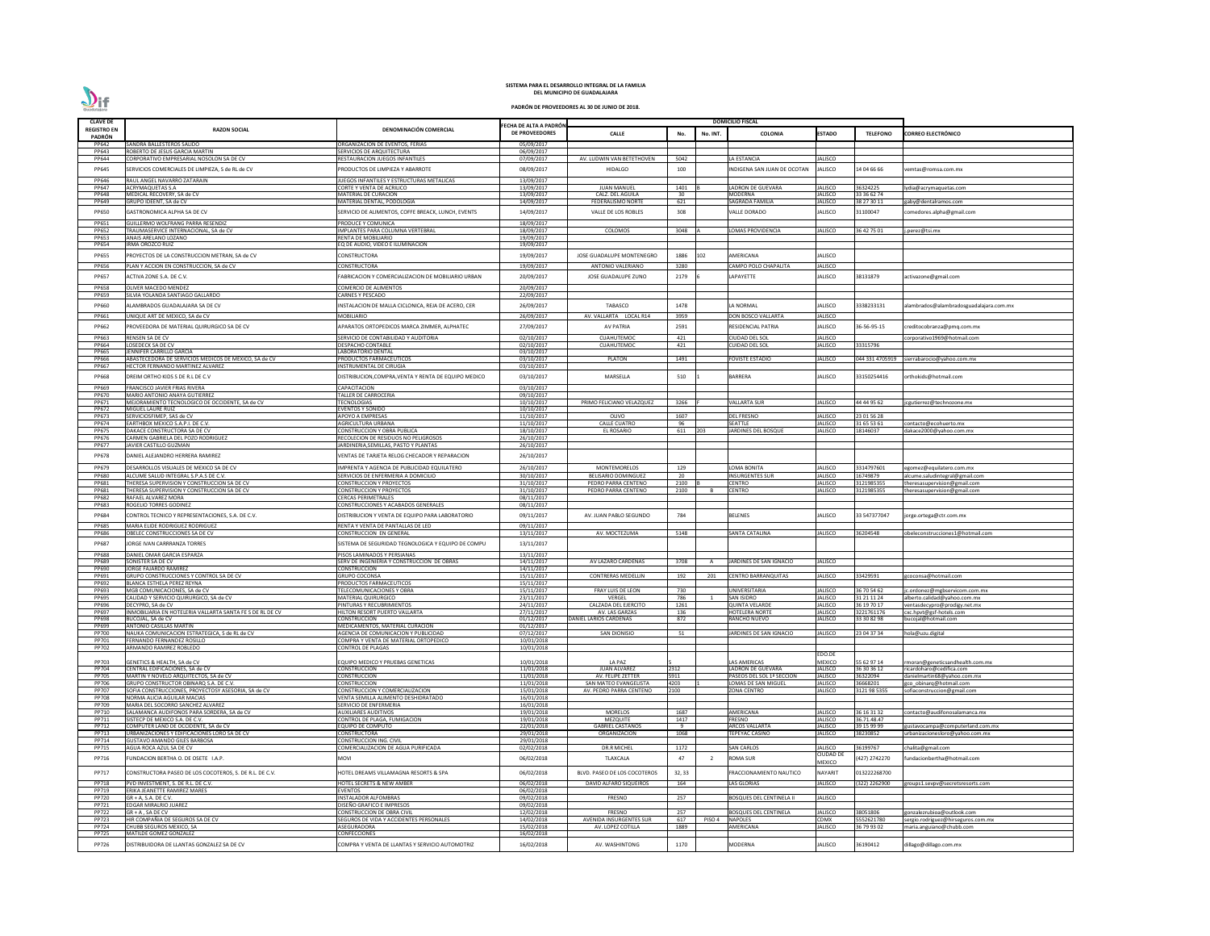| <b>CLAVE DE</b>       |                                                                             |                                                                               |                                                 |                                              |            |              | <b>DOMICILIO FISCAL</b>         |                                  |                         |                                         |
|-----------------------|-----------------------------------------------------------------------------|-------------------------------------------------------------------------------|-------------------------------------------------|----------------------------------------------|------------|--------------|---------------------------------|----------------------------------|-------------------------|-----------------------------------------|
| <b>REGISTRO EN</b>    | <b>RAZON SOCIAL</b>                                                         | DENOMINACIÓN COMERCIAL                                                        | FECHA DE ALTA A PADRÓN<br><b>DE PROVEEDORES</b> |                                              |            |              |                                 | <b>ESTADO</b>                    | <b>TELEFONO</b>         |                                         |
| <b>PADRÓN</b>         |                                                                             |                                                                               |                                                 | <b>CALLE</b>                                 | No.        | No. INT.     | COLONIA                         |                                  |                         | CORREO ELECTRÓNICO                      |
| PP642                 | SANDRA BALLESTEROS SALIDO                                                   | ORGANIZACION DE EVENTOS, FERIAS                                               | 05/09/2017                                      |                                              |            |              |                                 |                                  |                         |                                         |
| PP643                 | ROBERTO DE JESUS GARCIA MARTIN                                              | SERVICIOS DE ARQUITECTURA                                                     | 06/09/2017                                      |                                              |            |              |                                 |                                  |                         |                                         |
| PP644                 | CORPORATIVO EMPRESARIAL NOSOLON SA DE CV                                    | RESTAURACION JUEGOS INFANTILES                                                | 07/09/2017                                      | AV. LUDWIN VAN BETETHOVEN                    | 5042       |              | LA ESTANCIA                     | JALISCO                          |                         |                                         |
| PP645                 | SERVICIOS COMERCIALES DE LIMPIEZA, S de RL de CV                            | PRODUCTOS DE LIMPIEZA Y ABARROTE                                              | 08/09/2017                                      | <b>HIDALGO</b>                               | 100        |              | INDIGENA SAN JUAN DE OCOTAN     | JALISCO                          | 14 04 66 66             | emtas@romsa.com.mx                      |
| PP646                 | RAUL ANGEL NAVARRO ZATARAIN                                                 | JUEGOS INFANTILES Y ESTRUCTURAS METALICAS                                     | 13/09/2017                                      |                                              |            |              |                                 |                                  |                         |                                         |
| <b>PP647</b>          | <b>ACRYMAQUETAS S.A</b>                                                     | CORTE Y VENTA DE ACRILICO                                                     | 13/09/2017                                      | <b>JUAN MANUEL</b>                           | 1401       |              | LADRON DE GUEVARA               | <b>JALISCO</b>                   | 36324225                | ydia@acrymaquetas.com                   |
| PP648                 | MEDICAL RECOVERY, SA de CV                                                  | MATERIAL DE CURACION                                                          | 13/09/2017                                      | CALZ. DEL AGUILA                             | 30         |              | MODERNA                         | JALISCO                          | 33 36 62 74             |                                         |
| PP649                 | GRUPO IDEENT, SA de CV                                                      | MATERIAL DENTAL, PODOLOGIA                                                    | 14/09/2017                                      | FEDERALISMO NORTE                            | 621        |              | SAGRADA FAMILIA                 | JALISCO                          | 38 27 30 11             | gaby@dentalramos.com                    |
| PP650                 | GASTRONOMICA ALPHA SA DE CV                                                 | SERVICIO DE ALIMENTOS, COFFE BREACK, LUNCH, EVENTS                            | 14/09/2017                                      | VALLE DE LOS ROBLES                          | 308        |              | ALLE DORADO                     | IALISCO                          | 31100047                | omedores.alpha@gmail.com                |
|                       |                                                                             |                                                                               |                                                 |                                              |            |              |                                 |                                  |                         |                                         |
| PP651<br>PP652        | GUILLERMO WOLFRANG PARRA RESENDIZ<br>TRAUMASERVICE INTERNACIONAL, SA de CV  | <b>RODUCE Y COMUNICA</b><br>IMPLANTES PARA COLUMNA VERTEBRAL                  | 18/09/2017<br>18/09/2017                        | COLOMOS                                      | 3048       |              | LOMAS PROVIDENCIA               | <b>JALISCO</b>                   | 36 42 75 01             | .perez@tsi.mx                           |
| PP653                 | ANAIS ARELANO LOZANO                                                        | RENTA DE MOBILIARIO                                                           | 19/09/2017                                      |                                              |            |              |                                 |                                  |                         |                                         |
| PP654                 | IRMA OROZCO RUIZ                                                            | EQ DE AUDIO, VIDEO E ILUMINACION                                              | 19/09/2017                                      |                                              |            |              |                                 |                                  |                         |                                         |
| PP655                 | PROYECTOS DE LA CONSTRUCCION METRAN, SA de CV                               | CONSTRUCTORA                                                                  | 19/09/2017                                      | JOSE GUADALUPE MONTENEGRO                    | 1886       | LO2          | AMERICANA                       | JALISCO                          |                         |                                         |
|                       |                                                                             |                                                                               |                                                 |                                              |            |              |                                 |                                  |                         |                                         |
| <b>PP656</b>          | PLAN Y ACCION EN CONSTRUCCION, SA de CV                                     | CONSTRUCTORA                                                                  | 19/09/2017                                      | ANTONIO VALERIANO                            | 3280       |              | CAMPO POLO CHAPALITA            | JALISCO                          |                         |                                         |
| PP657                 | ACTIVA ZONE S.A. DE C.V.                                                    | ABRICACION Y COMERCIALIZACION DE MOBILIARIO URBAN                             | 20/09/2017                                      | JOSE GUADALUPE ZUNO                          | 2179       |              | LAPAYETTE                       | JALISCO                          | 38131879                | activazone@gmail.com                    |
| <b>PP658</b>          | OLIVER MACEDO MENDEZ                                                        | COMERCIO DE ALIMENTOS                                                         | 20/09/2017                                      |                                              |            |              |                                 |                                  |                         |                                         |
| PP659                 | SILVIA YOLANDA SANTIAGO GALLARDO                                            | <b>CARNES Y PESCADO</b>                                                       | 22/09/2017                                      |                                              |            |              |                                 |                                  |                         |                                         |
|                       |                                                                             |                                                                               |                                                 |                                              |            |              |                                 |                                  |                         |                                         |
| PP660                 | <b>ILAMBRADOS GUADALAJARA SA DE CV</b>                                      | NSTALACION DE MALLA CICLONICA, REJA DE ACERO, CER                             | 26/09/2017                                      | TABASCO                                      | 1478       |              | A NORMAL                        | JALISCO                          | 3338233131              | alambrados@alambradosguadalajara.com.mx |
| PP661                 | UNIQUE ART DE MEXICO, SA de CV                                              | <b>MOBILIARIO</b>                                                             | 26/09/2017                                      | AV. VALLARTA LOCAL R14                       | 3959       |              | <b>DON BOSCO VALLARTA</b>       | <b>JALISCO</b>                   |                         |                                         |
| PP662                 | PROVEEDORA DE MATERIAL QUIRURGICO SA DE CV                                  | APARATOS ORTOPEDICOS MARCA ZIMMER, ALPHATEC                                   | 27/09/2017                                      | <b>AV PATRIA</b>                             | 2591       |              | RESIDENCIAL PATRIA              | JALISCO                          | 36-56-95-15             | :reditocobranza@pmq.com.mx              |
|                       |                                                                             |                                                                               |                                                 |                                              |            |              |                                 |                                  |                         |                                         |
| PP663<br>PP664        | RENSEN SA DE CV<br>LOSEDECK SA DE CV                                        | SERVICIO DE CONTABILIDAD Y AUDITORIA                                          | 02/10/2017<br>02/10/2017                        | <b>CUAHUTEMOC</b><br>CUAHUTEMOC              | 421<br>421 |              | CIUDAD DEL SOL<br>UIDAD DEL SOL | <b>JALISCO</b><br><b>JALISCO</b> |                         | orporativo1969@hotmail.com              |
| PP665                 | <b>IENNIFER CARRILLO GARCIA</b>                                             | <b>DESPACHO CONTABLE</b><br>LABORATORIO DENTAL                                | 03/10/2017                                      |                                              |            |              |                                 |                                  | 33315796                |                                         |
| PP666                 | ABASTECEDORA DE SERVICIOS MEDICOS DE MEXICO, SA de CV                       | PRODUCTOS FARMACEUTICOS                                                       | 03/10/2017                                      | <b>PLATON</b>                                | 1491       |              | FOVISTE ESTADIO                 | JALISCO                          | 044 331 4705919         | sierrabarocio@yahoo.com.mx              |
| PP667                 | HECTOR FERNANDO MARTINEZ ALVAREZ                                            | <b>INSTRUMENTAL DE CIRUGIA</b>                                                | 03/10/2017                                      |                                              |            |              |                                 |                                  |                         |                                         |
|                       |                                                                             |                                                                               |                                                 |                                              |            |              |                                 |                                  |                         |                                         |
| PP668                 | DREIM ORTHO KIDS S DE R.L DE C.V                                            | DISTRIBUCION, COMPRA, VENTA Y RENTA DE EQUIPO MEDICO                          | 03/10/2017                                      | MARSELLA                                     | 510        |              | BARRERA                         | JALISCO                          | 33150254416             | orthokids@hotmail.com                   |
| PP669                 | FRANCISCO JAVIER FRIAS RIVERA                                               | CAPACITACION                                                                  | 03/10/2017                                      |                                              |            |              |                                 |                                  |                         |                                         |
| PP670                 | MARIO ANTONIO ANAYA GUTIERREZ                                               | <b><i>FALLER DE CARROCERIA</i></b>                                            | 09/10/2017                                      |                                              |            |              |                                 |                                  |                         |                                         |
| PP671                 | MEJORAMIENTO TECNOLOGICO DE OCCIDENTE, SA de CV                             | <b>ECNOLOGIAS</b>                                                             | 10/10/2017                                      | PRIMO FELICIANO VELAZQUEZ                    | 3266       |              | <b>VALLARTA SUR</b>             | <b>JALISCO</b>                   | 44 44 95 62             | cgutierrez@technozone.mx                |
| PP672                 | MIGUEL LAURE RUIZ                                                           | EVENTOS Y SONIDO                                                              | 10/10/2017                                      |                                              |            |              |                                 |                                  |                         |                                         |
| PP673<br>PP674        | SERVICIOSFIMEP, SAS de CV                                                   | APOYO A EMPRESAS                                                              | 11/10/2017                                      | OLIVO<br><b>CALLE CUATRO</b>                 | 1607<br>96 |              | <b>DEL FRESNO</b><br>SEATTLE    | <b>JALISCO</b><br><b>JALISCO</b> | 23 01 56 28             | contacto@ecohuerto.mx                   |
| PP675                 | EARTHBOX MEXICO S.A.P.I. DE C.V.<br>DAKACE CONSTRUCTORA SA DE CV            | AGRICULTURA URBANA<br>CONSTRUCCION Y OBRA PUBLICA                             | 11/10/2017<br>18/10/2017                        | EL ROSARIO                                   | 611        | 203          | <b>JARDINES DEL BOSQUE</b>      | <b>IALISCO</b>                   | 31 65 53 61<br>18146037 | dakace2000@yahoo.com.mx                 |
| PP676                 | CARMEN GABRIELA DEL POZO RODRIGUEZ                                          | RECOLECION DE RESIDUOS NO PELIGROSOS                                          | 26/10/2017                                      |                                              |            |              |                                 |                                  |                         |                                         |
| <b>PP677</b>          | IAVIER CASTILLO GUZMAN                                                      | ARDINERIA, SEMILLAS, PASTO Y PLANTAS                                          | 26/10/2017                                      |                                              |            |              |                                 |                                  |                         |                                         |
|                       |                                                                             |                                                                               |                                                 |                                              |            |              |                                 |                                  |                         |                                         |
| PP678                 | DANIEL ALEJANDRO HERRERA RAMIREZ                                            | <b>ENTAS DE TARJETA RELOG CHECADOR Y REPARACION</b>                           | 26/10/2017                                      |                                              |            |              |                                 |                                  |                         |                                         |
| PP679                 | DESARROLLOS VISUALES DE MEXICO SA DE CV                                     | MPRENTA Y AGENCIA DE PUBLICIDAD EQUILATERO                                    | 26/10/2017                                      | MONTEMORELOS                                 | 129        |              | OMA BONITA                      | JALISCO                          | 3314797601              | egomez@equilatero.com.mx                |
| PP680                 | ALCUME SALUD INTEGRAL S.P.A.S DE C.V.                                       | SERVICIOS DE ENFERMERIA A DOMICILIO                                           | 30/10/2017                                      | <b>BELISARIO DOMINGUEZ</b>                   | - 20       |              | INSURGENTES SUR                 | JALISCO                          | 16749879                | alcume.saludintegral@gmail.com          |
| PP681                 | THERESA SUPERVISION Y CONSTRUCCION SA DE CV                                 | CONSTRUCCION Y PROYECTOS                                                      | 31/10/2017                                      | PEDRO PARRA CENTENO                          | 2100       |              | CENTRO                          | JALISCO                          | 3121985355              | theresasupervision@gmail.com            |
| PP681                 | THERESA SUPERVISION Y CONSTRUCCION SA DE CV                                 | <b>CONSTRUCCION Y PROYECTOS</b>                                               | 31/10/2017                                      | PEDRO PARRA CENTENO                          | 2100       |              | <b>CENTRO</b>                   | <b>JALISCO</b>                   | 3121985355              | theresasupervision@gmail.com            |
| <b>PP682</b>          | RAFAEL ALVAREZ MORA                                                         | CERCAS PERIMETRALES                                                           | 08/11/2017                                      |                                              |            |              |                                 |                                  |                         |                                         |
| PP683                 | ROGELIO TORRES GODINEZ                                                      | CONSTRUCCIONES Y ACABADOS GENERALES                                           | 08/11/2017                                      |                                              |            |              |                                 |                                  |                         |                                         |
| PP684                 | CONTROL TECNICO Y REPRESENTACIONES, S.A. DE C.V.                            | DISTRIBUCION Y VENTA DE EQUIPO PARA LABORATORIO                               | 09/11/2017                                      | AV. JUAN PABLO SEGUNDO                       | 784        |              | BELENES                         | JALISCO                          | 33 547377047            | orge.ortega@ctr.com.mx                  |
| <b>PP685</b>          | MARIA ELIDE RODRIGUEZ RODRIGUEZ                                             | RENTA Y VENTA DE PANTALLAS DE LED                                             | 09/11/2017                                      |                                              |            |              |                                 |                                  |                         |                                         |
| PP686                 | OBELEC CONSTRUCCIONES SA DE CV                                              | CONSTRUCCION EN GENERAL                                                       | 13/11/2017                                      | AV. MOCTEZUMA                                | 5148       |              | <b>SANTA CATALINA</b>           | <b>JALISCO</b>                   | 36204548                | beleconstrucciones1@hotmail.com         |
|                       |                                                                             |                                                                               |                                                 |                                              |            |              |                                 |                                  |                         |                                         |
| PP687                 | <b>JORGE IVAN CARRRANZA TORRES</b>                                          | SISTEMA DE SEGURIDAD TEGNOLOGICA Y EQUIPO DE COMPU                            | 13/11/2017                                      |                                              |            |              |                                 |                                  |                         |                                         |
| <b>PP688</b>          | DANIEL OMAR GARCIA ESPARZA                                                  | PISOS LAMINADOS Y PERSIANAS                                                   | 13/11/2017                                      |                                              |            |              |                                 |                                  |                         |                                         |
| PP689                 | SONISTER SA DE CV                                                           | SERV DE INGENIERIA Y CONSTRUCCION DE OBRAS                                    | 14/11/2017                                      | AV LAZARO CARDENAS                           | 3708       | A            | JARDINES DE SAN IGNACIO         | JALISCO                          |                         |                                         |
| PP690                 | <b>JORGE FAJARDO RAMIREZ</b>                                                | <b>CONSTRUCCION</b>                                                           | 14/11/2017                                      |                                              |            |              |                                 |                                  |                         |                                         |
| PP691<br>PP692        | GRUPO CONSTRUCCIONES Y CONTROL SA DE CV<br>BLANCA ESTHELA PEREZ REYNA       | <b>GRUPO COCONSA</b><br><b>PRODUCTOS FARMACEUTICOS</b>                        | 15/11/2017<br>15/11/2017                        | <b>CONTRERAS MEDELLIN</b>                    | 192        | 201          | <b>CENTRO BARRANQUITAS</b>      | <b>JALISCO</b>                   | 33429591                | coconsa@hotmail.com                     |
| PP693                 | MGB COMUNICACIONES, SA de CV                                                | <b>FELECOMUNICACIONES Y OBRA</b>                                              | 15/11/2017                                      | FRAY LUIS DE LEON                            | 730        |              | UNIVERSITARIA                   | <b>JALISCO</b>                   | 36 70 54 62             | c.ordonez@mgbservicom.com.mx            |
| PP695                 | CALIDAD Y SERVICIO QUIRURGICO, SA de CV                                     | <b>MATERIAL QUIRURGICO</b>                                                    | 23/11/2017                                      | VERGEL                                       | 786        | $\mathbf{1}$ | <b>SAN ISIDRO</b>               | JALISCO                          | 31 21 11 24             | alberto.calidad@yahoo.com.mx            |
| PP696                 | DECYPRO, SA de CV                                                           | PINTURAS Y RECUBRIMIENTOS                                                     | 24/11/2017                                      | CALZADA DEL EJERCITO                         | 1261       |              | <b>QUINTA VELARDE</b>           | <b>JALISCO</b>                   | 36 19 70 17             | /entasdecypro@prodigy.net.mx            |
| PP697                 | INMOBILIARIA EN HOTELERIA VALLARTA SANTA FE S DE RL DE CV                   | HILTON RESORT PUERTO VALLARTA                                                 | 27/11/2017                                      | AV. LAS GARZAS                               | 136        |              | <b>HOTELERA NORTE</b>           | <b>JALISCO</b>                   | 3221761176              | :xc.hpvt@gsf-hotels.com                 |
| <b>PP698</b>          | BUCOJAL. SA de CV                                                           | CONSTRUCCION                                                                  | 01/12/2017                                      | DANIEL LARIOS CARDENAS                       | 872        |              | RANCHO NUEVO                    | <b>JALISCO</b>                   | 33 30 82 98             | oucojal@hotmail.com                     |
| PP699                 | ANTONIO CASILLAS MARTIN                                                     | MEDICAMENTOS, MATERIAL CURACION                                               | 01/12/2017                                      |                                              |            |              |                                 |                                  |                         |                                         |
| <b>PP700</b><br>PP701 | NAUKA COMUNICACION ESTRATEGICA, S de RL de CV<br>FERNANDO FERNANDEZ ROSILLO | AGENCIA DE COMUNICACION Y PUBLICIDAD<br>COMPRA Y VENTA DE MATERIAL ORTOPEDICO | 07/12/2017                                      | <b>SAN DIONISIO</b>                          | 51         |              | JARDINES DE SAN IGNACIO         | <b>JALISCO</b>                   | 23 04 37 34             | hola@uzu.digital                        |
| PP702                 | ARMANDO RAMIREZ ROBLEDO                                                     | CONTROL DE PLAGAS                                                             | 10/01/2018<br>10/01/2018                        |                                              |            |              |                                 |                                  |                         |                                         |
|                       |                                                                             |                                                                               |                                                 |                                              |            |              |                                 | EDO.DE                           |                         |                                         |
| PP703                 | GENETICS & HEALTH, SA de CV                                                 | EQUIPO MEDICO Y PRUEBAS GENETICAS                                             | 10/01/2018                                      | LA PAZ                                       |            |              | <b>LAS AMERICAS</b>             | <b>MEXICO</b>                    | 55 62 97 14             | moran@geneticsandhealth.com.mx          |
| PP704                 | CENTRAL EDIFICACIONES, SA de CV                                             | <b>CONSTRUCCION</b>                                                           | 11/01/2018                                      | <b>JUAN ALVAREZ</b>                          | 2312       |              | LADRON DE GUEVARA               | <b>JALISCO</b>                   | 36 30 36 12             | icardoharo@cedifica.com                 |
| <b>PP705</b>          | MARTIN Y NOVELO ARQUITECTOS, SA de CV                                       | CONSTRUCCION                                                                  | 11/01/2018                                      | AV. FELIPE ZETTER                            | 5911       |              | PASEOS DEL SOL 1ª SECCION       | <b>JALISCO</b>                   | 36322094                | danielmartin68@yahoo.com.mx             |
| <b>PP706</b>          | GRUPO CONSTRUCTOR OBINARQ S.A. DE C.V.                                      | CONSTRUCCION                                                                  | 11/01/2018                                      | SAN MATEO EVANGELISTA                        | 4203       |              | LOMAS DE SAN MIGUEL             | <b>JALISCO</b>                   | 36668201                | gco obinarq@hotmail.com                 |
| PP707                 | SOFIA CONSTRUCCIONES, PROYECTOSY ASESORIA, SA de CV                         | CONSTRUCCION Y COMERCIALIZACION                                               | 15/01/2018                                      | AV. PEDRO PARRA CENTENO                      | 2100       |              | ZONA CENTRO                     | <b>JALISCO</b>                   | 3121 98 5355            | sofiaconstruccion@gmail.com             |
| PP708<br>PP709        | NORMA ALICIA AGUILAR MACIAS<br>MARIA DEL SOCORRO SANCHEZ ALVAREZ            | VENTA SEMILLA ALIMENTO DESHIDRATADO<br>SERVICIO DE ENFERMERIA                 | 16/01/2018<br>16/01/2018                        |                                              |            |              |                                 |                                  |                         |                                         |
| PP710                 | SALAMANCA AUDIFONOS PARA SORDERA, SA de CV                                  | <b>AUXILIARES AUDITIVOS</b>                                                   | 19/01/2018                                      | <b>MORELOS</b>                               | 1687       |              | <b>AMERICANA</b>                | <b>JALISCO</b>                   | 36 16 31 32             | contacto@audifonosalamanca.mx           |
| PP711                 | SISTECP DE MEXICO S.A. DE C.V                                               | CONTROL DE PLAGA, FUMIGACION                                                  | 19/01/2018                                      | <b>MEZQUITE</b>                              | 1417       |              | FRESNO                          | <b>JALISCO</b>                   | 36.71.48.47             |                                         |
| PP712                 | COMPUTER LAND DE OCCIDENTE, SA de CV                                        | <b>EQUIPO DE COMPUTO</b>                                                      | 22/01/2018                                      | <b>GABRIEL CASTAÑOS</b>                      | - 9        |              | <b>ARCOS VALLARTA</b>           | <b>JALISCO</b>                   | 39 15 99 99             | gustavocampa@computerland.com.mx        |
| PP713                 | URBANIZACIONES Y EDIFICACIONES LORO SA DE CV                                | <b>CONSTRUCTORA</b>                                                           | 29/01/2018                                      | ORGANIZACION                                 | 1068       |              | TEPEYAC CASINO                  | <b>JALISCO</b>                   | 38230852                | urbanizacionesloro@yahoo.com.mx         |
| PP714                 | GUSTAVO AMANDO GILES BARBOSA                                                | CONSTRUCCION ING. CIVIL                                                       | 29/01/2018                                      |                                              |            |              |                                 |                                  |                         |                                         |
| PP715                 | AGUA ROCA AZUL SA DE CV                                                     | COMERCIALIZACION DE AGUA PURIFICADA                                           | 02/02/2018                                      | <b>DR.R MICHEL</b>                           | 1172       |              | <b>SAN CARLOS</b>               | <b>JALISCO</b>                   | 36199767                | halita@gmail.com                        |
| PP716                 | FUNDACION BERTHA O. DE OSETE I.A.P.                                         | NOVI                                                                          | 06/02/2018                                      | TLAXCALA                                     | 47         | - 2          | <b>ROMA SUR</b>                 | CIUDAD DE                        | 427) 2742270            | undacionbertha@hotmail.com              |
|                       |                                                                             |                                                                               |                                                 |                                              |            |              |                                 | <b>MEXICO</b>                    |                         |                                         |
| PP717                 | CONSTRUCTORA PASEO DE LOS COCOTEROS, S. DE R.L. DE C.V.                     | HOTEL DREAMS VILLAMAGNA RESORTS & SPA                                         | 06/02/2018                                      | BLVD. PASEO DE LOS COCOTEROS                 | 32, 33     |              | FRACCIONAMIENTO NAUTICO         | NAYARIT                          | 013222268700            |                                         |
| PP718                 | PVD INVESTMENT, S. DE R.L. DE C.V.                                          | <b>HOTEL SECRETS &amp; NEW AMBER</b>                                          | 06/02/2018                                      | DAVID ALFARO SIQUEIROS                       | 164        |              | <b>LAS GLORIAS</b>              | <b>JALISCO</b>                   | (322) 2262900           | groups1.sevpv@secretsresorts.com        |
| PP719                 | ERIKA JEANETTE RAMIREZ MARES                                                | <b>EVENTOS</b>                                                                | 06/02/2018                                      |                                              |            |              |                                 |                                  |                         |                                         |
| <b>PP720</b>          | GR + A, S.A. DE C.V.                                                        | <b>INSTALADOR ALFOMBRAS</b>                                                   | 09/02/2018                                      | FRESNO                                       | 257        |              | <b>BOSQUES DEL CENTINELA II</b> | <b>JALISCO</b>                   |                         |                                         |
| PP721                 | EDGAR MIRALRIO JUAREZ                                                       | DISEÑO GRAFICO E IMPRESOS                                                     | 09/02/2018                                      |                                              |            |              |                                 |                                  |                         |                                         |
| <b>PP722</b>          | $GR + A$ . SA DE CV                                                         | CONSTRUCCION DE OBRA CIVIL                                                    | 12/02/2018                                      | <b>FRESNO</b>                                | 257        |              | BOSQUES DEL CENTINELA           | <b>JALISCO</b>                   | 38051806                | gonzalezrubioa@outlook.com              |
| PP723                 | HIR COMPAÑIA DE SEGUROS SA DE CV                                            | SEGUROS DE VIDA Y ACCIDENTES PERSONALES                                       | 14/02/2018                                      | AVENIDA INSURGENTES SUR<br>AV. LOPEZ COTILLA | 617        | PISO 4       | <b>NAPOLES</b>                  | <b>CDMX</b>                      | 5552621780              | sergio.rodriguez@hirseguros.com.mx      |
| PP724<br><b>PP725</b> | CHUBB SEGUROS MEXICO, SA<br>MATILDE GOMEZ GONZALEZ                          | ASEGURADORA<br>CONFECCIONES                                                   | 15/02/2018<br>16/02/2018                        |                                              | 1889       |              | AMERICANA                       | <b>JALISCO</b>                   | 36 79 93 02             | maria.anguiano@chubb.com                |
|                       |                                                                             |                                                                               |                                                 |                                              |            |              |                                 |                                  |                         |                                         |
| PP726                 | DISTRIBUIDORA DE LLANTAS GONZALEZ SA DE CV                                  | COMPRA Y VENTA DE LLANTAS Y SERVICIO AUTOMOTRIZ                               | 16/02/2018                                      | AV. WASHINTONG                               | 1170       |              | MODERNA                         | JALISCO                          | 36190412                | dillago@dillago.com.mx                  |